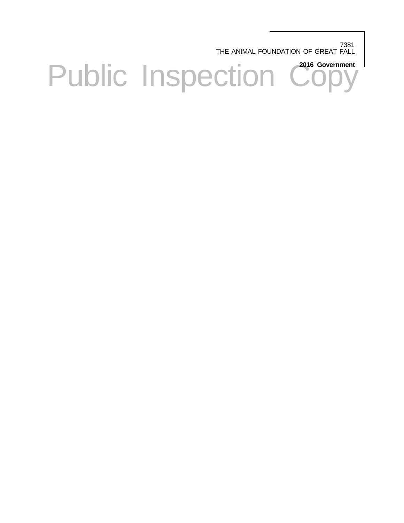7381 THE ANIMAL FOUNDATION OF GREAT FALL

Public Inspection Copy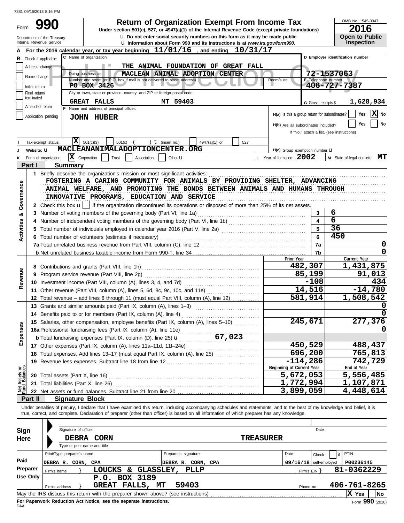|                   | 7381 09/16/2018 8:16 PM                                |                                                                                                                                                                             |                                               |                              |                                            |
|-------------------|--------------------------------------------------------|-----------------------------------------------------------------------------------------------------------------------------------------------------------------------------|-----------------------------------------------|------------------------------|--------------------------------------------|
|                   |                                                        | <b>Return of Organization Exempt From Income Tax</b>                                                                                                                        |                                               |                              | OMB No. 1545-0047                          |
| Form              |                                                        | Under section 501(c), 527, or 4947(a)(1) of the Internal Revenue Code (except private foundations)                                                                          |                                               |                              | 2016                                       |
|                   | Department of the Treasury<br>Internal Revenue Service | <b>u</b> Do not enter social security numbers on this form as it may be made public.<br><b>u</b> Information about Form 990 and its instructions is at www.irs.gov/form990. |                                               |                              | <b>Open to Public</b><br>Inspection        |
|                   |                                                        | For the 2016 calendar year, or tax year beginning $11/01/16$ , and ending<br>10/31/17                                                                                       |                                               |                              |                                            |
|                   | <b>B</b> Check if applicable:                          | C Name of organization                                                                                                                                                      |                                               |                              | D Employer identification number           |
|                   | Address change                                         | <b>ANIMAL FOUNDATION OF</b><br><b>GREAT</b><br><b>FALL</b><br>THE                                                                                                           |                                               |                              |                                            |
|                   | Name change                                            | Doing business as<br>ANIMAL ADOPTION CENTER<br><b>MACLEAN</b><br>Number and street (or P.O. box if mail is not delivered to street address)                                 | Room/suite                                    | E Telephone number           | 72-1537063                                 |
|                   | Initial return                                         | PO BOX 3426                                                                                                                                                                 |                                               |                              | 406-727-7387                               |
|                   | Final return/<br>terminated                            | City or town, state or province, country, and ZIP or foreign postal code                                                                                                    |                                               |                              |                                            |
|                   | Amended return                                         | <b>GREAT FALLS</b><br>MT 59403                                                                                                                                              |                                               | G Gross receipts \$          | 1,628,934                                  |
|                   |                                                        | F Name and address of principal officer:                                                                                                                                    | H(a) Is this a group return for subordinates? |                              | х<br>Yes<br>No.                            |
|                   | Application pending                                    | <b>JOHN HUBER</b>                                                                                                                                                           |                                               |                              | No<br><b>Yes</b>                           |
|                   |                                                        |                                                                                                                                                                             | H(b) Are all subordinates included?           |                              | If "No," attach a list. (see instructions) |
|                   |                                                        | x<br>501(c)(3)<br>) $t$ (insert no.)<br>501(c)<br>527                                                                                                                       |                                               |                              |                                            |
|                   | Tax-exempt status:<br>Website: U                       | 4947(a)(1) or<br>MACLEANANIMALADOPTIONCENTER.ORG                                                                                                                            | H(c) Group exemption number <b>LI</b>         |                              |                                            |
|                   | Form of organization:                                  | $ \mathbf{X} $ Corporation<br>Trust<br>Association<br>Other $\mathbf u$                                                                                                     | L Year of formation: 2002                     |                              | M State of legal domicile: MT              |
| Part I            |                                                        | <b>Summary</b>                                                                                                                                                              |                                               |                              |                                            |
|                   |                                                        | 1 Briefly describe the organization's mission or most significant activities:                                                                                               |                                               |                              |                                            |
|                   |                                                        | FOSTERING A CARING COMMUNITY FOR ANIMALS BY PROVIDING SHELTER, ADVANCING                                                                                                    |                                               |                              |                                            |
|                   |                                                        | ANIMAL WELFARE, AND PROMOTING THE BONDS BETWEEN ANIMALS AND HUMANS THROUGH                                                                                                  |                                               |                              |                                            |
| Governance        |                                                        | INNOVATIVE PROGRAMS, EDUCATION AND SERVICE                                                                                                                                  |                                               |                              |                                            |
|                   |                                                        | 2 Check this box $\mathbf{u}$   if the organization discontinued its operations or disposed of more than 25% of its net assets.                                             |                                               |                              |                                            |
|                   |                                                        |                                                                                                                                                                             |                                               |                              | 6                                          |
| ఱ                 |                                                        | 3 Number of voting members of the governing body (Part VI, line 1a)                                                                                                         |                                               | 3<br>$\overline{\mathbf{4}}$ | 6                                          |
|                   |                                                        |                                                                                                                                                                             |                                               |                              |                                            |
| <b>Activities</b> |                                                        |                                                                                                                                                                             |                                               | 5                            | 36                                         |
|                   |                                                        | 6 Total number of volunteers (estimate if necessary)                                                                                                                        |                                               | 6                            | 450                                        |
|                   |                                                        |                                                                                                                                                                             |                                               | 7a                           | $\mathbf 0$                                |
|                   |                                                        |                                                                                                                                                                             |                                               | 7b                           | $\Omega$                                   |
|                   |                                                        |                                                                                                                                                                             | Prior Year                                    |                              | Current Year                               |
|                   |                                                        |                                                                                                                                                                             |                                               | 482,307                      | 1,431,875                                  |
|                   |                                                        |                                                                                                                                                                             |                                               | 85,199                       | 91,013                                     |
| Revenue           |                                                        |                                                                                                                                                                             |                                               | $-108$                       | 434                                        |
|                   |                                                        | 11 Other revenue (Part VIII, column (A), lines 5, 6d, 8c, 9c, 10c, and 11e)                                                                                                 |                                               | 14,516                       | $-14,780$                                  |
|                   |                                                        | 12 Total revenue – add lines 8 through 11 (must equal Part VIII, column (A), line 12)                                                                                       |                                               | $\overline{581}$ , 914       | $\overline{1,508,542}$                     |
|                   |                                                        | 13 Grants and similar amounts paid (Part IX, column (A), lines 1-3)                                                                                                         |                                               |                              | U                                          |
|                   |                                                        | 14 Benefits paid to or for members (Part IX, column (A), line 4)                                                                                                            |                                               |                              | $\Omega$                                   |
|                   |                                                        | 15 Salaries, other compensation, employee benefits (Part IX, column (A), lines 5-10)                                                                                        |                                               | 245,671                      | 277,376                                    |
| Expenses          |                                                        |                                                                                                                                                                             |                                               |                              | 0                                          |
|                   |                                                        |                                                                                                                                                                             |                                               |                              |                                            |
|                   |                                                        | 17 Other expenses (Part IX, column (A), lines 11a-11d, 11f-24e)                                                                                                             |                                               | 450,529                      | 488,437                                    |
|                   |                                                        | 18 Total expenses. Add lines 13-17 (must equal Part IX, column (A), line 25)                                                                                                |                                               | 696,200                      | 765,813                                    |
|                   |                                                        | 19 Revenue less expenses. Subtract line 18 from line 12                                                                                                                     |                                               | $-114,286$                   | 742,729                                    |
|                   |                                                        |                                                                                                                                                                             | Beginning of Current Year                     |                              | End of Year                                |
| Assets or         |                                                        |                                                                                                                                                                             | 5,672,053                                     |                              | 5,556,485                                  |
|                   |                                                        |                                                                                                                                                                             | 1,772,994                                     |                              | 1,107,871                                  |
| Perd<br>Pund      |                                                        |                                                                                                                                                                             | 3,899,059                                     |                              | 4,448,614                                  |
| Part II           |                                                        | <b>Signature Block</b>                                                                                                                                                      |                                               |                              |                                            |
|                   |                                                        | Under penalties of perjury, I declare that I have examined this return, including accompanying schedules and statements, and to the best of my knowledge and belief, it is  |                                               |                              |                                            |
|                   |                                                        | true, correct, and complete. Declaration of preparer (other than officer) is based on all information of which preparer has any knowledge.                                  |                                               |                              |                                            |
|                   |                                                        |                                                                                                                                                                             |                                               |                              |                                            |
| Sign              |                                                        | Signature of officer                                                                                                                                                        |                                               | Date                         |                                            |
| <b>Here</b>       |                                                        | DEBRA CORN<br><b>TREASURER</b>                                                                                                                                              |                                               |                              |                                            |
|                   |                                                        | Type or print name and title                                                                                                                                                |                                               |                              |                                            |
|                   |                                                        | Print/Type preparer's name<br>Preparer's signature                                                                                                                          | Date                                          | Check                        | PTIN                                       |
| Paid              |                                                        | DEBRA R. CORN, CPA<br>DEBRA R. CORN, CPA                                                                                                                                    |                                               | $09/16/18$ self-employed     | P00236145                                  |
| Preparer          | Firm's name                                            | LOUCKS & GLASSLEY,<br>PLLP                                                                                                                                                  |                                               | Firm's $EIN$ }               | 81-0362229                                 |
| <b>Use Only</b>   |                                                        | P.O. BOX 3189                                                                                                                                                               |                                               |                              |                                            |
|                   | Firm's address                                         | <b>GREAT FALLS, MT</b><br>59403                                                                                                                                             |                                               | Phone no.                    | 406-761-8265                               |
|                   |                                                        |                                                                                                                                                                             |                                               |                              | X Yes<br>No                                |

| Sign     |                                                                                                    |  | Signature of officer       |                                                                 |                 |  |                      |                    |  |                  |                            |           | Date                     |  |              |      |  |
|----------|----------------------------------------------------------------------------------------------------|--|----------------------------|-----------------------------------------------------------------|-----------------|--|----------------------|--------------------|--|------------------|----------------------------|-----------|--------------------------|--|--------------|------|--|
| Here     |                                                                                                    |  | DEBRA                      | CORN                                                            |                 |  |                      |                    |  | <b>TREASURER</b> |                            |           |                          |  |              |      |  |
|          |                                                                                                    |  |                            | Type or print name and title                                    |                 |  |                      |                    |  |                  |                            |           |                          |  |              |      |  |
|          |                                                                                                    |  | Print/Type preparer's name |                                                                 |                 |  | Preparer's signature |                    |  |                  | Date                       |           | Check                    |  | PTIN         |      |  |
| Paid     | DEBRA R. CORN, CPA                                                                                 |  |                            |                                                                 |                 |  |                      | DEBRA R. CORN, CPA |  |                  |                            |           | $09/16/18$ self-employed |  | P00236145    |      |  |
| Preparer | <b>GLASSLEY,</b><br>LOUCKS &<br>Firm's name                                                        |  |                            |                                                                 |                 |  |                      | PLLP               |  |                  | 81-0362229<br>Firm's EIN Y |           |                          |  |              |      |  |
| Use Only |                                                                                                    |  |                            | P.0.                                                            | <b>BOX 3189</b> |  |                      |                    |  |                  |                            |           |                          |  |              |      |  |
|          | Firm's address                                                                                     |  |                            | <b>GREAT FALLS, MT</b>                                          |                 |  |                      | 59403              |  |                  |                            | Phone no. |                          |  | 406-761-8265 |      |  |
|          | XI Yes<br>May the IRS discuss this return with the preparer shown above? (see instructions)<br>No. |  |                            |                                                                 |                 |  |                      |                    |  |                  |                            |           |                          |  |              |      |  |
|          |                                                                                                    |  |                            | Fee Benemical Bedicates Ast Nation and the expense instructions |                 |  |                      |                    |  |                  |                            |           |                          |  |              | nnn. |  |

**For Paperwork Reduction Act Notice, see the separate instructions.**<br>DAA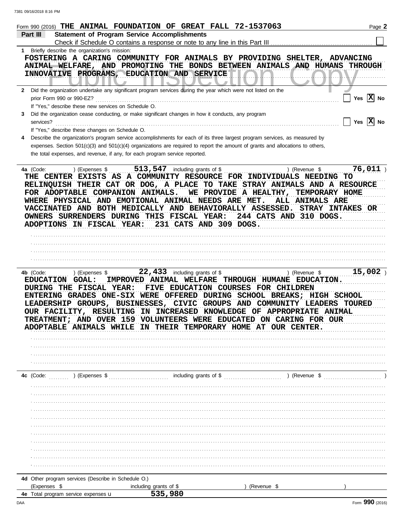|     | Form 990 (2016) THE ANIMAL FOUNDATION OF GREAT FALL 72-1537063<br><b>Statement of Program Service Accomplishments</b><br>Part III                                                                                                                                                                                                                                               |                                                                                                                                                           |                                                |                                                                                               | Page 2                |
|-----|---------------------------------------------------------------------------------------------------------------------------------------------------------------------------------------------------------------------------------------------------------------------------------------------------------------------------------------------------------------------------------|-----------------------------------------------------------------------------------------------------------------------------------------------------------|------------------------------------------------|-----------------------------------------------------------------------------------------------|-----------------------|
|     | Check if Schedule O contains a response or note to any line in this Part III                                                                                                                                                                                                                                                                                                    |                                                                                                                                                           |                                                |                                                                                               |                       |
|     | 1 Briefly describe the organization's mission:<br>FOSTERING A CARING COMMUNITY FOR ANIMALS BY PROVIDING SHELTER, ADVANCING<br>ANIMAL WELFARE, AND PROMOTING THE BONDS BETWEEN ANIMALS AND HUMANS<br>INNOVATIVE PROGRAMS, EDUCATION AND SERVICE                                                                                                                                  |                                                                                                                                                           |                                                |                                                                                               | <b>THROUGH</b>        |
|     | 2 Did the organization undertake any significant program services during the year which were not listed on the<br>prior Form 990 or 990-EZ?<br>If "Yes," describe these new services on Schedule O.                                                                                                                                                                             |                                                                                                                                                           |                                                |                                                                                               | Yes $ X $ No          |
| 3.  | Did the organization cease conducting, or make significant changes in how it conducts, any program<br>services?<br>If "Yes," describe these changes on Schedule O.                                                                                                                                                                                                              |                                                                                                                                                           |                                                |                                                                                               | Yes $\overline{X}$ No |
| 4   | Describe the organization's program service accomplishments for each of its three largest program services, as measured by<br>expenses. Section $501(c)(3)$ and $501(c)(4)$ organizations are required to report the amount of grants and allocations to others,<br>the total expenses, and revenue, if any, for each program service reported.                                 |                                                                                                                                                           |                                                |                                                                                               |                       |
|     | ) (Expenses \$<br>4a (Code:<br><b>THE CENTER</b><br>RELINQUISH THEIR CAT OR DOG, A PLACE TO TAKE STRAY ANIMALS AND A RESOURCE<br>FOR ADOPTABLE COMPANION ANIMALS.<br>WHERE PHYSICAL AND EMOTIONAL ANIMAL NEEDS ARE MET.<br>VACCINATED AND BOTH MEDICALLY AND BEHAVIORALLY ASSESSED. STRAY INTAKES OR<br>OWNERS SURRENDERS DURING THIS FISCAL YEAR:<br>ADOPTIONS IN FISCAL YEAR: | 513, 547 including grants of \$<br>EXISTS AS A COMMUNITY RESOURCE FOR INDIVIDUALS NEEDING<br>231 CATS AND 309 DOGS.                                       | WE PROVIDE A HEALTHY,                          | ) (Revenue \$<br>TO<br>TEMPORARY HOME<br><b>ALL ANIMALS ARE</b><br>244 CATS AND 310 DOGS.     | 76,011                |
|     |                                                                                                                                                                                                                                                                                                                                                                                 |                                                                                                                                                           |                                                |                                                                                               |                       |
|     |                                                                                                                                                                                                                                                                                                                                                                                 |                                                                                                                                                           |                                                |                                                                                               |                       |
|     |                                                                                                                                                                                                                                                                                                                                                                                 |                                                                                                                                                           |                                                |                                                                                               |                       |
|     |                                                                                                                                                                                                                                                                                                                                                                                 |                                                                                                                                                           |                                                |                                                                                               |                       |
|     | 4b (Code:<br>) (Expenses \$<br><b>EDUCATION</b><br><b>GOAL:</b><br>DURING THE FISCAL YEAR:<br>ENTERING GRADES ONE-SIX WERE OFFERED DURING SCHOOL BREAKS; HIGH SCHOOL<br>LEADERSHIP GROUPS, BUSINESSES, CIVIC GROUPS<br>OUR FACILITY, RESULTING IN INCREASED KNOWLEDGE OF APPROPRIATE ANIMAL<br><b>TREATMENT;</b><br><b>ADOPTABLE ANIMALS WHILE</b>                              | 22,433<br>including grants of \$<br>IMPROVED ANIMAL WELFARE<br>FIVE EDUCATION COURSES<br>AND OVER 159 VOLUNTEERS WERE EDUCATED ON CARING FOR OUR<br>THEIR | AND COMMUNITY<br>TEMPORARY HOME AT OUR CENTER. | ) (Revenue \$<br>THROUGH HUMANE EDUCATION.<br><b>FOR CHILDREN</b><br><b>LEADERS</b><br>TOURED | 15,002                |
|     |                                                                                                                                                                                                                                                                                                                                                                                 |                                                                                                                                                           |                                                |                                                                                               |                       |
|     |                                                                                                                                                                                                                                                                                                                                                                                 |                                                                                                                                                           |                                                |                                                                                               |                       |
|     |                                                                                                                                                                                                                                                                                                                                                                                 |                                                                                                                                                           |                                                |                                                                                               |                       |
|     |                                                                                                                                                                                                                                                                                                                                                                                 |                                                                                                                                                           |                                                |                                                                                               |                       |
|     | $\ldots$ (Expenses \$ $\ldots$ ) (Expenses \$ $\ldots$ including grants of \$ $\ldots$ $\ldots$ $\ldots$ ) (Revenue \$ $\ldots$<br>4c (Code:                                                                                                                                                                                                                                    |                                                                                                                                                           |                                                |                                                                                               |                       |
|     |                                                                                                                                                                                                                                                                                                                                                                                 |                                                                                                                                                           |                                                |                                                                                               |                       |
|     |                                                                                                                                                                                                                                                                                                                                                                                 |                                                                                                                                                           |                                                |                                                                                               |                       |
|     |                                                                                                                                                                                                                                                                                                                                                                                 |                                                                                                                                                           |                                                |                                                                                               |                       |
|     |                                                                                                                                                                                                                                                                                                                                                                                 |                                                                                                                                                           |                                                |                                                                                               |                       |
|     |                                                                                                                                                                                                                                                                                                                                                                                 |                                                                                                                                                           |                                                |                                                                                               |                       |
|     |                                                                                                                                                                                                                                                                                                                                                                                 |                                                                                                                                                           |                                                |                                                                                               |                       |
|     |                                                                                                                                                                                                                                                                                                                                                                                 |                                                                                                                                                           |                                                |                                                                                               |                       |
|     |                                                                                                                                                                                                                                                                                                                                                                                 |                                                                                                                                                           |                                                |                                                                                               |                       |
|     |                                                                                                                                                                                                                                                                                                                                                                                 |                                                                                                                                                           |                                                |                                                                                               |                       |
|     |                                                                                                                                                                                                                                                                                                                                                                                 |                                                                                                                                                           |                                                |                                                                                               |                       |
|     |                                                                                                                                                                                                                                                                                                                                                                                 |                                                                                                                                                           |                                                |                                                                                               |                       |
|     | 4d Other program services (Describe in Schedule O.)<br>(Expenses \$                                                                                                                                                                                                                                                                                                             | including grants of \$                                                                                                                                    | (Revenue \$                                    |                                                                                               |                       |
|     | 4e Total program service expenses u                                                                                                                                                                                                                                                                                                                                             | 535,980                                                                                                                                                   |                                                |                                                                                               |                       |
| DAA |                                                                                                                                                                                                                                                                                                                                                                                 |                                                                                                                                                           |                                                |                                                                                               | Form 990 (2016)       |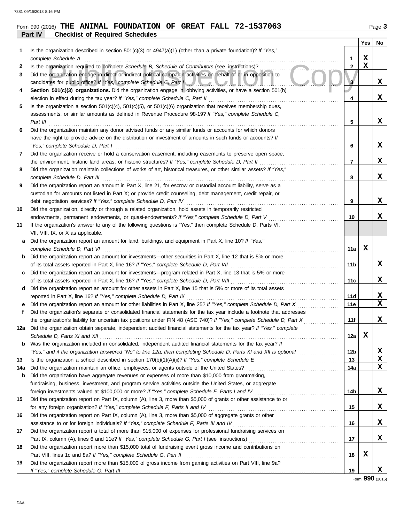## **Part IV Checklist of Required Schedules Form 990 (2016) THE ANIMAL FOUNDATION OF GREAT FALL 72-1537063** Page 3

| 1   | Is the organization described in section $501(c)(3)$ or $4947(a)(1)$ (other than a private foundation)? If "Yes,"                                                                                       |                | Yes         | No               |
|-----|---------------------------------------------------------------------------------------------------------------------------------------------------------------------------------------------------------|----------------|-------------|------------------|
|     | complete Schedule A                                                                                                                                                                                     | 1              | X           |                  |
| 2   | Is the organization required to complete Schedule B, Schedule of Contributors (see instructions)?                                                                                                       | $\overline{2}$ | $\mathbf x$ |                  |
| 3   | Did the organization engage in direct or indirect political campaign activities on behalf of or in opposition to<br>candidates for public office? If "Yes," complete Schedule C, Part I                 | 3              |             | x                |
| 4   | Section 501(c)(3) organizations. Did the organization engage in lobbying activities, or have a section 501(h)                                                                                           |                |             |                  |
|     |                                                                                                                                                                                                         | 4              |             | x                |
| 5   | Is the organization a section $501(c)(4)$ , $501(c)(5)$ , or $501(c)(6)$ organization that receives membership dues,                                                                                    |                |             |                  |
|     | assessments, or similar amounts as defined in Revenue Procedure 98-19? If "Yes," complete Schedule C,<br>Part III                                                                                       | 5              |             | x                |
| 6   | Did the organization maintain any donor advised funds or any similar funds or accounts for which donors                                                                                                 |                |             |                  |
|     | have the right to provide advice on the distribution or investment of amounts in such funds or accounts? If                                                                                             |                |             |                  |
|     | "Yes," complete Schedule D, Part I                                                                                                                                                                      | 6              |             | X                |
| 7   | Did the organization receive or hold a conservation easement, including easements to preserve open space,                                                                                               |                |             |                  |
|     | the environment, historic land areas, or historic structures? If "Yes," complete Schedule D, Part II                                                                                                    | 7              |             | x                |
| 8   | Did the organization maintain collections of works of art, historical treasures, or other similar assets? If "Yes,"                                                                                     |                |             |                  |
|     | complete Schedule D, Part III                                                                                                                                                                           | 8              |             | x                |
| 9   | Did the organization report an amount in Part X, line 21, for escrow or custodial account liability, serve as a                                                                                         |                |             |                  |
|     | custodian for amounts not listed in Part X; or provide credit counseling, debt management, credit repair, or                                                                                            |                |             |                  |
|     | debt negotiation services? If "Yes," complete Schedule D, Part IV                                                                                                                                       | 9              |             | X                |
| 10  | Did the organization, directly or through a related organization, hold assets in temporarily restricted<br>endowments, permanent endowments, or quasi-endowments? If "Yes," complete Schedule D, Part V |                |             | x                |
| 11  | If the organization's answer to any of the following questions is "Yes," then complete Schedule D, Parts VI,                                                                                            | 10             |             |                  |
|     | VII, VIII, IX, or X as applicable.                                                                                                                                                                      |                |             |                  |
| a   | Did the organization report an amount for land, buildings, and equipment in Part X, line 10? If "Yes,"                                                                                                  |                |             |                  |
|     | complete Schedule D, Part VI                                                                                                                                                                            | 11a            | x           |                  |
| b   | Did the organization report an amount for investments—other securities in Part X, line 12 that is 5% or more                                                                                            |                |             |                  |
|     | of its total assets reported in Part X, line 16? If "Yes," complete Schedule D, Part VII                                                                                                                | 11b            |             | X                |
| c   | Did the organization report an amount for investments—program related in Part X, line 13 that is 5% or more                                                                                             |                |             |                  |
|     |                                                                                                                                                                                                         | 11c            |             | x                |
| d   | Did the organization report an amount for other assets in Part X, line 15 that is 5% or more of its total assets                                                                                        |                |             |                  |
| е   | reported in Part X, line 16? If "Yes," complete Schedule D, Part IX<br>Did the organization report an amount for other liabilities in Part X, line 25? If "Yes," complete Schedule D, Part X            | 11d<br>11e     |             | x<br>$\mathbf x$ |
| f   | Did the organization's separate or consolidated financial statements for the tax year include a footnote that addresses                                                                                 |                |             |                  |
|     | the organization's liability for uncertain tax positions under FIN 48 (ASC 740)? If "Yes," complete Schedule D, Part X                                                                                  | 11f            |             | X                |
|     | 12a Did the organization obtain separate, independent audited financial statements for the tax year? If "Yes," complete                                                                                 |                |             |                  |
|     |                                                                                                                                                                                                         | 12a            | x           |                  |
| b   | Was the organization included in consolidated, independent audited financial statements for the tax year? If                                                                                            |                |             |                  |
|     | "Yes," and if the organization answered "No" to line 12a, then completing Schedule D, Parts XI and XII is optional                                                                                      | 12b            |             | X                |
| 13  |                                                                                                                                                                                                         | 13             |             | X                |
| 14a |                                                                                                                                                                                                         | 14a            |             | $\mathbf x$      |
| b   | Did the organization have aggregate revenues or expenses of more than \$10,000 from grantmaking,                                                                                                        |                |             |                  |
|     | fundraising, business, investment, and program service activities outside the United States, or aggregate                                                                                               |                |             |                  |
|     | foreign investments valued at \$100,000 or more? If "Yes," complete Schedule F, Parts I and IV [[[[[[[[[[[[[[[[                                                                                         | 14b            |             | X,               |
| 15  | Did the organization report on Part IX, column (A), line 3, more than \$5,000 of grants or other assistance to or<br>for any foreign organization? If "Yes," complete Schedule F, Parts II and IV       | 15             |             | X,               |
| 16  | Did the organization report on Part IX, column (A), line 3, more than \$5,000 of aggregate grants or other                                                                                              |                |             |                  |
|     | assistance to or for foreign individuals? If "Yes," complete Schedule F, Parts III and IV                                                                                                               | 16             |             | X.               |
| 17  | Did the organization report a total of more than \$15,000 of expenses for professional fundraising services on                                                                                          |                |             |                  |
|     |                                                                                                                                                                                                         | 17             |             | X.               |
| 18  | Did the organization report more than \$15,000 total of fundraising event gross income and contributions on                                                                                             |                |             |                  |
|     |                                                                                                                                                                                                         | 18             | X           |                  |
| 19  | Did the organization report more than \$15,000 of gross income from gaming activities on Part VIII, line 9a?                                                                                            |                |             |                  |
|     |                                                                                                                                                                                                         | 19             |             | X.               |

Form **990** (2016)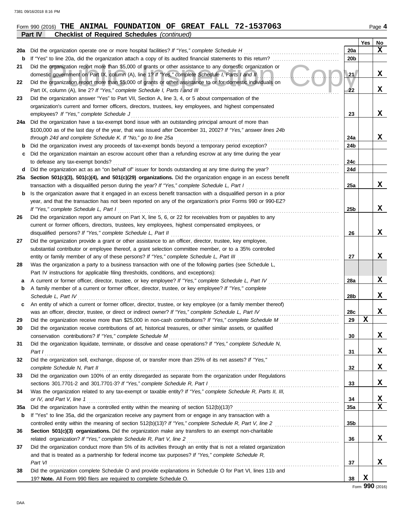|     | Form 990 (2016) THE ANIMAL FOUNDATION OF GREAT FALL 72-1537063                                                                                                                                                                           |                 |     | Page 4 |
|-----|------------------------------------------------------------------------------------------------------------------------------------------------------------------------------------------------------------------------------------------|-----------------|-----|--------|
|     | Part IV<br><b>Checklist of Required Schedules (continued)</b>                                                                                                                                                                            |                 |     |        |
|     |                                                                                                                                                                                                                                          |                 | Yes | No     |
| 20a |                                                                                                                                                                                                                                          | 20a             |     | x      |
| b   | If "Yes" to line 20a, did the organization attach a copy of its audited financial statements to this return?                                                                                                                             | 20b             |     |        |
| 21  | Did the organization report more than \$5,000 of grants or other assistance to any domestic organization or                                                                                                                              |                 |     |        |
|     | domestic government on Part IX, column (A), line 1? If "Yes," complete Schedule I, Parts I and II                                                                                                                                        | 21 <sub>2</sub> |     | X      |
| 22  | Did the organization report more than \$5,000 of grants or other assistance to or for domestic individuals on                                                                                                                            |                 |     |        |
|     | Part IX, column (A), line 2? If "Yes," complete Schedule I, Parts I and III                                                                                                                                                              | 22              |     | X      |
| 23  | Did the organization answer "Yes" to Part VII, Section A, line 3, 4, or 5 about compensation of the                                                                                                                                      |                 |     |        |
|     | organization's current and former officers, directors, trustees, key employees, and highest compensated                                                                                                                                  |                 |     |        |
|     | employees? If "Yes," complete Schedule J                                                                                                                                                                                                 | 23              |     | X      |
| 24a | Did the organization have a tax-exempt bond issue with an outstanding principal amount of more than                                                                                                                                      |                 |     |        |
|     | \$100,000 as of the last day of the year, that was issued after December 31, 2002? If "Yes," answer lines 24b                                                                                                                            |                 |     |        |
|     | through 24d and complete Schedule K. If "No," go to line 25a                                                                                                                                                                             | 24a             |     | x      |
| b   | Did the organization invest any proceeds of tax-exempt bonds beyond a temporary period exception?                                                                                                                                        | 24b             |     |        |
| c   | Did the organization maintain an escrow account other than a refunding escrow at any time during the year                                                                                                                                |                 |     |        |
|     | to defease any tax-exempt bonds?                                                                                                                                                                                                         | 24c             |     |        |
| d   | Did the organization act as an "on behalf of" issuer for bonds outstanding at any time during the year?                                                                                                                                  | 24d             |     |        |
|     | 25a Section 501(c)(3), 501(c)(4), and 501(c)(29) organizations. Did the organization engage in an excess benefit                                                                                                                         |                 |     |        |
|     | transaction with a disqualified person during the year? If "Yes," complete Schedule L, Part I                                                                                                                                            | 25a             |     | x      |
| b   | Is the organization aware that it engaged in an excess benefit transaction with a disqualified person in a prior                                                                                                                         |                 |     |        |
|     | year, and that the transaction has not been reported on any of the organization's prior Forms 990 or 990-EZ?                                                                                                                             |                 |     |        |
|     | If "Yes," complete Schedule L, Part I                                                                                                                                                                                                    | 25b             |     | X      |
| 26  | Did the organization report any amount on Part X, line 5, 6, or 22 for receivables from or payables to any                                                                                                                               |                 |     |        |
|     | current or former officers, directors, trustees, key employees, highest compensated employees, or                                                                                                                                        |                 |     |        |
|     | disqualified persons? If "Yes," complete Schedule L, Part II                                                                                                                                                                             | 26              |     | X      |
| 27  | Did the organization provide a grant or other assistance to an officer, director, trustee, key employee,                                                                                                                                 |                 |     |        |
|     | substantial contributor or employee thereof, a grant selection committee member, or to a 35% controlled                                                                                                                                  |                 |     |        |
|     | entity or family member of any of these persons? If "Yes," complete Schedule L, Part III                                                                                                                                                 | 27              |     | X      |
| 28  | Was the organization a party to a business transaction with one of the following parties (see Schedule L,                                                                                                                                |                 |     |        |
|     | Part IV instructions for applicable filing thresholds, conditions, and exceptions):                                                                                                                                                      |                 |     |        |
| а   | A current or former officer, director, trustee, or key employee? If "Yes," complete Schedule L, Part IV                                                                                                                                  | 28a             |     | X      |
| b   | A family member of a current or former officer, director, trustee, or key employee? If "Yes," complete                                                                                                                                   |                 |     |        |
|     | Schedule L, Part IV                                                                                                                                                                                                                      | 28b             |     | x      |
| c   | An entity of which a current or former officer, director, trustee, or key employee (or a family member thereof)                                                                                                                          |                 |     |        |
|     | was an officer, director, trustee, or direct or indirect owner? If "Yes," complete Schedule L, Part IV                                                                                                                                   | 28c             |     | X      |
| 29  |                                                                                                                                                                                                                                          | 29              | X   |        |
| 30  | Did the organization receive contributions of art, historical treasures, or other similar assets, or qualified                                                                                                                           |                 |     |        |
|     |                                                                                                                                                                                                                                          | 30              |     | x      |
| 31  | Did the organization liquidate, terminate, or dissolve and cease operations? If "Yes," complete Schedule N,                                                                                                                              |                 |     |        |
|     | Part 1                                                                                                                                                                                                                                   | 31              |     | X      |
| 32  | Did the organization sell, exchange, dispose of, or transfer more than 25% of its net assets? If "Yes,"                                                                                                                                  |                 |     |        |
|     | complete Schedule N, Part II et al. (2008) and the complete Schedule N, Part II et al. (2008) and the complete $\mathsf{S}$ chedule N, Part II et al. (2008) and the complete $\mathsf{S}$ chedule N, Part II et al. (2008) and the comp | 32              |     | X      |
| 33  | Did the organization own 100% of an entity disregarded as separate from the organization under Regulations                                                                                                                               |                 |     |        |
|     |                                                                                                                                                                                                                                          | 33              |     | X      |
| 34  | Was the organization related to any tax-exempt or taxable entity? If "Yes," complete Schedule R, Parts II, III,                                                                                                                          |                 |     |        |
|     |                                                                                                                                                                                                                                          | 34              |     | X      |
| 35a |                                                                                                                                                                                                                                          | 35a             |     | X      |
| b   | If "Yes" to line 35a, did the organization receive any payment from or engage in any transaction with a                                                                                                                                  |                 |     |        |
|     | controlled entity within the meaning of section 512(b)(13)? If "Yes," complete Schedule R, Part V, line 2                                                                                                                                | 35 <sub>b</sub> |     |        |
| 36  | Section 501(c)(3) organizations. Did the organization make any transfers to an exempt non-charitable                                                                                                                                     |                 |     |        |
|     | related organization? If "Yes," complete Schedule R, Part V, line 2                                                                                                                                                                      | 36              |     | x      |
| 37  | Did the organization conduct more than 5% of its activities through an entity that is not a related organization                                                                                                                         |                 |     |        |
|     | and that is treated as a partnership for federal income tax purposes? If "Yes," complete Schedule R,                                                                                                                                     |                 |     |        |
|     | Part VI                                                                                                                                                                                                                                  | 37              |     | X      |
| 38  | Did the organization complete Schedule O and provide explanations in Schedule O for Part VI, lines 11b and                                                                                                                               |                 |     |        |
|     | 19? Note. All Form 990 filers are required to complete Schedule O.                                                                                                                                                                       | 38              | X   |        |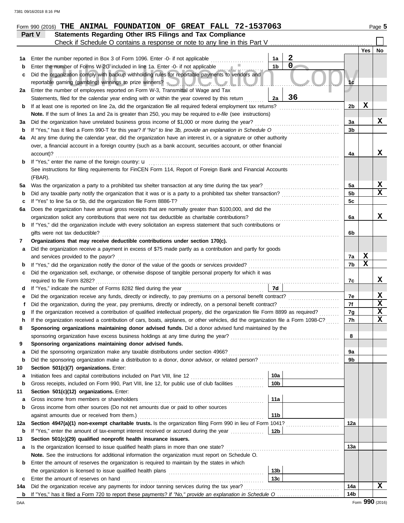|         | Form 990 (2016) THE ANIMAL FOUNDATION OF GREAT FALL 72-1537063                                                                     |                |     | Page 5      |  |  |  |  |
|---------|------------------------------------------------------------------------------------------------------------------------------------|----------------|-----|-------------|--|--|--|--|
|         | Statements Regarding Other IRS Filings and Tax Compliance<br>Part V                                                                |                |     |             |  |  |  |  |
|         | Check if Schedule O contains a response or note to any line in this Part V                                                         |                |     |             |  |  |  |  |
|         |                                                                                                                                    |                | Yes | <b>No</b>   |  |  |  |  |
| 1а      | $\boldsymbol{2}$<br>Enter the number reported in Box 3 of Form 1096. Enter -0- if not applicable<br>1a                             |                |     |             |  |  |  |  |
| b       | $\mathbf 0$<br>1 <sub>b</sub><br>Enter the number of Forms W-2G included in line 1a. Enter -0- if not applicable                   |                |     |             |  |  |  |  |
| c       | Did the organization comply with backup withholding rules for reportable payments to vendors and                                   |                |     |             |  |  |  |  |
|         | reportable gaming (gambling) winnings to prize winners? <b>And all and all and all and all and all and all and all a</b>           | 1 <sub>c</sub> |     |             |  |  |  |  |
| 2a      | Enter the number of employees reported on Form W-3, Transmittal of Wage and Tax                                                    |                |     |             |  |  |  |  |
|         | 36<br>Statements, filed for the calendar year ending with or within the year covered by this return<br>2a                          |                |     |             |  |  |  |  |
| b       | If at least one is reported on line 2a, did the organization file all required federal employment tax returns?                     | 2b             | X   |             |  |  |  |  |
|         | Note. If the sum of lines 1a and 2a is greater than 250, you may be required to e-file (see instructions)                          |                |     |             |  |  |  |  |
| За      | Did the organization have unrelated business gross income of \$1,000 or more during the year?                                      | 3a             |     | X           |  |  |  |  |
| b       | If "Yes," has it filed a Form 990-T for this year? If "No" to line 3b, provide an explanation in Schedule O                        | 3 <sub>b</sub> |     |             |  |  |  |  |
| 4a      | At any time during the calendar year, did the organization have an interest in, or a signature or other authority                  |                |     |             |  |  |  |  |
|         | over, a financial account in a foreign country (such as a bank account, securities account, or other financial                     |                |     | X           |  |  |  |  |
| b       | account)?                                                                                                                          | 4a             |     |             |  |  |  |  |
|         | See instructions for filing requirements for FinCEN Form 114, Report of Foreign Bank and Financial Accounts                        |                |     |             |  |  |  |  |
|         | (FBAR).                                                                                                                            |                |     |             |  |  |  |  |
| 5a      | Was the organization a party to a prohibited tax shelter transaction at any time during the tax year?                              | 5a             |     | X           |  |  |  |  |
| b       | Did any taxable party notify the organization that it was or is a party to a prohibited tax shelter transaction?                   | 5 <sub>b</sub> |     | $\mathbf x$ |  |  |  |  |
| c       | If "Yes" to line 5a or 5b, did the organization file Form 8886-T?                                                                  | 5c             |     |             |  |  |  |  |
| 6а      | Does the organization have annual gross receipts that are normally greater than \$100,000, and did the                             |                |     |             |  |  |  |  |
|         |                                                                                                                                    | 6a             |     | x           |  |  |  |  |
| b       | If "Yes," did the organization include with every solicitation an express statement that such contributions or                     |                |     |             |  |  |  |  |
|         | gifts were not tax deductible?                                                                                                     | 6b             |     |             |  |  |  |  |
| 7       | Organizations that may receive deductible contributions under section 170(c).                                                      |                |     |             |  |  |  |  |
| a       | Did the organization receive a payment in excess of \$75 made partly as a contribution and partly for goods                        |                |     |             |  |  |  |  |
|         | and services provided to the payor?                                                                                                | 7a             | X   |             |  |  |  |  |
| b       |                                                                                                                                    |                |     |             |  |  |  |  |
| c       | Did the organization sell, exchange, or otherwise dispose of tangible personal property for which it was                           |                |     |             |  |  |  |  |
|         | required to file Form 8282?                                                                                                        | 7c             |     | X           |  |  |  |  |
| d       | 7d                                                                                                                                 |                |     |             |  |  |  |  |
| е       | Did the organization receive any funds, directly or indirectly, to pay premiums on a personal benefit contract?                    | 7e             |     | $\mathbf x$ |  |  |  |  |
|         |                                                                                                                                    | 7f             |     | X           |  |  |  |  |
|         | If the organization received a contribution of qualified intellectual property, did the organization file Form 8899 as required?   | 7g             |     | $\mathbf x$ |  |  |  |  |
|         | If the organization received a contribution of cars, boats, airplanes, or other vehicles, did the organization file a Form 1098-C? | 7h             |     | X           |  |  |  |  |
| 8       | Sponsoring organizations maintaining donor advised funds. Did a donor advised fund maintained by the                               |                |     |             |  |  |  |  |
|         | sponsoring organization have excess business holdings at any time during the year? [[[[[[[[[[[[[[[[[[[[[[[[[[[                     | 8              |     |             |  |  |  |  |
| 9       | Sponsoring organizations maintaining donor advised funds.                                                                          |                |     |             |  |  |  |  |
| a       |                                                                                                                                    | 9a<br>9b       |     |             |  |  |  |  |
| b<br>10 | Section 501(c)(7) organizations. Enter:                                                                                            |                |     |             |  |  |  |  |
| а       | 10a<br>Initiation fees and capital contributions included on Part VIII, line 12 [11] [11] [12] [11] [11] [12] [11] [1              |                |     |             |  |  |  |  |
| b       | 10 <sub>b</sub><br>Gross receipts, included on Form 990, Part VIII, line 12, for public use of club facilities                     |                |     |             |  |  |  |  |
| 11      | Section 501(c)(12) organizations. Enter:                                                                                           |                |     |             |  |  |  |  |
| a       | 11a                                                                                                                                |                |     |             |  |  |  |  |
| b       | Gross income from other sources (Do not net amounts due or paid to other sources                                                   |                |     |             |  |  |  |  |
|         | 11 <sub>b</sub>                                                                                                                    |                |     |             |  |  |  |  |
| 12a     | Section 4947(a)(1) non-exempt charitable trusts. Is the organization filing Form 990 in lieu of Form 1041?                         | 12a            |     |             |  |  |  |  |
| b       | 12b<br>If "Yes," enter the amount of tax-exempt interest received or accrued during the year                                       |                |     |             |  |  |  |  |
| 13      | Section 501(c)(29) qualified nonprofit health insurance issuers.                                                                   |                |     |             |  |  |  |  |
| а       | Is the organization licensed to issue qualified health plans in more than one state?                                               | 13а            |     |             |  |  |  |  |
|         | Note. See the instructions for additional information the organization must report on Schedule O.                                  |                |     |             |  |  |  |  |
| b       | Enter the amount of reserves the organization is required to maintain by the states in which                                       |                |     |             |  |  |  |  |
|         | 13 <sub>b</sub>                                                                                                                    |                |     |             |  |  |  |  |
| c       | 13 <sub>c</sub><br>Enter the amount of reserves on hand                                                                            |                |     |             |  |  |  |  |
| 14a     | Did the organization receive any payments for indoor tanning services during the tax year?                                         | 14a            |     | x           |  |  |  |  |
|         |                                                                                                                                    | 14b            |     |             |  |  |  |  |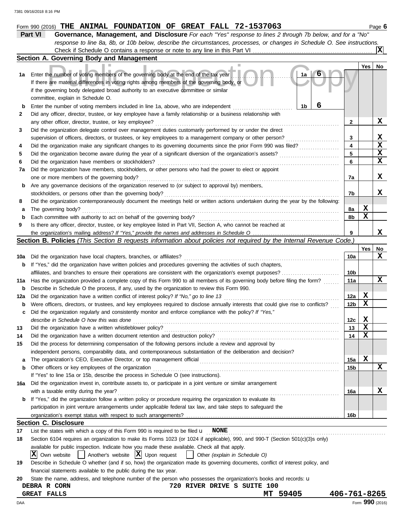|          | $Form$ 990 (2016) THE ANIMAL FOUNDATION OF GREAT FALL 72-1537063                                                                                                                                                                                                                |                         |     | Page 6      |
|----------|---------------------------------------------------------------------------------------------------------------------------------------------------------------------------------------------------------------------------------------------------------------------------------|-------------------------|-----|-------------|
|          | Part VI<br>Governance, Management, and Disclosure For each "Yes" response to lines 2 through 7b below, and for a "No"                                                                                                                                                           |                         |     |             |
|          | response to line 8a, 8b, or 10b below, describe the circumstances, processes, or changes in Schedule O. See instructions.                                                                                                                                                       |                         |     |             |
|          |                                                                                                                                                                                                                                                                                 |                         |     | ΙxΙ         |
|          | Section A. Governing Body and Management                                                                                                                                                                                                                                        |                         |     |             |
| 1а       | Enter the number of voting members of the governing body at the end of the tax year<br>1a<br>If there are material differences in voting rights among members of the governing body, or<br>if the governing body delegated broad authority to an executive committee or similar |                         | Yes | No          |
|          | committee, explain in Schedule O.                                                                                                                                                                                                                                               |                         |     |             |
| b        | 6<br>1b<br>Enter the number of voting members included in line 1a, above, who are independent                                                                                                                                                                                   |                         |     |             |
| 2        | Did any officer, director, trustee, or key employee have a family relationship or a business relationship with                                                                                                                                                                  |                         |     |             |
|          | any other officer, director, trustee, or key employee?                                                                                                                                                                                                                          | 2                       |     | X           |
| 3        | Did the organization delegate control over management duties customarily performed by or under the direct                                                                                                                                                                       |                         |     |             |
|          | supervision of officers, directors, or trustees, or key employees to a management company or other person?                                                                                                                                                                      | 3                       |     | х           |
| 4        | Did the organization make any significant changes to its governing documents since the prior Form 990 was filed?                                                                                                                                                                | $\overline{\mathbf{4}}$ |     | $\mathbf x$ |
| 5        | Did the organization become aware during the year of a significant diversion of the organization's assets?                                                                                                                                                                      | 5                       |     | X<br>X      |
| 6        | Did the organization have members or stockholders?                                                                                                                                                                                                                              | 6                       |     |             |
| 7a       | Did the organization have members, stockholders, or other persons who had the power to elect or appoint                                                                                                                                                                         |                         |     |             |
|          | one or more members of the governing body?                                                                                                                                                                                                                                      | 7a                      |     | X           |
| b        | Are any governance decisions of the organization reserved to (or subject to approval by) members,                                                                                                                                                                               |                         |     |             |
|          | stockholders, or persons other than the governing body?                                                                                                                                                                                                                         | 7b                      |     | x           |
| 8        | Did the organization contemporaneously document the meetings held or written actions undertaken during the year by the following:                                                                                                                                               |                         |     |             |
| а        | The governing body?                                                                                                                                                                                                                                                             | 8а                      | X   |             |
| b        | Each committee with authority to act on behalf of the governing body?                                                                                                                                                                                                           | 8b                      | X   |             |
| 9        | Is there any officer, director, trustee, or key employee listed in Part VII, Section A, who cannot be reached at                                                                                                                                                                | 9                       |     | x           |
|          | the organization's mailing address? If "Yes," provide the names and addresses in Schedule O<br>Section B. Policies (This Section B requests information about policies not required by the Internal Revenue Code.)                                                              |                         |     |             |
|          |                                                                                                                                                                                                                                                                                 |                         | Yes | No          |
|          | Did the organization have local chapters, branches, or affiliates?                                                                                                                                                                                                              | 10a                     |     | x           |
| 10a      |                                                                                                                                                                                                                                                                                 |                         |     |             |
| b        | If "Yes," did the organization have written policies and procedures governing the activities of such chapters,                                                                                                                                                                  |                         |     |             |
|          | affiliates, and branches to ensure their operations are consistent with the organization's exempt purposes?<br>Has the organization provided a complete copy of this Form 990 to all members of its governing body before filing the form?                                      | 10b<br>11a              |     | X           |
| 11a      |                                                                                                                                                                                                                                                                                 |                         |     |             |
| b        | Describe in Schedule O the process, if any, used by the organization to review this Form 990.                                                                                                                                                                                   | 12a                     | X   |             |
| 12a      | Did the organization have a written conflict of interest policy? If "No," go to line 13<br>Were officers, directors, or trustees, and key employees required to disclose annually interests that could give rise to conflicts?                                                  | 12b                     | X   |             |
| b        | Did the organization regularly and consistently monitor and enforce compliance with the policy? If "Yes,"                                                                                                                                                                       |                         |     |             |
| c        |                                                                                                                                                                                                                                                                                 | 12c                     | X   |             |
|          | describe in Schedule O how this was done<br>Did the organization have a written whistleblower policy?                                                                                                                                                                           | 13                      | X   |             |
| 13<br>14 | Did the organization have a written document retention and destruction policy?                                                                                                                                                                                                  | 14                      | X   |             |
| 15       | Did the process for determining compensation of the following persons include a review and approval by                                                                                                                                                                          |                         |     |             |
|          | independent persons, comparability data, and contemporaneous substantiation of the deliberation and decision?                                                                                                                                                                   |                         |     |             |
| a        |                                                                                                                                                                                                                                                                                 | 15a                     | X   |             |
| b        | Other officers or key employees of the organization                                                                                                                                                                                                                             | 15b                     |     | x           |
|          | If "Yes" to line 15a or 15b, describe the process in Schedule O (see instructions).                                                                                                                                                                                             |                         |     |             |
| 16a      | Did the organization invest in, contribute assets to, or participate in a joint venture or similar arrangement                                                                                                                                                                  |                         |     |             |
|          | with a taxable entity during the year?                                                                                                                                                                                                                                          | 16a                     |     | X           |
| b        | If "Yes," did the organization follow a written policy or procedure requiring the organization to evaluate its                                                                                                                                                                  |                         |     |             |
|          | participation in joint venture arrangements under applicable federal tax law, and take steps to safeguard the                                                                                                                                                                   |                         |     |             |
|          | organization's exempt status with respect to such arrangements?                                                                                                                                                                                                                 | 16b                     |     |             |
|          | <b>Section C. Disclosure</b>                                                                                                                                                                                                                                                    |                         |     |             |
| 17       | List the states with which a copy of this Form 990 is required to be filed $\mathbf u$ NONE                                                                                                                                                                                     |                         |     |             |
| 18       | Section 6104 requires an organization to make its Forms 1023 (or 1024 if applicable), 990, and 990-T (Section 501(c)(3)s only)                                                                                                                                                  |                         |     |             |
|          | available for public inspection. Indicate how you made these available. Check all that apply.                                                                                                                                                                                   |                         |     |             |
|          | IXI<br>Another's website $ \mathbf{X} $ Upon request<br>Own website<br>Other (explain in Schedule O)                                                                                                                                                                            |                         |     |             |
| 19       | Describe in Schedule O whether (and if so, how) the organization made its governing documents, conflict of interest policy, and                                                                                                                                                 |                         |     |             |
|          | financial statements available to the public during the tax year.                                                                                                                                                                                                               |                         |     |             |
| 20       | State the name, address, and telephone number of the person who possesses the organization's books and records: u                                                                                                                                                               |                         |     |             |
|          | <b>720 RIVER DRIVE S SUITE 100</b><br>DEBRA R CORN                                                                                                                                                                                                                              |                         |     |             |
|          | MT 59405<br><b>GREAT FALLS</b>                                                                                                                                                                                                                                                  | 406-761-8265            |     |             |

DAA Form **990** (2016)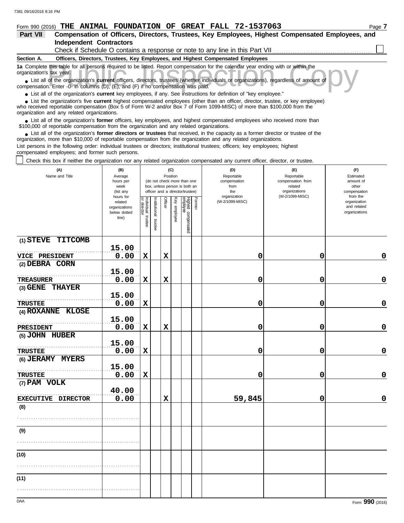| Form 990 (2016) THE ANIMAL FOUNDATION OF GREAT FALL 72-1537063<br>Page |  |
|------------------------------------------------------------------------|--|
|------------------------------------------------------------------------|--|

| <b>Part VII</b> | Compensation of Officers, Directors, Trustees, Key Employees, Highest Compensated Employees, and |
|-----------------|--------------------------------------------------------------------------------------------------|
|                 | Independent Contractors                                                                          |

Check if Schedule O contains a response or note to any line in this Part VII

#### **Section A. Officers, Directors, Trustees, Key Employees, and Highest Compensated Employees**

**1a** Complete this table for all persons required to be listed. Report compensation for the calendar year ending with or within the organization's tax year.

this table for all persons required to be listed. Report compensation for the calendar year ending with or within the<br>tax year.<br>of the organization's **current** officers, directors, trustees (whether individuals or organiza ■ List all of the organization's **current** officers, directors, trustees (whether individuals or organizations), regardless of amount of compensation. Enter -0- in columns (D), (E), and (F) if no compensation was paid.

● List all of the organization's **current** key employees, if any. See instructions for definition of "key employee."

■ List the organization's five **current** highest compensated employees (other than an officer, director, trustee, or key employee)<br> **•** Preceived reportable compensation (Box 5 of Form M/-2 and/or Box 7 of Form 1099-MISC)

who received reportable compensation (Box 5 of Form W-2 and/or Box 7 of Form 1099-MISC) of more than \$100,000 from the organization and any related organizations.

■ List all of the organization's **former** officers, key employees, and highest compensated employees who received more than<br>00,000 of reportable compensation from the organization and any related organizations \$100,000 of reportable compensation from the organization and any related organizations.

■ List all of the organization's **former directors or trustees** that received, in the capacity as a former director or trustee of the<br>enization more than \$10,000 of reportable compensation from the organization and any re organization, more than \$10,000 of reportable compensation from the organization and any related organizations.

List persons in the following order: individual trustees or directors; institutional trustees; officers; key employees; highest compensated employees; and former such persons.

Check this box if neither the organization nor any related organization compensated any current officer, director, or trustee.

| (A)<br>Name and Title               | (B)<br>Average<br>hours per<br>week<br>(list any               |                    |                       | (C)<br>Position |              | (do not check more than one<br>box, unless person is both an<br>officer and a director/trustee) |        | (D)<br>Reportable<br>compensation<br>from<br>the<br>organization | (E)<br>Reportable<br>compensation from<br>related<br>organizations<br>(W-2/1099-MISC) | (F)<br>Estimated<br>amount of<br>other<br>compensation<br>from the |  |  |
|-------------------------------------|----------------------------------------------------------------|--------------------|-----------------------|-----------------|--------------|-------------------------------------------------------------------------------------------------|--------|------------------------------------------------------------------|---------------------------------------------------------------------------------------|--------------------------------------------------------------------|--|--|
|                                     | hours for<br>related<br>organizations<br>below dotted<br>line) | Individual trustee | Institutional trustee | Officer         | Key employee | Highest compensated<br>employee                                                                 | Former | (W-2/1099-MISC)                                                  |                                                                                       | organization<br>and related<br>organizations                       |  |  |
| (1) STEVE TITCOMB                   | 15.00                                                          |                    |                       |                 |              |                                                                                                 |        |                                                                  |                                                                                       |                                                                    |  |  |
| VICE PRESIDENT                      | 0.00                                                           | $\mathbf x$        |                       | $\mathbf x$     |              |                                                                                                 |        | 0                                                                | 0                                                                                     | $\mathbf 0$                                                        |  |  |
| (2) DEBRA CORN                      |                                                                |                    |                       |                 |              |                                                                                                 |        |                                                                  |                                                                                       |                                                                    |  |  |
|                                     | 15.00                                                          |                    |                       |                 |              |                                                                                                 |        |                                                                  |                                                                                       |                                                                    |  |  |
| <b>TREASURER</b>                    | 0.00                                                           | $\mathbf x$        |                       | $\mathbf x$     |              |                                                                                                 |        | 0                                                                | 0                                                                                     | $\mathbf 0$                                                        |  |  |
| (3) GENE THAYER                     |                                                                |                    |                       |                 |              |                                                                                                 |        |                                                                  |                                                                                       |                                                                    |  |  |
|                                     | 15.00<br>0.00                                                  | $\mathbf x$        |                       |                 |              |                                                                                                 |        |                                                                  | 0                                                                                     | $\mathbf 0$                                                        |  |  |
| <b>TRUSTEE</b><br>(4) ROXANNE KLOSE |                                                                |                    |                       |                 |              |                                                                                                 |        | 0                                                                |                                                                                       |                                                                    |  |  |
|                                     | 15.00                                                          |                    |                       |                 |              |                                                                                                 |        |                                                                  |                                                                                       |                                                                    |  |  |
| PRESIDENT                           | 0.00                                                           | $\mathbf x$        |                       | $\mathbf x$     |              |                                                                                                 |        | 0                                                                | 0                                                                                     | $\mathbf 0$                                                        |  |  |
| (5) JOHN HUBER                      |                                                                |                    |                       |                 |              |                                                                                                 |        |                                                                  |                                                                                       |                                                                    |  |  |
|                                     | 15.00                                                          |                    |                       |                 |              |                                                                                                 |        |                                                                  |                                                                                       |                                                                    |  |  |
| <b>TRUSTEE</b>                      | 0.00                                                           | $\mathbf x$        |                       |                 |              |                                                                                                 |        | 0                                                                | 0                                                                                     | $\mathbf 0$                                                        |  |  |
| (6) JERAMY MYERS                    |                                                                |                    |                       |                 |              |                                                                                                 |        |                                                                  |                                                                                       |                                                                    |  |  |
|                                     | 15.00                                                          |                    |                       |                 |              |                                                                                                 |        |                                                                  |                                                                                       |                                                                    |  |  |
| <b>TRUSTEE</b>                      | 0.00                                                           | $\mathbf x$        |                       |                 |              |                                                                                                 |        | 0                                                                | 0                                                                                     | $\mathbf 0$                                                        |  |  |
| (7) PAM VOLK                        |                                                                |                    |                       |                 |              |                                                                                                 |        |                                                                  |                                                                                       |                                                                    |  |  |
|                                     | 40.00                                                          |                    |                       |                 |              |                                                                                                 |        |                                                                  |                                                                                       |                                                                    |  |  |
| EXECUTIVE DIRECTOR                  | 0.00                                                           |                    |                       | $\mathbf x$     |              |                                                                                                 |        | 59,845                                                           | 0                                                                                     | $\mathbf 0$                                                        |  |  |
| (8)                                 |                                                                |                    |                       |                 |              |                                                                                                 |        |                                                                  |                                                                                       |                                                                    |  |  |
|                                     |                                                                |                    |                       |                 |              |                                                                                                 |        |                                                                  |                                                                                       |                                                                    |  |  |
| (9)                                 |                                                                |                    |                       |                 |              |                                                                                                 |        |                                                                  |                                                                                       |                                                                    |  |  |
|                                     |                                                                |                    |                       |                 |              |                                                                                                 |        |                                                                  |                                                                                       |                                                                    |  |  |
|                                     |                                                                |                    |                       |                 |              |                                                                                                 |        |                                                                  |                                                                                       |                                                                    |  |  |
| (10)                                |                                                                |                    |                       |                 |              |                                                                                                 |        |                                                                  |                                                                                       |                                                                    |  |  |
|                                     |                                                                |                    |                       |                 |              |                                                                                                 |        |                                                                  |                                                                                       |                                                                    |  |  |
| (11)                                |                                                                |                    |                       |                 |              |                                                                                                 |        |                                                                  |                                                                                       |                                                                    |  |  |
|                                     |                                                                |                    |                       |                 |              |                                                                                                 |        |                                                                  |                                                                                       |                                                                    |  |  |
|                                     |                                                                |                    |                       |                 |              |                                                                                                 |        |                                                                  |                                                                                       |                                                                    |  |  |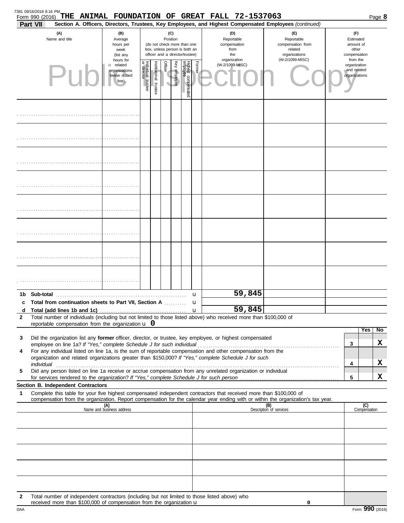|                       | Form 990 (2016)<br>Part VII                                                                                                                                                           |                                                                  |                                   |                       |                                                                                                                    |              |                                 |             | THE ANIMAL FOUNDATION OF GREAT FALL 72-1537063<br>Section A. Officers, Directors, Trustees, Key Employees, and Highest Compensated Employees (continued) |                                                                                       |                                                                    |                     | Page 8 |
|-----------------------|---------------------------------------------------------------------------------------------------------------------------------------------------------------------------------------|------------------------------------------------------------------|-----------------------------------|-----------------------|--------------------------------------------------------------------------------------------------------------------|--------------|---------------------------------|-------------|----------------------------------------------------------------------------------------------------------------------------------------------------------|---------------------------------------------------------------------------------------|--------------------------------------------------------------------|---------------------|--------|
| (A)<br>Name and title |                                                                                                                                                                                       | (B)<br>Average<br>hours per<br>week<br>(list any<br>hours for    |                                   |                       | (C)<br>Position<br>(do not check more than one<br>box, unless person is both an<br>officer and a director/trustee) |              |                                 |             | (D)<br>Reportable<br>compensation<br>from<br>the<br>organization                                                                                         | (E)<br>Reportable<br>compensation from<br>related<br>organizations<br>(W-2/1099-MISC) | (F)<br>Estimated<br>amount of<br>other<br>compensation<br>from the |                     |        |
|                       |                                                                                                                                                                                       | $\blacksquare$ related<br>organizations<br>below dotted<br>line) | Individual trustee<br>or director | Institutional trustee | Officer                                                                                                            | Key employee | Highest compensated<br>employee | Former      | (W-2/1099-MISC)                                                                                                                                          |                                                                                       | organization<br>and related<br>organizations                       |                     |        |
|                       |                                                                                                                                                                                       |                                                                  |                                   |                       |                                                                                                                    |              |                                 |             |                                                                                                                                                          |                                                                                       |                                                                    |                     |        |
|                       |                                                                                                                                                                                       |                                                                  |                                   |                       |                                                                                                                    |              |                                 |             |                                                                                                                                                          |                                                                                       |                                                                    |                     |        |
|                       |                                                                                                                                                                                       |                                                                  |                                   |                       |                                                                                                                    |              |                                 |             |                                                                                                                                                          |                                                                                       |                                                                    |                     |        |
|                       |                                                                                                                                                                                       |                                                                  |                                   |                       |                                                                                                                    |              |                                 |             |                                                                                                                                                          |                                                                                       |                                                                    |                     |        |
|                       |                                                                                                                                                                                       |                                                                  |                                   |                       |                                                                                                                    |              |                                 |             |                                                                                                                                                          |                                                                                       |                                                                    |                     |        |
|                       |                                                                                                                                                                                       |                                                                  |                                   |                       |                                                                                                                    |              |                                 |             |                                                                                                                                                          |                                                                                       |                                                                    |                     |        |
|                       |                                                                                                                                                                                       |                                                                  |                                   |                       |                                                                                                                    |              |                                 |             |                                                                                                                                                          |                                                                                       |                                                                    |                     |        |
|                       |                                                                                                                                                                                       |                                                                  |                                   |                       |                                                                                                                    |              |                                 |             |                                                                                                                                                          |                                                                                       |                                                                    |                     |        |
|                       | 1b Sub-total<br>Total from continuation sheets to Part VII, Section A                                                                                                                 |                                                                  |                                   |                       |                                                                                                                    |              |                                 | u<br>u      | 59,845                                                                                                                                                   |                                                                                       |                                                                    |                     |        |
| d                     |                                                                                                                                                                                       |                                                                  |                                   |                       |                                                                                                                    |              |                                 | $\mathbf u$ | 59,845                                                                                                                                                   |                                                                                       |                                                                    |                     |        |
| 2                     | Total number of individuals (including but not limited to those listed above) who received more than \$100,000 of                                                                     |                                                                  |                                   |                       |                                                                                                                    |              |                                 |             |                                                                                                                                                          |                                                                                       |                                                                    |                     |        |
|                       | reportable compensation from the organization $\bf{u}$ 0                                                                                                                              |                                                                  |                                   |                       |                                                                                                                    |              |                                 |             |                                                                                                                                                          |                                                                                       |                                                                    | Yes                 | No     |
| 3                     | Did the organization list any former officer, director, or trustee, key employee, or highest compensated                                                                              |                                                                  |                                   |                       |                                                                                                                    |              |                                 |             |                                                                                                                                                          |                                                                                       | 3                                                                  |                     | X      |
| 4                     | employee on line 1a? If "Yes," complete Schedule J for such individual<br>For any individual listed on line 1a, is the sum of reportable compensation and other compensation from the |                                                                  |                                   |                       |                                                                                                                    |              |                                 |             |                                                                                                                                                          |                                                                                       |                                                                    |                     |        |
|                       | organization and related organizations greater than \$150,000? If "Yes," complete Schedule J for such<br>individual                                                                   |                                                                  |                                   |                       |                                                                                                                    |              |                                 |             |                                                                                                                                                          |                                                                                       | 4                                                                  |                     | X      |
| 5                     | Did any person listed on line 1a receive or accrue compensation from any unrelated organization or individual                                                                         |                                                                  |                                   |                       |                                                                                                                    |              |                                 |             |                                                                                                                                                          |                                                                                       |                                                                    |                     |        |
|                       | <b>Section B. Independent Contractors</b>                                                                                                                                             |                                                                  |                                   |                       |                                                                                                                    |              |                                 |             |                                                                                                                                                          |                                                                                       | 5                                                                  |                     | x      |
| 1                     | Complete this table for your five highest compensated independent contractors that received more than \$100,000 of                                                                    |                                                                  |                                   |                       |                                                                                                                    |              |                                 |             |                                                                                                                                                          |                                                                                       |                                                                    |                     |        |
|                       | compensation from the organization. Report compensation for the calendar year ending with or within the organization's tax year.                                                      |                                                                  |                                   |                       |                                                                                                                    |              |                                 |             |                                                                                                                                                          |                                                                                       |                                                                    |                     |        |
|                       |                                                                                                                                                                                       | (A)<br>Name and business address                                 |                                   |                       |                                                                                                                    |              |                                 |             |                                                                                                                                                          | (B)<br>Description of services                                                        |                                                                    | (C)<br>Compensation |        |
|                       |                                                                                                                                                                                       |                                                                  |                                   |                       |                                                                                                                    |              |                                 |             |                                                                                                                                                          |                                                                                       |                                                                    |                     |        |
|                       |                                                                                                                                                                                       |                                                                  |                                   |                       |                                                                                                                    |              |                                 |             |                                                                                                                                                          |                                                                                       |                                                                    |                     |        |
|                       |                                                                                                                                                                                       |                                                                  |                                   |                       |                                                                                                                    |              |                                 |             |                                                                                                                                                          |                                                                                       |                                                                    |                     |        |
|                       |                                                                                                                                                                                       |                                                                  |                                   |                       |                                                                                                                    |              |                                 |             |                                                                                                                                                          |                                                                                       |                                                                    |                     |        |
|                       |                                                                                                                                                                                       |                                                                  |                                   |                       |                                                                                                                    |              |                                 |             |                                                                                                                                                          |                                                                                       |                                                                    |                     |        |
| 2                     | Total number of independent contractors (including but not limited to those listed above) who<br>received more than \$100,000 of compensation from the organization u                 |                                                                  |                                   |                       |                                                                                                                    |              |                                 |             |                                                                                                                                                          | 0                                                                                     |                                                                    |                     |        |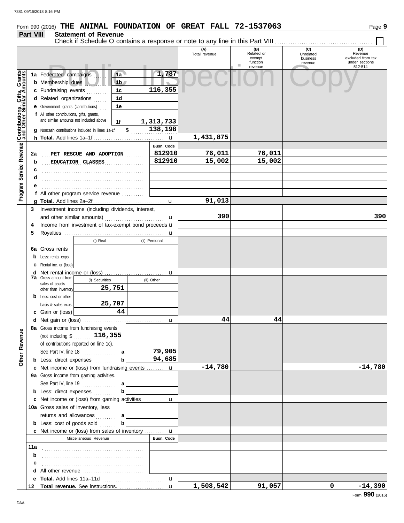# **Form 990 (2016) THE ANIMAL FOUNDATION OF GREAT FALL 72-1537063** Page 9

### **Part VIII Statement of Revenue**

|                                                     |     | שנמנפו ופות טו ו <i>נ</i> פעפו ומפ                                                                                                                                                  |                   |                      |                                                    |                                         |                                                                  |
|-----------------------------------------------------|-----|-------------------------------------------------------------------------------------------------------------------------------------------------------------------------------------|-------------------|----------------------|----------------------------------------------------|-----------------------------------------|------------------------------------------------------------------|
|                                                     |     |                                                                                                                                                                                     |                   | (A)<br>Total revenue | (B)<br>Related or<br>exempt<br>function<br>revenue | (C)<br>Unrelated<br>business<br>revenue | (D)<br>Revenue<br>excluded from tax<br>under sections<br>512-514 |
|                                                     |     | 1a Federated campaigns<br>1a<br><b>b</b> Membership dues<br>1 <sub>b</sub><br>1 <sub>c</sub><br>c Fundraising events                                                                | 1,787<br>116,355  |                      |                                                    |                                         |                                                                  |
| Service Revenue <b>Contributions, Gifts, Grants</b> |     | 1 <sub>d</sub><br>d Related organizations<br>e Government grants (contributions)<br>1e<br>f All other contributions, gifts, grants,<br>and similar amounts not included above<br>1f | 1,313,733         |                      |                                                    |                                         |                                                                  |
|                                                     |     | g Noncash contributions included in lines 1a-1f: \$ 138,198                                                                                                                         |                   | 1,431,875            |                                                    |                                         |                                                                  |
|                                                     |     |                                                                                                                                                                                     | <b>Busn. Code</b> |                      |                                                    |                                         |                                                                  |
|                                                     | 2a  | PET RESCUE AND ADOPTION                                                                                                                                                             | 812910            | 76,011               | 76,011                                             |                                         |                                                                  |
|                                                     | b   | EDUCATION CLASSES                                                                                                                                                                   | 812910            | 15,002               | 15,002                                             |                                         |                                                                  |
|                                                     |     |                                                                                                                                                                                     |                   |                      |                                                    |                                         |                                                                  |
|                                                     |     |                                                                                                                                                                                     |                   |                      |                                                    |                                         |                                                                  |
|                                                     |     |                                                                                                                                                                                     |                   |                      |                                                    |                                         |                                                                  |
| Program <sup>9</sup>                                |     | f All other program service revenue                                                                                                                                                 |                   |                      |                                                    |                                         |                                                                  |
|                                                     |     |                                                                                                                                                                                     |                   | 91,013               |                                                    |                                         |                                                                  |
|                                                     |     | 3 Investment income (including dividends, interest,                                                                                                                                 |                   |                      |                                                    |                                         |                                                                  |
|                                                     |     |                                                                                                                                                                                     |                   | 390                  |                                                    |                                         | 390                                                              |
|                                                     | 4   | Income from investment of tax-exempt bond proceeds u                                                                                                                                |                   |                      |                                                    |                                         |                                                                  |
|                                                     | 5   |                                                                                                                                                                                     |                   |                      |                                                    |                                         |                                                                  |
|                                                     |     | (i) Real                                                                                                                                                                            | (ii) Personal     |                      |                                                    |                                         |                                                                  |
|                                                     |     | <b>6a</b> Gross rents                                                                                                                                                               |                   |                      |                                                    |                                         |                                                                  |
|                                                     |     | <b>b</b> Less: rental exps.                                                                                                                                                         |                   |                      |                                                    |                                         |                                                                  |
|                                                     |     | <b>c</b> Rental inc. or (loss)                                                                                                                                                      |                   |                      |                                                    |                                         |                                                                  |
|                                                     |     |                                                                                                                                                                                     |                   |                      |                                                    |                                         |                                                                  |
|                                                     |     | <b>7a</b> Gross amount from<br>(i) Securities                                                                                                                                       | (ii) Other        |                      |                                                    |                                         |                                                                  |
|                                                     |     | sales of assets<br>25,751<br>other than inventory                                                                                                                                   |                   |                      |                                                    |                                         |                                                                  |
|                                                     |     | <b>b</b> Less: cost or other                                                                                                                                                        |                   |                      |                                                    |                                         |                                                                  |
|                                                     |     | 25,707<br>basis & sales exps.                                                                                                                                                       |                   |                      |                                                    |                                         |                                                                  |
|                                                     |     | 44<br>c Gain or (loss)                                                                                                                                                              |                   |                      |                                                    |                                         |                                                                  |
|                                                     |     |                                                                                                                                                                                     |                   | 44                   | 44                                                 |                                         |                                                                  |
| Φ                                                   |     | 8a Gross income from fundraising events                                                                                                                                             |                   |                      |                                                    |                                         |                                                                  |
| Other Revenu                                        |     | (not including $\sqrt[6]{}$ , 116, 355<br>of contributions reported on line 1c).<br>See Part IV, line $18$<br>a                                                                     | 79,905            |                      |                                                    |                                         |                                                                  |
|                                                     |     | <b>b</b> Less: direct expenses<br>b                                                                                                                                                 | 94,685            |                      |                                                    |                                         |                                                                  |
|                                                     |     | c Net income or (loss) from fundraising events  u                                                                                                                                   |                   | $-14,780$            |                                                    |                                         | $-14,780$                                                        |
|                                                     |     | 9a Gross income from gaming activities.                                                                                                                                             |                   |                      |                                                    |                                         |                                                                  |
|                                                     |     | See Part IV, line $19$<br>a                                                                                                                                                         |                   |                      |                                                    |                                         |                                                                  |
|                                                     |     | <b>b</b> Less: direct expenses                                                                                                                                                      |                   |                      |                                                    |                                         |                                                                  |
|                                                     |     | c Net income or (loss) from gaming activities  u                                                                                                                                    |                   |                      |                                                    |                                         |                                                                  |
|                                                     |     | 10a Gross sales of inventory, less                                                                                                                                                  |                   |                      |                                                    |                                         |                                                                  |
|                                                     |     | returns and allowances<br>a                                                                                                                                                         |                   |                      |                                                    |                                         |                                                                  |
|                                                     |     | <b>b</b> Less: cost of goods sold<br>b                                                                                                                                              |                   |                      |                                                    |                                         |                                                                  |
|                                                     |     | c Net income or (loss) from sales of inventory  u                                                                                                                                   |                   |                      |                                                    |                                         |                                                                  |
|                                                     |     | Miscellaneous Revenue                                                                                                                                                               | Busn. Code        |                      |                                                    |                                         |                                                                  |
|                                                     | 11a |                                                                                                                                                                                     |                   |                      |                                                    |                                         |                                                                  |
|                                                     | b   |                                                                                                                                                                                     |                   |                      |                                                    |                                         |                                                                  |
|                                                     | c   |                                                                                                                                                                                     |                   |                      |                                                    |                                         |                                                                  |
|                                                     |     | <b>d</b> All other revenue $\ldots, \ldots, \ldots, \ldots, \ldots, \ldots, \ldots$                                                                                                 |                   |                      |                                                    |                                         |                                                                  |
|                                                     |     |                                                                                                                                                                                     | u                 |                      |                                                    |                                         |                                                                  |
|                                                     |     |                                                                                                                                                                                     |                   | 1,508,542            | 91,057                                             | οI                                      | $-14,390$                                                        |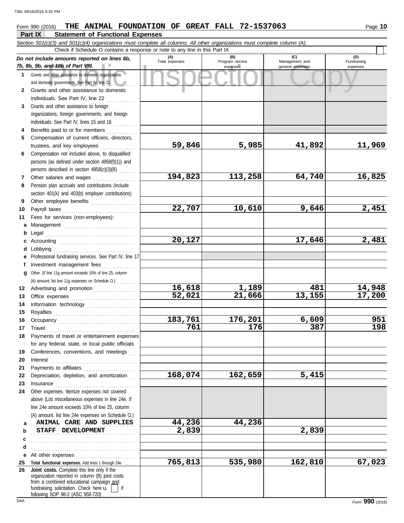#### nd 10b of Part VIII.<br>
dother assistance to domestic organizations<br>
and other assistance to domestic<br>
and other assistance to domestic **Part IX Statement of Functional Expenses Form 990 (2016) THE ANIMAL FOUNDATION OF GREAT FALL 72-1537063** Page 10 *Section 501(c)(3) and 501(c)(4) organizations must complete all columns. All other organizations must complete column (A). Do not include amounts reported on lines 6b, 7b, 8b, 9b, and 10b of Part VIII.* **1 2 3** Grants and other assistance to foreign **4 5 6 7 8 9 10** Payroll taxes . . . . . . . . . . . . . . . . . . . . . . . . . . . . . . . . . **11 a** Management ................................ **b** Legal **c** Accounting . . . . . . . . . . . . . . . . . . . . . . . . . . . . . . . . . . **d** Lobbying . . . . . . . . . . . . . . . . . . . . . . . . . . . . . . . . . . . . . **e** Professional fundraising services. See Part IV, line 17 **f g** Other. (If line 11g amount exceeds 10% of line 25, column **12** Advertising and promotion . . . . . . . . . . . . . . . . . . **13 14 15 16 17 18** Grants and other assistance to domestic organizations and domestic governments. See Part IV, line 21 Grants and other assistance to domestic individuals. See Part IV, line 22 organizations, foreign governments, and foreign individuals. See Part IV, lines 15 and 16 . . . . . . . . . . Benefits paid to or for members . . . . . . . . . . . . . Compensation of current officers, directors, trustees, and key employees Compensation not included above, to disqualified persons (as defined under section 4958(f)(1)) and persons described in section 4958(c)(3)(B) . . . . . . . Other salaries and wages .................... Pension plan accruals and contributions (include section 401(k) and 403(b) employer contributions) Other employee benefits .................... Fees for services (non-employees): . . . . . . . . . . . . . . . . . . . . . . . . . . . . . . . . . . . . . . . . . Investment management fees ................ Office expenses . . . . . . . . . . . . . . . . . . . . . . . . . . . . . Information technology ...................... Royalties . . . . . . . . . . . . . . . . . . . . . . . . . . . . . . . . . . . . . Occupancy . . . . . . . . . . . . . . . . . . . . . . . . . . . . . . . . . . Travel . . . . . . . . . . . . . . . . . . . . . . . . . . . . . . . . . . . . . . . . Payments of travel or entertainment expenses **(A) (B) (C) (D)** Total expenses Program service<br>
expenses Program service<br>
expenses Program service and general expenses expenses general expenses Check if Schedule O contains a response or note to any line in this Part IX (A) amount, list line 11g expenses on Schedule O.) . . . . . . . . **59,846 5,985 41,892 11,969 194,823 113,258 64,740 16,825 22,707 10,610 9,646 2,451 20,127 17,646 2,481 16,618 1,189 481 14,948 52,021 21,666 13,155 17,200 183,761 176,201 6,609 951 761 176 387 198** 7381 09/16/2018 8:16 PM

**168,074 162,659 5,415**

**765,813 535,980 162,810 67,023**

**19 20 21 22** Depreciation, depletion, and amortization **... 23 24** Other expenses. Itemize expenses not covered **a b c d** Conferences, conventions, and meetings Interest . . . . . . . . . . . . . . . . . . . . . . . . . . . . . . . . . . . . . . Payments to affiliates . . . . . . . . . . . . . . . . . . . . . . . Insurance . . . . . . . . . . . . . . . . . . . . . . . . . . . . . . . . . . . . above (List miscellaneous expenses in line 24e. If line 24e amount exceeds 10% of line 25, column (A) amount, list line 24e expenses on Schedule O.) **ANIMAL CARE AND SUPPLIES 44,236 44,236 8TAFF DEVELOPMENT** 2,839 2.839 . . . . . . . . . . . . . . . . . . . . . . . . . . . . . . . . . . . . . . . . . . . . . . .

. . . . . . . . . . . . . . . . . . . . . . . . . . . . . . . . . . . . . . . . . . . . . . .

for any federal, state, or local public officials

**e** All other expenses . . . . . . . . . . . . . . . . . . . . . . . . . . . 25 Total functional expenses. Add lines 1 through 24e ..... **26** fundraising solicitation. Check here  $\mathbf{u}$  | if organization reported in column (B) joint costs from a combined educational campaign and following SOP 98-2 (ASC 958-720) . **Joint costs.** Complete this line only if the

(D)<br>Fundraising expenses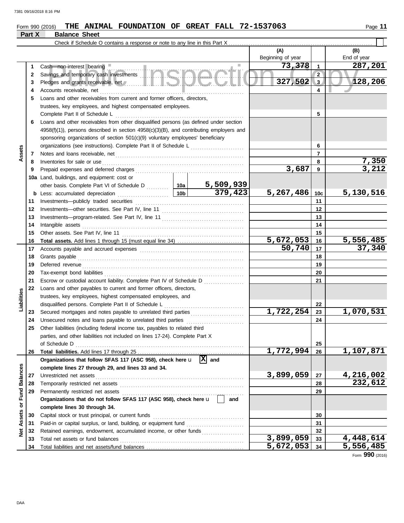## **Form 990 (2016) THE ANIMAL FOUNDATION OF GREAT FALL 72-1537063** Page 11

|                  | Part X   | <b>Balance Sheet</b>                                                                                                                                                                                                                |                    |                       |                         |                       |
|------------------|----------|-------------------------------------------------------------------------------------------------------------------------------------------------------------------------------------------------------------------------------------|--------------------|-----------------------|-------------------------|-----------------------|
|                  |          | Check if Schedule O contains a response or note to any line in this Part X                                                                                                                                                          |                    |                       |                         |                       |
|                  |          |                                                                                                                                                                                                                                     |                    | (A)                   |                         | (B)<br>End of year    |
|                  |          |                                                                                                                                                                                                                                     |                    | Beginning of year     |                         |                       |
|                  | 1        |                                                                                                                                                                                                                                     |                    | 73,378                | $\mathbf{1}$            | 287,201               |
|                  | 2        |                                                                                                                                                                                                                                     |                    |                       | $\overline{2}$          |                       |
|                  | 3        |                                                                                                                                                                                                                                     |                    | 327,502               | $\overline{\mathbf{3}}$ | 128,206               |
|                  | 4        |                                                                                                                                                                                                                                     |                    |                       | 4                       |                       |
|                  | 5        | Loans and other receivables from current and former officers, directors,                                                                                                                                                            |                    |                       |                         |                       |
|                  |          | trustees, key employees, and highest compensated employees.                                                                                                                                                                         |                    |                       |                         |                       |
|                  |          | Complete Part II of Schedule L                                                                                                                                                                                                      |                    |                       | 5                       |                       |
|                  | 6        | Loans and other receivables from other disqualified persons (as defined under section                                                                                                                                               |                    |                       |                         |                       |
|                  |          | $4958(f)(1)$ ), persons described in section $4958(c)(3)(B)$ , and contributing employers and                                                                                                                                       |                    |                       |                         |                       |
|                  |          | sponsoring organizations of section 501(c)(9) voluntary employees' beneficiary                                                                                                                                                      |                    |                       |                         |                       |
|                  |          | organizations (see instructions). Complete Part II of Schedule L                                                                                                                                                                    |                    |                       | 6                       |                       |
| Assets           | 7        |                                                                                                                                                                                                                                     |                    |                       | $\overline{7}$          |                       |
|                  | 8        | Inventories for sale or use <i>continuous continuous continuous</i> continuous continuous continuous continuous continuous continuous continuous continuous continuous continuous continuous continuous continuous continuous conti |                    | 3,687                 | 8<br>9                  | <u>7,350</u><br>3,212 |
|                  | 9        |                                                                                                                                                                                                                                     |                    |                       |                         |                       |
|                  |          | 10a Land, buildings, and equipment: cost or                                                                                                                                                                                         |                    |                       |                         |                       |
|                  | b        |                                                                                                                                                                                                                                     |                    | 5,267,486             | 10c                     | 5,130,516             |
|                  | 11       |                                                                                                                                                                                                                                     |                    |                       | 11                      |                       |
|                  | 12       |                                                                                                                                                                                                                                     |                    |                       | 12                      |                       |
|                  | 13       |                                                                                                                                                                                                                                     |                    |                       | 13                      |                       |
|                  | 14       | Intangible assets                                                                                                                                                                                                                   |                    |                       | 14                      |                       |
|                  | 15       |                                                                                                                                                                                                                                     |                    |                       | 15                      |                       |
|                  | 16       |                                                                                                                                                                                                                                     |                    | 5,672,053             | 16                      | <u>5,556,485</u>      |
|                  | 17       |                                                                                                                                                                                                                                     |                    | $\overline{50}$ , 740 | 17                      | 37,340                |
|                  | 18       |                                                                                                                                                                                                                                     |                    |                       | 18                      |                       |
|                  | 19       |                                                                                                                                                                                                                                     |                    |                       | 19                      |                       |
|                  | 20       |                                                                                                                                                                                                                                     |                    |                       | 20                      |                       |
|                  | 21       | Escrow or custodial account liability. Complete Part IV of Schedule D                                                                                                                                                               |                    |                       | 21                      |                       |
|                  | 22       | Loans and other payables to current and former officers, directors,                                                                                                                                                                 |                    |                       |                         |                       |
| Liabilities      |          | trustees, key employees, highest compensated employees, and                                                                                                                                                                         |                    |                       |                         |                       |
|                  |          | disqualified persons. Complete Part II of Schedule L                                                                                                                                                                                |                    |                       | 22                      |                       |
|                  | 23       | Secured mortgages and notes payable to unrelated third parties                                                                                                                                                                      |                    | 1,722,254             | 23                      | 1,070,531             |
|                  | 24       |                                                                                                                                                                                                                                     |                    |                       | 24                      |                       |
|                  | 25       | Other liabilities (including federal income tax, payables to related third                                                                                                                                                          |                    |                       |                         |                       |
|                  |          | parties, and other liabilities not included on lines 17-24). Complete Part X                                                                                                                                                        |                    |                       |                         |                       |
|                  |          | of Schedule D                                                                                                                                                                                                                       |                    |                       | 25                      |                       |
|                  | 26       |                                                                                                                                                                                                                                     | $\overline{X}$ and | 1,772,994             | 26                      | 1,107,871             |
|                  |          | Organizations that follow SFAS 117 (ASC 958), check here u                                                                                                                                                                          |                    |                       |                         |                       |
|                  |          | complete lines 27 through 29, and lines 33 and 34.                                                                                                                                                                                  |                    | 3,899,059             |                         |                       |
|                  | 27       | Unrestricted net assets                                                                                                                                                                                                             |                    |                       | 27                      | 4,216,002<br>232,612  |
| or Fund Balances | 28<br>29 |                                                                                                                                                                                                                                     |                    |                       | 28<br>29                |                       |
|                  |          | Organizations that do not follow SFAS 117 (ASC 958), check here u                                                                                                                                                                   | and                |                       |                         |                       |
|                  |          | complete lines 30 through 34.                                                                                                                                                                                                       |                    |                       |                         |                       |
|                  | 30       |                                                                                                                                                                                                                                     |                    |                       | 30                      |                       |
| Assets           | 31       |                                                                                                                                                                                                                                     |                    |                       | 31                      |                       |
| ğ                | 32       | Retained earnings, endowment, accumulated income, or other funds                                                                                                                                                                    |                    |                       | 32                      |                       |
|                  | 33       |                                                                                                                                                                                                                                     |                    | 3,899,059             | 33                      | 4,448,614             |
|                  | 34       |                                                                                                                                                                                                                                     |                    | 5,672,053             | 34                      | 5,556,485             |

Form **990** (2016)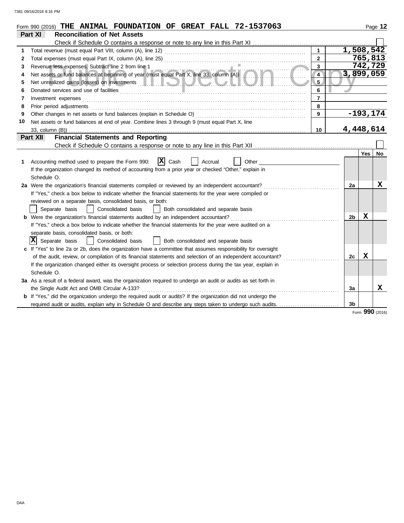|    | $Form$ 990 (2016) THE ANIMAL FOUNDATION OF GREAT FALL $72-1537063$                                                                                                                                                             |                |                |             | Page 12 |
|----|--------------------------------------------------------------------------------------------------------------------------------------------------------------------------------------------------------------------------------|----------------|----------------|-------------|---------|
|    | Part XI<br><b>Reconciliation of Net Assets</b>                                                                                                                                                                                 |                |                |             |         |
|    |                                                                                                                                                                                                                                |                |                |             |         |
| 1  |                                                                                                                                                                                                                                |                |                | 1,508,542   |         |
| 2  |                                                                                                                                                                                                                                | $\mathbf{2}$   |                | 765,813     |         |
| 3  | Revenue less expenses. Subtract line 2 from line 1                                                                                                                                                                             | $\mathbf{3}$   |                | 742,729     |         |
| 4  | Revenue less expenses. Subtract line 2 from line 1<br>Net assets or fund balances at beginning of year (must equal Part X, line 33, column (A))                                                                                | $\overline{4}$ |                | 3,899,059   |         |
| 5  |                                                                                                                                                                                                                                | 5.             |                |             |         |
| 6  |                                                                                                                                                                                                                                | 6              |                |             |         |
| 7  |                                                                                                                                                                                                                                | $\overline{7}$ |                |             |         |
| 8  | Prior period adjustments [11] production and the contract of the contract of the contract of the contract of the contract of the contract of the contract of the contract of the contract of the contract of the contract of t | 8              |                |             |         |
| 9  |                                                                                                                                                                                                                                | 9              |                | $-193, 174$ |         |
| 10 | Net assets or fund balances at end of year. Combine lines 3 through 9 (must equal Part X, line                                                                                                                                 |                |                |             |         |
|    | 33, column (B))                                                                                                                                                                                                                | 10             |                | 4,448,614   |         |
|    | <b>Financial Statements and Reporting</b><br>Part XII                                                                                                                                                                          |                |                |             |         |
|    |                                                                                                                                                                                                                                |                |                |             |         |
|    |                                                                                                                                                                                                                                |                |                | Yes         | No      |
| 1. | X Cash<br>Accounting method used to prepare the Form 990:<br>Accrual<br>Other                                                                                                                                                  |                |                |             |         |
|    | If the organization changed its method of accounting from a prior year or checked "Other," explain in                                                                                                                          |                |                |             |         |
|    | Schedule O.                                                                                                                                                                                                                    |                |                |             |         |
|    | 2a Were the organization's financial statements compiled or reviewed by an independent accountant?                                                                                                                             |                | 2a             |             | X       |
|    | If "Yes," check a box below to indicate whether the financial statements for the year were compiled or                                                                                                                         |                |                |             |         |
|    | reviewed on a separate basis, consolidated basis, or both:                                                                                                                                                                     |                |                |             |         |
|    | Separate basis<br>Consolidated basis<br>Both consolidated and separate basis                                                                                                                                                   |                |                |             |         |
|    |                                                                                                                                                                                                                                |                | 2 <sub>b</sub> | X           |         |
|    | If "Yes," check a box below to indicate whether the financial statements for the year were audited on a                                                                                                                        |                |                |             |         |
|    | separate basis, consolidated basis, or both:                                                                                                                                                                                   |                |                |             |         |
|    | IхI<br>Separate basis<br>Consolidated basis<br>Both consolidated and separate basis                                                                                                                                            |                |                |             |         |
|    | c If "Yes" to line 2a or 2b, does the organization have a committee that assumes responsibility for oversight                                                                                                                  |                |                |             |         |
|    | of the audit, review, or compilation of its financial statements and selection of an independent accountant?                                                                                                                   |                | 2c             | x           |         |
|    | If the organization changed either its oversight process or selection process during the tax year, explain in                                                                                                                  |                |                |             |         |
|    | Schedule O.                                                                                                                                                                                                                    |                |                |             |         |
|    | 3a As a result of a federal award, was the organization required to undergo an audit or audits as set forth in                                                                                                                 |                |                |             |         |
|    | the Single Audit Act and OMB Circular A-133?                                                                                                                                                                                   |                | 3a             |             | x       |
|    | <b>b</b> If "Yes," did the organization undergo the required audit or audits? If the organization did not undergo the                                                                                                          |                |                |             |         |
|    |                                                                                                                                                                                                                                |                | 3b             |             |         |
|    |                                                                                                                                                                                                                                |                |                | <b>OOO</b>  |         |

Form **990** (2016)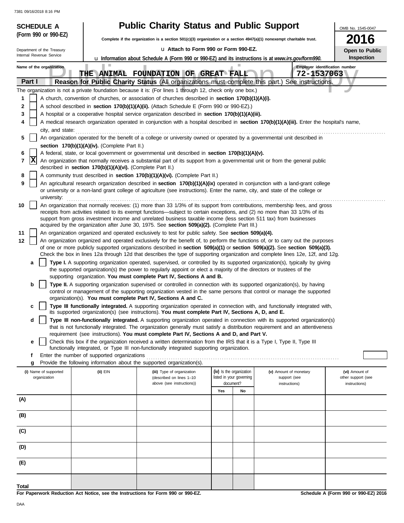| <b>SCHEDULE A</b>          |                                                                                                   | <b>Public Charity Status and Public Support</b>                                                                                                                                                                     |                                       |                                                                                                                                                                                                                                                                | OMB No. 1545-0047                          |  |  |  |  |  |
|----------------------------|---------------------------------------------------------------------------------------------------|---------------------------------------------------------------------------------------------------------------------------------------------------------------------------------------------------------------------|---------------------------------------|----------------------------------------------------------------------------------------------------------------------------------------------------------------------------------------------------------------------------------------------------------------|--------------------------------------------|--|--|--|--|--|
| (Form 990 or 990-EZ)       |                                                                                                   | Complete if the organization is a section 501(c)(3) organization or a section 4947(a)(1) nonexempt charitable trust.                                                                                                |                                       |                                                                                                                                                                                                                                                                | 2016                                       |  |  |  |  |  |
| Department of the Treasury | La Attach to Form 990 or Form 990-EZ.<br>Open to Public                                           |                                                                                                                                                                                                                     |                                       |                                                                                                                                                                                                                                                                |                                            |  |  |  |  |  |
| Internal Revenue Service   |                                                                                                   | <b>u</b> Information about Schedule A (Form 990 or 990-EZ) and its instructions is at www.irs.gov/form990.                                                                                                          |                                       |                                                                                                                                                                                                                                                                | Inspection                                 |  |  |  |  |  |
| Name of the organization   |                                                                                                   | THE ANIMAL FOUNDATION OF GREAT FALL                                                                                                                                                                                 |                                       | 72-1537063                                                                                                                                                                                                                                                     | Employer identification number             |  |  |  |  |  |
| Part I                     |                                                                                                   |                                                                                                                                                                                                                     |                                       | Reason for Public Charity Status (All organizations must complete this part.) See instructions.                                                                                                                                                                |                                            |  |  |  |  |  |
|                            |                                                                                                   | The organization is not a private foundation because it is: (For lines 1 through 12, check only one box.)                                                                                                           |                                       |                                                                                                                                                                                                                                                                |                                            |  |  |  |  |  |
| 1                          |                                                                                                   | A church, convention of churches, or association of churches described in section 170(b)(1)(A)(i).                                                                                                                  |                                       |                                                                                                                                                                                                                                                                |                                            |  |  |  |  |  |
| 2                          |                                                                                                   | A school described in section 170(b)(1)(A)(ii). (Attach Schedule E (Form 990 or 990-EZ).)                                                                                                                           |                                       |                                                                                                                                                                                                                                                                |                                            |  |  |  |  |  |
| 3                          | A hospital or a cooperative hospital service organization described in section 170(b)(1)(A)(iii). |                                                                                                                                                                                                                     |                                       |                                                                                                                                                                                                                                                                |                                            |  |  |  |  |  |
| 4<br>city, and state:      |                                                                                                   |                                                                                                                                                                                                                     |                                       | A medical research organization operated in conjunction with a hospital described in section 170(b)(1)(A)(iii). Enter the hospital's name,                                                                                                                     |                                            |  |  |  |  |  |
| 5                          |                                                                                                   |                                                                                                                                                                                                                     |                                       | An organization operated for the benefit of a college or university owned or operated by a governmental unit described in                                                                                                                                      |                                            |  |  |  |  |  |
|                            | section 170(b)(1)(A)(iv). (Complete Part II.)                                                     |                                                                                                                                                                                                                     |                                       |                                                                                                                                                                                                                                                                |                                            |  |  |  |  |  |
| 6                          |                                                                                                   | A federal, state, or local government or governmental unit described in section 170(b)(1)(A)(v).                                                                                                                    |                                       |                                                                                                                                                                                                                                                                |                                            |  |  |  |  |  |
| x <br>7                    | described in section 170(b)(1)(A)(vi). (Complete Part II.)                                        |                                                                                                                                                                                                                     |                                       | An organization that normally receives a substantial part of its support from a governmental unit or from the general public                                                                                                                                   |                                            |  |  |  |  |  |
| 8                          |                                                                                                   | A community trust described in section 170(b)(1)(A)(vi). (Complete Part II.)                                                                                                                                        |                                       |                                                                                                                                                                                                                                                                |                                            |  |  |  |  |  |
| 9                          |                                                                                                   | or university or a non-land grant college of agriculture (see instructions). Enter the name, city, and state of the college or                                                                                      |                                       | An agricultural research organization described in section 170(b)(1)(A)(ix) operated in conjunction with a land-grant college                                                                                                                                  |                                            |  |  |  |  |  |
| university:<br>10          |                                                                                                   |                                                                                                                                                                                                                     |                                       | An organization that normally receives: (1) more than 33 1/3% of its support from contributions, membership fees, and gross                                                                                                                                    |                                            |  |  |  |  |  |
|                            |                                                                                                   | support from gross investment income and unrelated business taxable income (less section 511 tax) from businesses                                                                                                   |                                       | receipts from activities related to its exempt functions—subject to certain exceptions, and (2) no more than 33 1/3% of its                                                                                                                                    |                                            |  |  |  |  |  |
|                            |                                                                                                   | acquired by the organization after June 30, 1975. See section 509(a)(2). (Complete Part III.)                                                                                                                       |                                       |                                                                                                                                                                                                                                                                |                                            |  |  |  |  |  |
| 11                         |                                                                                                   | An organization organized and operated exclusively to test for public safety. See section 509(a)(4).                                                                                                                |                                       |                                                                                                                                                                                                                                                                |                                            |  |  |  |  |  |
| 12                         |                                                                                                   |                                                                                                                                                                                                                     |                                       | An organization organized and operated exclusively for the benefit of, to perform the functions of, or to carry out the purposes                                                                                                                               |                                            |  |  |  |  |  |
|                            |                                                                                                   |                                                                                                                                                                                                                     |                                       | of one or more publicly supported organizations described in section 509(a)(1) or section 509(a)(2). See section 509(a)(3).<br>Check the box in lines 12a through 12d that describes the type of supporting organization and complete lines 12e, 12f, and 12g. |                                            |  |  |  |  |  |
| a                          |                                                                                                   |                                                                                                                                                                                                                     |                                       | Type I. A supporting organization operated, supervised, or controlled by its supported organization(s), typically by giving                                                                                                                                    |                                            |  |  |  |  |  |
|                            |                                                                                                   | the supported organization(s) the power to regularly appoint or elect a majority of the directors or trustees of the                                                                                                |                                       |                                                                                                                                                                                                                                                                |                                            |  |  |  |  |  |
|                            |                                                                                                   | supporting organization. You must complete Part IV, Sections A and B.                                                                                                                                               |                                       |                                                                                                                                                                                                                                                                |                                            |  |  |  |  |  |
| b                          |                                                                                                   |                                                                                                                                                                                                                     |                                       | Type II. A supporting organization supervised or controlled in connection with its supported organization(s), by having<br>control or management of the supporting organization vested in the same persons that control or manage the supported                |                                            |  |  |  |  |  |
| c                          |                                                                                                   | organization(s). You must complete Part IV, Sections A and C.                                                                                                                                                       |                                       | Type III functionally integrated. A supporting organization operated in connection with, and functionally integrated with,                                                                                                                                     |                                            |  |  |  |  |  |
| d                          |                                                                                                   | its supported organization(s) (see instructions). You must complete Part IV, Sections A, D, and E.                                                                                                                  |                                       | Type III non-functionally integrated. A supporting organization operated in connection with its supported organization(s)                                                                                                                                      |                                            |  |  |  |  |  |
|                            |                                                                                                   |                                                                                                                                                                                                                     |                                       | that is not functionally integrated. The organization generally must satisfy a distribution requirement and an attentiveness                                                                                                                                   |                                            |  |  |  |  |  |
| е                          |                                                                                                   | requirement (see instructions). You must complete Part IV, Sections A and D, and Part V.<br>Check this box if the organization received a written determination from the IRS that it is a Type I, Type II, Type III |                                       |                                                                                                                                                                                                                                                                |                                            |  |  |  |  |  |
|                            |                                                                                                   | functionally integrated, or Type III non-functionally integrated supporting organization.                                                                                                                           |                                       |                                                                                                                                                                                                                                                                |                                            |  |  |  |  |  |
| f                          | Enter the number of supported organizations                                                       |                                                                                                                                                                                                                     |                                       |                                                                                                                                                                                                                                                                |                                            |  |  |  |  |  |
| g                          |                                                                                                   | Provide the following information about the supported organization(s).                                                                                                                                              |                                       |                                                                                                                                                                                                                                                                |                                            |  |  |  |  |  |
| (i) Name of supported      | $(ii)$ EIN                                                                                        | (iii) Type of organization                                                                                                                                                                                          | (iv) Is the organization              | (v) Amount of monetary                                                                                                                                                                                                                                         | (vi) Amount of                             |  |  |  |  |  |
| organization               |                                                                                                   | (described on lines 1-10<br>above (see instructions))                                                                                                                                                               | listed in your governing<br>document? | support (see<br>instructions)                                                                                                                                                                                                                                  | other support (see<br>instructions)        |  |  |  |  |  |
|                            |                                                                                                   |                                                                                                                                                                                                                     | Yes<br>No                             |                                                                                                                                                                                                                                                                |                                            |  |  |  |  |  |
| (A)                        |                                                                                                   |                                                                                                                                                                                                                     |                                       |                                                                                                                                                                                                                                                                |                                            |  |  |  |  |  |
| (B)                        |                                                                                                   |                                                                                                                                                                                                                     |                                       |                                                                                                                                                                                                                                                                |                                            |  |  |  |  |  |
|                            |                                                                                                   |                                                                                                                                                                                                                     |                                       |                                                                                                                                                                                                                                                                |                                            |  |  |  |  |  |
| (C)                        |                                                                                                   |                                                                                                                                                                                                                     |                                       |                                                                                                                                                                                                                                                                |                                            |  |  |  |  |  |
| (D)                        |                                                                                                   |                                                                                                                                                                                                                     |                                       |                                                                                                                                                                                                                                                                |                                            |  |  |  |  |  |
| (E)                        |                                                                                                   |                                                                                                                                                                                                                     |                                       |                                                                                                                                                                                                                                                                |                                            |  |  |  |  |  |
|                            |                                                                                                   |                                                                                                                                                                                                                     |                                       |                                                                                                                                                                                                                                                                |                                            |  |  |  |  |  |
| Total                      |                                                                                                   |                                                                                                                                                                                                                     |                                       |                                                                                                                                                                                                                                                                | <b>Cohodule A (Ferm 000 or 000 EZ) 204</b> |  |  |  |  |  |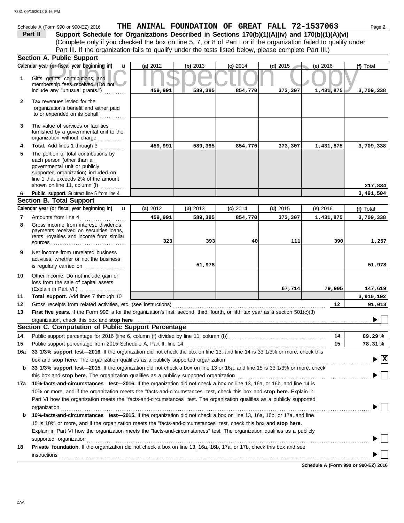|         | Schedule A (Form 990 or 990-EZ) 2016 |  |  |  | THE ANIMAL FOUNDATION OF GREAT FALL 72-1537063                                                 | Page 2 |
|---------|--------------------------------------|--|--|--|------------------------------------------------------------------------------------------------|--------|
| Part II |                                      |  |  |  | Support Schedule for Organizations Described in Sections 170(b)(1)(A)(iv) and 170(b)(1)(A)(vi) |        |

(Complete only if you checked the box on line 5, 7, or 8 of Part I or if the organization failed to qualify under Part III. If the organization fails to qualify under the tests listed below, please complete Part III.)

|              | <b>Section A. Public Support</b>                                                                                                                                                                                                                                                                                                                       |          |          |            |            |           |                                        |
|--------------|--------------------------------------------------------------------------------------------------------------------------------------------------------------------------------------------------------------------------------------------------------------------------------------------------------------------------------------------------------|----------|----------|------------|------------|-----------|----------------------------------------|
|              | Calendar year (or fiscal year beginning in)<br>u                                                                                                                                                                                                                                                                                                       | (a) 2012 | (b) 2013 | $(c)$ 2014 | $(d)$ 2015 | (e) 2016  | (f) Total                              |
| $\mathbf 1$  | Gifts, grants, contributions, and<br>membership fees received. (Do not                                                                                                                                                                                                                                                                                 |          |          |            |            |           |                                        |
|              | include any "unusual grants.")                                                                                                                                                                                                                                                                                                                         | 459,991  | 589,395  | 854,770    | 373,307    | 1,431,875 | 3,709,338                              |
| $\mathbf{2}$ | Tax revenues levied for the<br>organization's benefit and either paid<br>to or expended on its behalf                                                                                                                                                                                                                                                  |          |          |            |            |           |                                        |
| 3            | The value of services or facilities<br>furnished by a governmental unit to the<br>organization without charge                                                                                                                                                                                                                                          |          |          |            |            |           |                                        |
| 4            | Total. Add lines 1 through 3                                                                                                                                                                                                                                                                                                                           | 459,991  | 589,395  | 854,770    | 373,307    | 1,431,875 | 3,709,338                              |
| 5            | The portion of total contributions by<br>each person (other than a<br>governmental unit or publicly<br>supported organization) included on<br>line 1 that exceeds 2% of the amount                                                                                                                                                                     |          |          |            |            |           |                                        |
|              | shown on line 11, column (f)                                                                                                                                                                                                                                                                                                                           |          |          |            |            |           | 217,834                                |
| 6            | Public support. Subtract line 5 from line 4.<br><b>Section B. Total Support</b>                                                                                                                                                                                                                                                                        |          |          |            |            |           | 3,491,504                              |
|              | Calendar year (or fiscal year beginning in)<br>$\mathbf{u}$                                                                                                                                                                                                                                                                                            | (a) 2012 | (b) 2013 | $(c)$ 2014 | $(d)$ 2015 | (e) 2016  | (f) Total                              |
| 7            | Amounts from line 4                                                                                                                                                                                                                                                                                                                                    | 459,991  | 589,395  | 854,770    | 373,307    | 1,431,875 | 3,709,338                              |
| 8            | Gross income from interest, dividends,<br>payments received on securities loans,<br>rents, royalties and income from similar                                                                                                                                                                                                                           |          |          |            |            |           |                                        |
|              |                                                                                                                                                                                                                                                                                                                                                        | 323      | 393      | 40         | 111        | 390       | 1,257                                  |
| 9            | Net income from unrelated business<br>activities, whether or not the business<br>is regularly carried on                                                                                                                                                                                                                                               |          | 51,978   |            |            |           | 51,978                                 |
| 10           | Other income. Do not include gain or<br>loss from the sale of capital assets                                                                                                                                                                                                                                                                           |          |          |            |            |           |                                        |
|              | (Explain in Part VI.)                                                                                                                                                                                                                                                                                                                                  |          |          |            | 67,714     | 79,905    | 147,619                                |
| 11           | Total support. Add lines 7 through 10                                                                                                                                                                                                                                                                                                                  |          |          |            |            |           | 3,910,192                              |
| 12           | Gross receipts from related activities, etc. (see instructions)                                                                                                                                                                                                                                                                                        |          |          |            |            | 12        | 91,013                                 |
| 13           | First five years. If the Form 990 is for the organization's first, second, third, fourth, or fifth tax year as a section 501(c)(3)                                                                                                                                                                                                                     |          |          |            |            |           |                                        |
|              |                                                                                                                                                                                                                                                                                                                                                        |          |          |            |            |           |                                        |
|              | Section C. Computation of Public Support Percentage                                                                                                                                                                                                                                                                                                    |          |          |            |            |           |                                        |
| 14           | Public support percentage for 2016 (line 6, column (f) divided by line 11, column (f)) [[[[[[[[[[[[[[[[[[[[[[                                                                                                                                                                                                                                          |          |          |            |            | 14        | 89.29%                                 |
| 15           |                                                                                                                                                                                                                                                                                                                                                        |          |          |            |            | 15        | 78.31%                                 |
|              | 16a 33 1/3% support test-2016. If the organization did not check the box on line 13, and line 14 is 33 1/3% or more, check this                                                                                                                                                                                                                        |          |          |            |            |           |                                        |
|              | box and stop here. The organization qualifies as a publicly supported organization                                                                                                                                                                                                                                                                     |          |          |            |            |           | $\blacktriangleright \boxed{\text{X}}$ |
| b            | 33 1/3% support test-2015. If the organization did not check a box on line 13 or 16a, and line 15 is 33 1/3% or more, check                                                                                                                                                                                                                            |          |          |            |            |           |                                        |
|              |                                                                                                                                                                                                                                                                                                                                                        |          |          |            |            |           |                                        |
| 17a          | 10%-facts-and-circumstances test-2016. If the organization did not check a box on line 13, 16a, or 16b, and line 14 is                                                                                                                                                                                                                                 |          |          |            |            |           |                                        |
|              | 10% or more, and if the organization meets the "facts-and-circumstances" test, check this box and stop here. Explain in<br>Part VI how the organization meets the "facts-and-circumstances" test. The organization qualifies as a publicly supported                                                                                                   |          |          |            |            |           |                                        |
|              |                                                                                                                                                                                                                                                                                                                                                        |          |          |            |            |           |                                        |
|              | organization<br><u>expanization</u>                                                                                                                                                                                                                                                                                                                    |          |          |            |            |           |                                        |
| b            | 10%-facts-and-circumstances test-2015. If the organization did not check a box on line 13, 16a, 16b, or 17a, and line                                                                                                                                                                                                                                  |          |          |            |            |           |                                        |
|              | 15 is 10% or more, and if the organization meets the "facts-and-circumstances" test, check this box and stop here.<br>Explain in Part VI how the organization meets the "facts-and-circumstances" test. The organization qualifies as a publicly                                                                                                       |          |          |            |            |           |                                        |
|              |                                                                                                                                                                                                                                                                                                                                                        |          |          |            |            |           |                                        |
| 18           | supported organization contains and contains a supported organization contains a supported organization contains a supported organization contains a supported organization contains a supported or support of the support of<br>Private foundation. If the organization did not check a box on line 13, 16a, 16b, 17a, or 17b, check this box and see |          |          |            |            |           |                                        |
|              |                                                                                                                                                                                                                                                                                                                                                        |          |          |            |            |           |                                        |
|              | instructions<br><sub>contr</sub> ettions<br>and the contract of the contract of the contract of the contract of the contract of the contract of the contract of the contract of the contract of the contract of the contract of the contract                                                                                                           |          |          |            |            |           |                                        |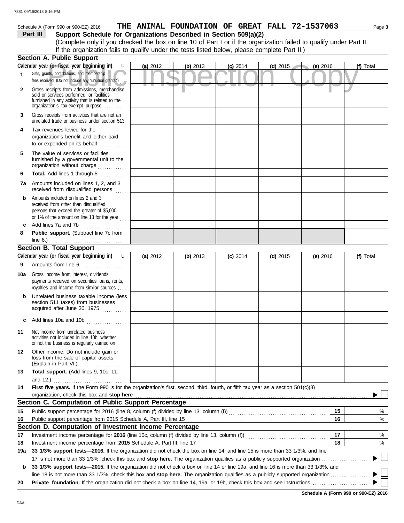## Schedule A (Form 990 or 990-EZ) 2016 **THE ANIMAL FOUNDATION OF GREAT FALL 72-1537063** Page 3

# **Part III Support Schedule for Organizations Described in Section 509(a)(2)**

(Complete only if you checked the box on line 10 of Part I or if the organization failed to qualify under Part II. If the organization fails to qualify under the tests listed below, please complete Part II.)

|              | <b>Section A. Public Support</b>                                                                                                                                                                                                     |          |          |            |            |            |           |
|--------------|--------------------------------------------------------------------------------------------------------------------------------------------------------------------------------------------------------------------------------------|----------|----------|------------|------------|------------|-----------|
|              | Calendar year (or fiscal year beginning in)<br>u                                                                                                                                                                                     | (a) 2012 | (b) 2013 | $(c)$ 2014 | $(d)$ 2015 | (e) 2016   | (f) Total |
| $\mathbf{1}$ | Gifts, grants, contributions, and membership<br>fees received. (Do not include any "unusual grants.")                                                                                                                                |          |          |            |            |            |           |
| $\mathbf{2}$ | Gross receipts from admissions, merchandise<br>sold or services performed, or facilities<br>furnished in any activity that is related to the<br>organization's tax-exempt purpose                                                    |          |          |            |            |            |           |
| 3            | Gross receipts from activities that are not an<br>unrelated trade or business under section 513                                                                                                                                      |          |          |            |            |            |           |
| 4            | Tax revenues levied for the<br>organization's benefit and either paid                                                                                                                                                                |          |          |            |            |            |           |
| 5            | The value of services or facilities<br>furnished by a governmental unit to the<br>organization without charge                                                                                                                        |          |          |            |            |            |           |
| 6            | Total. Add lines 1 through 5<br>.                                                                                                                                                                                                    |          |          |            |            |            |           |
| 7а           | Amounts included on lines 1, 2, and 3<br>received from disqualified persons                                                                                                                                                          |          |          |            |            |            |           |
| b            | Amounts included on lines 2 and 3<br>received from other than disqualified<br>persons that exceed the greater of \$5,000<br>or 1% of the amount on line 13 for the year                                                              |          |          |            |            |            |           |
| C            | Add lines 7a and 7b<br>.                                                                                                                                                                                                             |          |          |            |            |            |           |
| 8            | Public support. (Subtract line 7c from                                                                                                                                                                                               |          |          |            |            |            |           |
|              | line 6.) $\ldots$ $\ldots$ $\ldots$ $\ldots$ $\ldots$ $\ldots$<br><b>Section B. Total Support</b>                                                                                                                                    |          |          |            |            |            |           |
|              | Calendar year (or fiscal year beginning in)<br>$\mathbf{u}$                                                                                                                                                                          | (a) 2012 | (b) 2013 | $(c)$ 2014 | (d) $2015$ | (e) $2016$ | (f) Total |
| 9            | Amounts from line 6                                                                                                                                                                                                                  |          |          |            |            |            |           |
|              |                                                                                                                                                                                                                                      |          |          |            |            |            |           |
| 10a          | Gross income from interest, dividends,<br>payments received on securities loans, rents,<br>royalties and income from similar sources                                                                                                 |          |          |            |            |            |           |
| b            | Unrelated business taxable income (less<br>section 511 taxes) from businesses<br>acquired after June 30, 1975                                                                                                                        |          |          |            |            |            |           |
| C            | Add lines 10a and 10b                                                                                                                                                                                                                |          |          |            |            |            |           |
| 11           | Net income from unrelated business<br>activities not included in line 10b, whether<br>or not the business is regularly carried on                                                                                                    |          |          |            |            |            |           |
| 12           | Other income. Do not include gain or<br>loss from the sale of capital assets<br>(Explain in Part VI.)                                                                                                                                |          |          |            |            |            |           |
| 13           | Total support. (Add lines 9, 10c, 11,                                                                                                                                                                                                |          |          |            |            |            |           |
|              | and $12.$ )                                                                                                                                                                                                                          |          |          |            |            |            |           |
| 14           | First five years. If the Form 990 is for the organization's first, second, third, fourth, or fifth tax year as a section 501(c)(3)                                                                                                   |          |          |            |            |            |           |
|              | organization, check this box and stop here                                                                                                                                                                                           |          |          |            |            |            |           |
|              | Section C. Computation of Public Support Percentage                                                                                                                                                                                  |          |          |            |            |            |           |
| 15           | Public support percentage for 2016 (line 8, column (f) divided by line 13, column (f) [[[[[[[[[[[[[[[[[[[[[[[                                                                                                                        |          |          |            |            | 15         | %<br>℅    |
| 16           | Section D. Computation of Investment Income Percentage                                                                                                                                                                               |          |          |            |            | 16         |           |
| 17           |                                                                                                                                                                                                                                      |          |          |            |            | 17         | %         |
| 18           | Investment income percentage from 2015 Schedule A, Part III, line 17 [ <i>[[[[[[ [ [ [ ]]</i> [[[[ ]]] [[ ]] [[ ]] [[ ] [ ]] [[ ] [[ ] [[ ] [[ ]] [[ ] [[ ] [[ ] [[ ] [[ ] [[ ] [[ ] [[ ] [[ ] [[ ] [[ ] [[ ] [[ ] [[ ] [[ ] [[ ] [[ |          |          |            |            | 18         | %         |
| 19a          | 33 1/3% support tests—2016. If the organization did not check the box on line 14, and line 15 is more than 33 1/3%, and line                                                                                                         |          |          |            |            |            |           |
|              |                                                                                                                                                                                                                                      |          |          |            |            |            |           |
| b            | 33 1/3% support tests-2015. If the organization did not check a box on line 14 or line 19a, and line 16 is more than 33 1/3%, and                                                                                                    |          |          |            |            |            |           |
|              | line 18 is not more than 33 1/3%, check this box and stop here. The organization qualifies as a publicly supported organization                                                                                                      |          |          |            |            |            |           |
| 20           |                                                                                                                                                                                                                                      |          |          |            |            |            |           |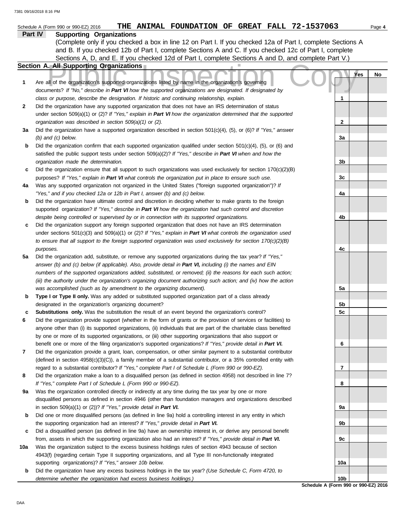|     | THE ANIMAL FOUNDATION OF GREAT FALL 72-1537063<br>Schedule A (Form 990 or 990-EZ) 2016                                                                                                                                |                 | Page 4    |
|-----|-----------------------------------------------------------------------------------------------------------------------------------------------------------------------------------------------------------------------|-----------------|-----------|
|     | Part IV<br><b>Supporting Organizations</b>                                                                                                                                                                            |                 |           |
|     | (Complete only if you checked a box in line 12 on Part I. If you checked 12a of Part I, complete Sections A                                                                                                           |                 |           |
|     | and B. If you checked 12b of Part I, complete Sections A and C. If you checked 12c of Part I, complete                                                                                                                |                 |           |
|     | Sections A, D, and E. If you checked 12d of Part I, complete Sections A and D, and complete Part V.)                                                                                                                  |                 |           |
|     | Section A. All Supporting Organizations                                                                                                                                                                               |                 |           |
|     |                                                                                                                                                                                                                       |                 | Yes<br>No |
| 1   | Are all of the organization's supported organizations listed by name in the organization's governing                                                                                                                  |                 |           |
|     | documents? If "No," describe in Part VI how the supported organizations are designated. If designated by                                                                                                              |                 |           |
|     | class or purpose, describe the designation. If historic and continuing relationship, explain.                                                                                                                         | 1               |           |
| 2   | Did the organization have any supported organization that does not have an IRS determination of status                                                                                                                |                 |           |
|     | under section 509(a)(1) or (2)? If "Yes," explain in Part VI how the organization determined that the supported                                                                                                       |                 |           |
|     | organization was described in section 509(a)(1) or (2).                                                                                                                                                               | 2               |           |
| За  | Did the organization have a supported organization described in section $501(c)(4)$ , (5), or (6)? If "Yes," answer                                                                                                   |                 |           |
|     | $(b)$ and $(c)$ below.                                                                                                                                                                                                | За              |           |
| b   | Did the organization confirm that each supported organization qualified under section $501(c)(4)$ , $(5)$ , or $(6)$ and                                                                                              |                 |           |
|     | satisfied the public support tests under section 509(a)(2)? If "Yes," describe in Part VI when and how the                                                                                                            |                 |           |
|     | organization made the determination.                                                                                                                                                                                  | 3b              |           |
| c   | Did the organization ensure that all support to such organizations was used exclusively for section $170(c)(2)(B)$                                                                                                    |                 |           |
|     | purposes? If "Yes," explain in Part VI what controls the organization put in place to ensure such use.                                                                                                                | 3c              |           |
| 4a  | Was any supported organization not organized in the United States ("foreign supported organization")? If                                                                                                              |                 |           |
|     | "Yes," and if you checked 12a or 12b in Part I, answer (b) and (c) below.                                                                                                                                             | 4a              |           |
| b   | Did the organization have ultimate control and discretion in deciding whether to make grants to the foreign                                                                                                           |                 |           |
|     | supported organization? If "Yes," describe in Part VI how the organization had such control and discretion                                                                                                            |                 |           |
|     | despite being controlled or supervised by or in connection with its supported organizations.                                                                                                                          | 4b              |           |
| c   | Did the organization support any foreign supported organization that does not have an IRS determination                                                                                                               |                 |           |
|     | under sections $501(c)(3)$ and $509(a)(1)$ or (2)? If "Yes," explain in Part VI what controls the organization used                                                                                                   |                 |           |
|     | to ensure that all support to the foreign supported organization was used exclusively for section $170(c)(2)(B)$                                                                                                      |                 |           |
|     | purposes.                                                                                                                                                                                                             | 4c              |           |
| 5a  | Did the organization add, substitute, or remove any supported organizations during the tax year? If "Yes,"                                                                                                            |                 |           |
|     | answer (b) and (c) below (if applicable). Also, provide detail in Part VI, including (i) the names and EIN                                                                                                            |                 |           |
|     | numbers of the supported organizations added, substituted, or removed; (ii) the reasons for each such action;                                                                                                         |                 |           |
|     | (iii) the authority under the organization's organizing document authorizing such action; and (iv) how the action                                                                                                     |                 |           |
|     | was accomplished (such as by amendment to the organizing document).                                                                                                                                                   | 5a              |           |
| b   | Type I or Type II only. Was any added or substituted supported organization part of a class already                                                                                                                   |                 |           |
|     | designated in the organization's organizing document?                                                                                                                                                                 | 5b              |           |
| c   | <b>Substitutions only.</b> Was the substitution the result of an event beyond the organization's control?                                                                                                             | 5c              |           |
| 6   | Did the organization provide support (whether in the form of grants or the provision of services or facilities) to                                                                                                    |                 |           |
|     | anyone other than (i) its supported organizations, (ii) individuals that are part of the charitable class benefited                                                                                                   |                 |           |
|     | by one or more of its supported organizations, or (iii) other supporting organizations that also support or                                                                                                           |                 |           |
|     | benefit one or more of the filing organization's supported organizations? If "Yes," provide detail in Part VI.                                                                                                        | 6               |           |
| 7   | Did the organization provide a grant, loan, compensation, or other similar payment to a substantial contributor                                                                                                       |                 |           |
|     | (defined in section $4958(c)(3)(C)$ ), a family member of a substantial contributor, or a 35% controlled entity with                                                                                                  |                 |           |
|     | regard to a substantial contributor? If "Yes," complete Part I of Schedule L (Form 990 or 990-EZ).                                                                                                                    | 7               |           |
| 8   | Did the organization make a loan to a disqualified person (as defined in section 4958) not described in line 7?                                                                                                       |                 |           |
|     | If "Yes," complete Part I of Schedule L (Form 990 or 990-EZ).                                                                                                                                                         | 8               |           |
| 9а  | Was the organization controlled directly or indirectly at any time during the tax year by one or more                                                                                                                 |                 |           |
|     | disqualified persons as defined in section 4946 (other than foundation managers and organizations described                                                                                                           |                 |           |
|     | in section $509(a)(1)$ or (2))? If "Yes," provide detail in Part VI.                                                                                                                                                  | 9а              |           |
| b   | Did one or more disqualified persons (as defined in line 9a) hold a controlling interest in any entity in which                                                                                                       |                 |           |
|     | the supporting organization had an interest? If "Yes," provide detail in Part VI.                                                                                                                                     | 9b              |           |
| c   | Did a disqualified person (as defined in line 9a) have an ownership interest in, or derive any personal benefit                                                                                                       |                 |           |
| 10a | from, assets in which the supporting organization also had an interest? If "Yes," provide detail in Part VI.<br>Was the organization subject to the excess business holdings rules of section 4943 because of section | 9c              |           |
|     | 4943(f) (regarding certain Type II supporting organizations, and all Type III non-functionally integrated                                                                                                             |                 |           |
|     | supporting organizations)? If "Yes," answer 10b below.                                                                                                                                                                | 10a             |           |
| b   | Did the organization have any excess business holdings in the tax year? (Use Schedule C, Form 4720, to                                                                                                                |                 |           |
|     | determine whether the organization had excess business holdings.)                                                                                                                                                     | 10 <sub>b</sub> |           |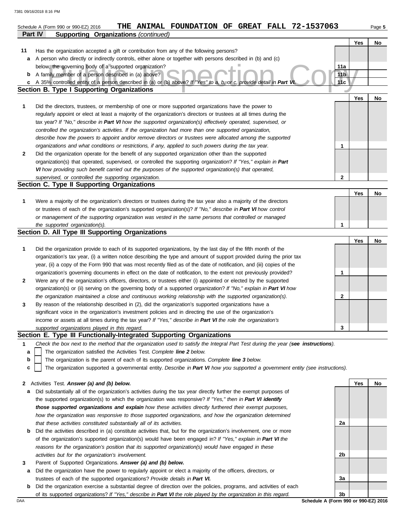|    | THE ANIMAL FOUNDATION OF GREAT FALL 72-1537063<br>Schedule A (Form 990 or 990-EZ) 2016                                                                                                                                     |                        |     | Page 5 |
|----|----------------------------------------------------------------------------------------------------------------------------------------------------------------------------------------------------------------------------|------------------------|-----|--------|
|    | Part IV<br><b>Supporting Organizations (continued)</b>                                                                                                                                                                     |                        |     |        |
|    |                                                                                                                                                                                                                            |                        | Yes | No     |
| 11 | Has the organization accepted a gift or contribution from any of the following persons?                                                                                                                                    |                        |     |        |
| a  | A person who directly or indirectly controls, either alone or together with persons described in (b) and (c)                                                                                                               |                        |     |        |
|    | below, the governing body of a supported organization?                                                                                                                                                                     | 11a                    |     |        |
| b  | A family member of a person described in (a) above?                                                                                                                                                                        | 11 <sub>b</sub><br>11c |     |        |
| с  | A 35% controlled entity of a person described in (a) or (b) above? If "Yes" to a, b, or c, provide detail in Part VI<br><b>Section B. Type I Supporting Organizations</b>                                                  |                        |     |        |
|    |                                                                                                                                                                                                                            |                        | Yes | No     |
| 1  | Did the directors, trustees, or membership of one or more supported organizations have the power to                                                                                                                        |                        |     |        |
|    | regularly appoint or elect at least a majority of the organization's directors or trustees at all times during the                                                                                                         |                        |     |        |
|    | tax year? If "No," describe in Part VI how the supported organization(s) effectively operated, supervised, or                                                                                                              |                        |     |        |
|    | controlled the organization's activities. If the organization had more than one supported organization,                                                                                                                    |                        |     |        |
|    | describe how the powers to appoint and/or remove directors or trustees were allocated among the supported                                                                                                                  |                        |     |        |
|    | organizations and what conditions or restrictions, if any, applied to such powers during the tax year.                                                                                                                     | 1                      |     |        |
| 2  | Did the organization operate for the benefit of any supported organization other than the supported                                                                                                                        |                        |     |        |
|    | organization(s) that operated, supervised, or controlled the supporting organization? If "Yes," explain in Part                                                                                                            |                        |     |        |
|    | VI how providing such benefit carried out the purposes of the supported organization(s) that operated,                                                                                                                     |                        |     |        |
|    | supervised, or controlled the supporting organization.                                                                                                                                                                     | $\mathbf{2}$           |     |        |
|    | Section C. Type II Supporting Organizations                                                                                                                                                                                |                        |     |        |
|    |                                                                                                                                                                                                                            |                        | Yes | No     |
| 1  | Were a majority of the organization's directors or trustees during the tax year also a majority of the directors                                                                                                           |                        |     |        |
|    | or trustees of each of the organization's supported organization(s)? If "No," describe in Part VI how control                                                                                                              |                        |     |        |
|    | or management of the supporting organization was vested in the same persons that controlled or managed                                                                                                                     |                        |     |        |
|    | the supported organization(s).                                                                                                                                                                                             | 1                      |     |        |
|    | Section D. All Type III Supporting Organizations                                                                                                                                                                           |                        |     |        |
|    |                                                                                                                                                                                                                            |                        | Yes | No     |
| 1  | Did the organization provide to each of its supported organizations, by the last day of the fifth month of the                                                                                                             |                        |     |        |
|    | organization's tax year, (i) a written notice describing the type and amount of support provided during the prior tax                                                                                                      |                        |     |        |
|    | year, (ii) a copy of the Form 990 that was most recently filed as of the date of notification, and (iii) copies of the                                                                                                     |                        |     |        |
|    | organization's governing documents in effect on the date of notification, to the extent not previously provided?                                                                                                           | 1                      |     |        |
| 2  | Were any of the organization's officers, directors, or trustees either (i) appointed or elected by the supported                                                                                                           |                        |     |        |
|    | organization(s) or (ii) serving on the governing body of a supported organization? If "No," explain in Part VI how                                                                                                         |                        |     |        |
|    | the organization maintained a close and continuous working relationship with the supported organization(s).                                                                                                                | $\mathbf{2}$           |     |        |
| 3  | By reason of the relationship described in (2), did the organization's supported organizations have a                                                                                                                      |                        |     |        |
|    | significant voice in the organization's investment policies and in directing the use of the organization's<br>income or assets at all times during the tax year? If "Yes," describe in Part VI the role the organization's |                        |     |        |
|    | supported organizations played in this regard.                                                                                                                                                                             | 3                      |     |        |
|    | Section E. Type III Functionally-Integrated Supporting Organizations                                                                                                                                                       |                        |     |        |
| 1  | Check the box next to the method that the organization used to satisfy the Integral Part Test during the year (see instructions).                                                                                          |                        |     |        |
| а  | The organization satisfied the Activities Test. Complete line 2 below.                                                                                                                                                     |                        |     |        |
| b  | The organization is the parent of each of its supported organizations. Complete line 3 below.                                                                                                                              |                        |     |        |
| с  | The organization supported a governmental entity. Describe in Part VI how you supported a government entity (see instructions).                                                                                            |                        |     |        |
|    |                                                                                                                                                                                                                            |                        |     |        |
| 2  | Activities Test. Answer (a) and (b) below.                                                                                                                                                                                 |                        | Yes | No     |
| а  | Did substantially all of the organization's activities during the tax year directly further the exempt purposes of                                                                                                         |                        |     |        |
|    | the supported organization(s) to which the organization was responsive? If "Yes," then in Part VI identify                                                                                                                 |                        |     |        |
|    | those supported organizations and explain how these activities directly furthered their exempt purposes,                                                                                                                   |                        |     |        |
|    | how the organization was responsive to those supported organizations, and how the organization determined                                                                                                                  |                        |     |        |
|    | that these activities constituted substantially all of its activities.                                                                                                                                                     | 2a                     |     |        |
| b  | Did the activities described in (a) constitute activities that, but for the organization's involvement, one or more                                                                                                        |                        |     |        |
|    | of the organization's supported organization(s) would have been engaged in? If "Yes," explain in Part VI the                                                                                                               |                        |     |        |
|    | reasons for the organization's position that its supported organization(s) would have engaged in these                                                                                                                     |                        |     |        |
|    | activities but for the organization's involvement.                                                                                                                                                                         | 2b                     |     |        |
| 3  | Parent of Supported Organizations. Answer (a) and (b) below.                                                                                                                                                               |                        |     |        |
| а  | Did the organization have the power to regularly appoint or elect a majority of the officers, directors, or                                                                                                                |                        |     |        |
|    | trustees of each of the supported organizations? Provide details in Part VI.                                                                                                                                               | 3a                     |     |        |

**b** Did the organization exercise a substantial degree of direction over the policies, programs, and activities of each of its supported organizations? *If "Yes," describe in Part VI the role played by the organization in this regard.*

DAA **Schedule A (Form 990 or 990-EZ) 2016 3b**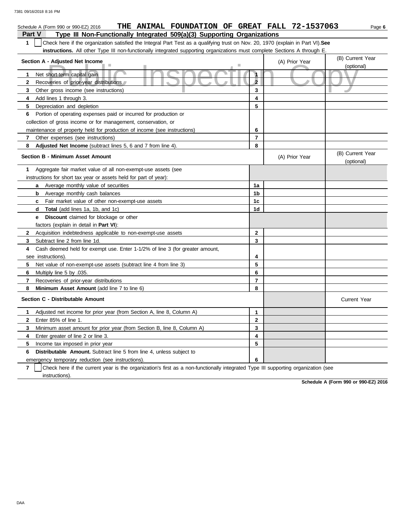| THE ANIMAL FOUNDATION OF GREAT FALL 72-1537063<br>Schedule A (Form 990 or 990-EZ) 2016                                                           |                      |                | Page 6                         |
|--------------------------------------------------------------------------------------------------------------------------------------------------|----------------------|----------------|--------------------------------|
| <b>Part V</b><br>Type III Non-Functionally Integrated 509(a)(3) Supporting Organizations                                                         |                      |                |                                |
| $\mathbf{1}$<br>Check here if the organization satisfied the Integral Part Test as a qualifying trust on Nov. 20, 1970 (explain in Part VI). See |                      |                |                                |
| instructions. All other Type III non-functionally integrated supporting organizations must complete Sections A through E.                        |                      |                |                                |
| Section A - Adjusted Net Income                                                                                                                  |                      | (A) Prior Year | (B) Current Year               |
|                                                                                                                                                  |                      |                | (optional)                     |
| Net short-term capital gain<br>1                                                                                                                 | $\ddot{\phantom{a}}$ |                |                                |
| Recoveries of prior-year distributions<br>2                                                                                                      | $\overline{2}$       |                |                                |
| 3<br>Other gross income (see instructions)                                                                                                       | 3                    |                |                                |
| Add lines 1 through 3.<br>4                                                                                                                      | 4                    |                |                                |
| 5<br>Depreciation and depletion                                                                                                                  | 5                    |                |                                |
| Portion of operating expenses paid or incurred for production or<br>6                                                                            |                      |                |                                |
| collection of gross income or for management, conservation, or                                                                                   |                      |                |                                |
| maintenance of property held for production of income (see instructions)                                                                         | 6                    |                |                                |
| $\mathbf{7}$<br>Other expenses (see instructions)                                                                                                | $\overline{7}$       |                |                                |
| 8<br><b>Adjusted Net Income</b> (subtract lines 5, 6 and 7 from line 4).                                                                         | 8                    |                |                                |
| <b>Section B - Minimum Asset Amount</b>                                                                                                          |                      | (A) Prior Year | (B) Current Year<br>(optional) |
| Aggregate fair market value of all non-exempt-use assets (see<br>1                                                                               |                      |                |                                |
| instructions for short tax year or assets held for part of year):                                                                                |                      |                |                                |
| <b>a</b> Average monthly value of securities                                                                                                     | 1a                   |                |                                |
| <b>b</b> Average monthly cash balances                                                                                                           | 1b                   |                |                                |
| Fair market value of other non-exempt-use assets<br>C                                                                                            | 1c                   |                |                                |
| <b>Total</b> (add lines 1a, 1b, and 1c)<br>d                                                                                                     | 1d                   |                |                                |
| Discount claimed for blockage or other<br>е                                                                                                      |                      |                |                                |
| factors (explain in detail in <b>Part VI</b> ):                                                                                                  |                      |                |                                |
| $\mathbf{2}$<br>Acquisition indebtedness applicable to non-exempt-use assets                                                                     | $\mathbf{2}$         |                |                                |
| 3<br>Subtract line 2 from line 1d.                                                                                                               | 3                    |                |                                |
| Cash deemed held for exempt use. Enter 1-1/2% of line 3 (for greater amount,<br>4                                                                |                      |                |                                |
| see instructions).                                                                                                                               | 4                    |                |                                |
| 5<br>Net value of non-exempt-use assets (subtract line 4 from line 3)                                                                            | 5                    |                |                                |
| 6<br>Multiply line 5 by .035.                                                                                                                    | 6                    |                |                                |
| $\overline{7}$<br>Recoveries of prior-year distributions                                                                                         | $\overline{7}$       |                |                                |
| Minimum Asset Amount (add line 7 to line 6)<br>8                                                                                                 | 8                    |                |                                |
| Section C - Distributable Amount                                                                                                                 |                      |                | <b>Current Year</b>            |
| 1<br>Adjusted net income for prior year (from Section A, line 8, Column A)                                                                       | 1                    |                |                                |
| $\mathbf{2}$<br>Enter 85% of line 1.                                                                                                             | $\mathbf{2}$         |                |                                |
| 3<br>Minimum asset amount for prior year (from Section B, line 8, Column A)                                                                      | 3                    |                |                                |
| 4<br>Enter greater of line 2 or line 3.                                                                                                          | 4                    |                |                                |
| 5<br>Income tax imposed in prior year                                                                                                            | 5                    |                |                                |
| <b>Distributable Amount.</b> Subtract line 5 from line 4, unless subject to<br>6                                                                 |                      |                |                                |
| emergency temporary reduction (see instructions).                                                                                                | 6                    |                |                                |

**7** instructions). Check here if the current year is the organization's first as a non-functionally integrated Type III supporting organization (see

**Schedule A (Form 990 or 990-EZ) 2016**

DAA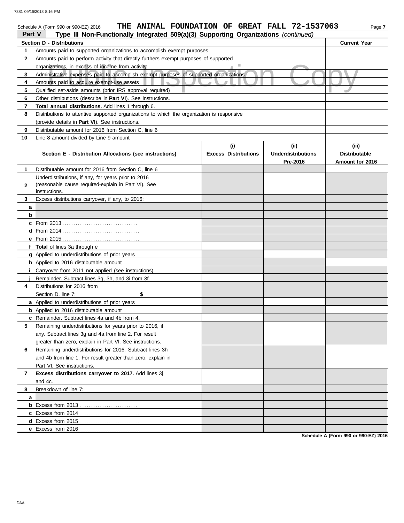#### nizations, in excess of income from activity<br>
mistrative expenses paid to accomplish exempt purposes of supported organizations<br>
unts paid to acquire exempt-use assets<br>
fied set-aside amounts (prior IRS approval required) Schedule A (Form 990 or 990-EZ) 2016 **THE ANIMAL FOUNDATION OF GREAT FALL 72-1537063** Page 7 **Part V Type III Non-Functionally Integrated 509(a)(3) Supporting Organizations** *(continued)* **Section D - Distributions Current Year 1 2 3 4 5 6 7 8 9 10** Amounts paid to supported organizations to accomplish exempt purposes Amounts paid to perform activity that directly furthers exempt purposes of supported organizations, in excess of income from activity Administrative expenses paid to accomplish exempt purposes of supported organizations Amounts paid to acquire exempt-use assets Qualified set-aside amounts (prior IRS approval required) Other distributions (describe in **Part VI**). See instructions. **Total annual distributions.** Add lines 1 through 6. Distributions to attentive supported organizations to which the organization is responsive (provide details in **Part VI**). See instructions. Distributable amount for 2016 from Section C, line 6 Line 8 amount divided by Line 9 amount **Section E - Distribution Allocations (see instructions) Excess Distributions (i) (ii) Underdistributions Pre-2016 (iii) Distributable Amount for 2016 8 7 6 5 4** Distributions for 2016 from **3 2 1 a b c** From 2013 . . . . . . . . . . . . . . . . . . . . . . . . . . . . . . . . . . **d** From 2014 . . . . . . . . . . . . . . . . . . . . . . . . . . . . . . . . . . . **e** From 2015 . . . . . . . . . . . . . . . . . . . . . . . . . . . . . . . . . . . **f Total** of lines 3a through e **g** Applied to underdistributions of prior years **h** Applied to 2016 distributable amount **i** Carryover from 2011 not applied (see instructions) **j a** Applied to underdistributions of prior years **b** Applied to 2016 distributable amount **c** Remainder. Subtract lines 4a and 4b from 4. **a b** Excess from 2013 . . . . . . . . . . . . . . . . . . . . . . . . . . **c** Excess from 2014 . . . . . . . . . . . . . . . . . . . . . . . . . . . **d** Excess from 2015 . . . . . . . . . . . . . . . . . . . . . . . . . . . Distributable amount for 2016 from Section C, line 6 Underdistributions, if any, for years prior to 2016 (reasonable cause required-explain in Part VI). See Excess distributions carryover, if any, to 2016: Remainder. Subtract lines 3g, 3h, and 3i from 3f. Section D, line 7: \$ Remaining underdistributions for years prior to 2016, if any. Subtract lines 3g and 4a from line 2. For result greater than zero, explain in Part VI. See instructions. Remaining underdistributions for 2016. Subtract lines 3h and 4b from line 1. For result greater than zero, explain in Part VI. See instructions. **Excess distributions carryover to 2017.** Add lines 3j and 4c. Breakdown of line 7: instructions.

**Schedule A (Form 990 or 990-EZ) 2016**

**e** Excess from 2016 . . . . . . . . . . . . . . . . . . . . . . . . . . .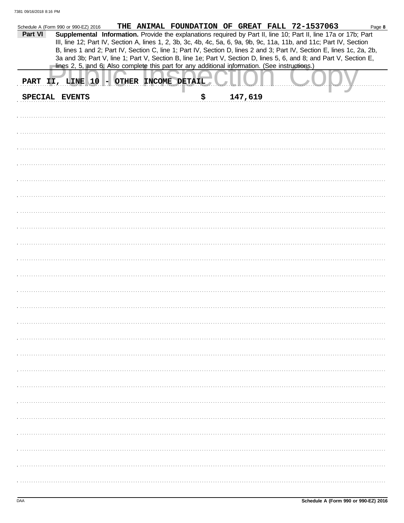|         | Schedule A (Form 990 or 990-EZ) 2016                                                           |  |     |         | THE ANIMAL FOUNDATION OF GREAT FALL 72-1537063                                                                         | Page 8 |
|---------|------------------------------------------------------------------------------------------------|--|-----|---------|------------------------------------------------------------------------------------------------------------------------|--------|
| Part VI |                                                                                                |  |     |         | Supplemental Information. Provide the explanations required by Part II, line 10; Part II, line 17a or 17b; Part        |        |
|         |                                                                                                |  |     |         | III, line 12; Part IV, Section A, lines 1, 2, 3b, 3c, 4b, 4c, 5a, 6, 9a, 9b, 9c, 11a, 11b, and 11c; Part IV, Section   |        |
|         |                                                                                                |  |     |         | B, lines 1 and 2; Part IV, Section C, line 1; Part IV, Section D, lines 2 and 3; Part IV, Section E, lines 1c, 2a, 2b, |        |
|         |                                                                                                |  |     |         | 3a and 3b; Part V, line 1; Part V, Section B, line 1e; Part V, Section D, lines 5, 6, and 8; and Part V, Section E,    |        |
|         | lines 2, 5, and 6. Also complete this part for any additional information. (See instructions.) |  |     |         |                                                                                                                        |        |
|         |                                                                                                |  |     |         |                                                                                                                        |        |
|         | PART II, LINE 10 - OTHER INCOME DETAIL                                                         |  |     |         |                                                                                                                        |        |
|         |                                                                                                |  |     |         |                                                                                                                        |        |
|         | SPECIAL EVENTS                                                                                 |  | \$. | 147,619 |                                                                                                                        |        |
|         |                                                                                                |  |     |         |                                                                                                                        |        |
|         |                                                                                                |  |     |         |                                                                                                                        |        |
|         |                                                                                                |  |     |         |                                                                                                                        |        |
|         |                                                                                                |  |     |         |                                                                                                                        |        |
|         |                                                                                                |  |     |         |                                                                                                                        |        |
|         |                                                                                                |  |     |         |                                                                                                                        |        |
|         |                                                                                                |  |     |         |                                                                                                                        |        |
|         |                                                                                                |  |     |         |                                                                                                                        |        |
|         |                                                                                                |  |     |         |                                                                                                                        |        |
|         |                                                                                                |  |     |         |                                                                                                                        |        |
|         |                                                                                                |  |     |         |                                                                                                                        |        |
|         |                                                                                                |  |     |         |                                                                                                                        |        |
|         |                                                                                                |  |     |         |                                                                                                                        |        |
|         |                                                                                                |  |     |         |                                                                                                                        |        |
|         |                                                                                                |  |     |         |                                                                                                                        |        |
|         |                                                                                                |  |     |         |                                                                                                                        |        |
|         |                                                                                                |  |     |         |                                                                                                                        |        |
|         |                                                                                                |  |     |         |                                                                                                                        |        |
|         |                                                                                                |  |     |         |                                                                                                                        |        |
|         |                                                                                                |  |     |         |                                                                                                                        |        |
|         |                                                                                                |  |     |         |                                                                                                                        |        |
|         |                                                                                                |  |     |         |                                                                                                                        |        |
|         |                                                                                                |  |     |         |                                                                                                                        |        |
|         |                                                                                                |  |     |         |                                                                                                                        |        |
|         |                                                                                                |  |     |         |                                                                                                                        |        |
|         |                                                                                                |  |     |         |                                                                                                                        |        |
|         |                                                                                                |  |     |         |                                                                                                                        |        |
|         |                                                                                                |  |     |         |                                                                                                                        |        |
|         |                                                                                                |  |     |         |                                                                                                                        |        |
|         |                                                                                                |  |     |         |                                                                                                                        |        |
|         |                                                                                                |  |     |         |                                                                                                                        |        |
|         |                                                                                                |  |     |         |                                                                                                                        |        |
|         |                                                                                                |  |     |         |                                                                                                                        |        |
|         |                                                                                                |  |     |         |                                                                                                                        |        |
|         |                                                                                                |  |     |         |                                                                                                                        |        |
|         |                                                                                                |  |     |         |                                                                                                                        |        |
|         |                                                                                                |  |     |         |                                                                                                                        |        |
|         |                                                                                                |  |     |         |                                                                                                                        |        |
|         |                                                                                                |  |     |         |                                                                                                                        |        |
|         |                                                                                                |  |     |         |                                                                                                                        |        |
|         |                                                                                                |  |     |         |                                                                                                                        |        |
|         |                                                                                                |  |     |         |                                                                                                                        |        |
|         |                                                                                                |  |     |         |                                                                                                                        |        |
|         |                                                                                                |  |     |         |                                                                                                                        |        |
|         |                                                                                                |  |     |         |                                                                                                                        |        |
|         |                                                                                                |  |     |         |                                                                                                                        |        |
|         |                                                                                                |  |     |         |                                                                                                                        |        |
|         |                                                                                                |  |     |         |                                                                                                                        |        |
|         |                                                                                                |  |     |         |                                                                                                                        |        |
|         |                                                                                                |  |     |         |                                                                                                                        |        |
|         |                                                                                                |  |     |         |                                                                                                                        |        |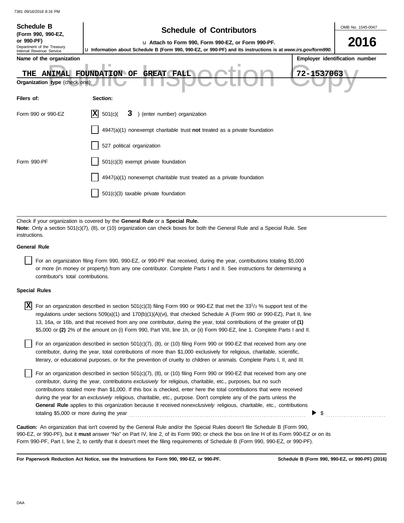| <b>Schedule B</b>                                                                          | <b>Schedule of Contributors</b>                                                                                                                                      |            | OMB No. 1545-0047              |
|--------------------------------------------------------------------------------------------|----------------------------------------------------------------------------------------------------------------------------------------------------------------------|------------|--------------------------------|
| (Form 990, 990-EZ,<br>or 990-PF)<br>Department of the Treasury<br>Internal Revenue Service | La Attach to Form 990, Form 990-EZ, or Form 990-PF.<br>La Information about Schedule B (Form 990, 990-EZ, or 990-PF) and its instructions is at www.irs.gov/form990. |            | 2016                           |
| Name of the organization                                                                   |                                                                                                                                                                      |            | Employer identification number |
| <b>ANIMAL</b><br>THE<br>Organization type (check one):                                     | <b>FOUNDATION OF</b><br><b>GREAT</b><br><b>FALL</b>                                                                                                                  | 72-1537063 |                                |
| Filers of:                                                                                 | Section:                                                                                                                                                             |            |                                |
| Form 990 or 990-EZ                                                                         | X <br>) (enter number) organization<br>501(c)<br>3                                                                                                                   |            |                                |
|                                                                                            | $4947(a)(1)$ nonexempt charitable trust not treated as a private foundation                                                                                          |            |                                |
|                                                                                            | 527 political organization                                                                                                                                           |            |                                |
| Form 990-PF                                                                                | 501(c)(3) exempt private foundation                                                                                                                                  |            |                                |
|                                                                                            | 4947(a)(1) nonexempt charitable trust treated as a private foundation                                                                                                |            |                                |
|                                                                                            | 501(c)(3) taxable private foundation                                                                                                                                 |            |                                |
|                                                                                            |                                                                                                                                                                      |            |                                |
|                                                                                            | Check if your organization is covered by the <b>General Rule</b> or a <b>Special Rule.</b>                                                                           |            |                                |

**Note:** Only a section 501(c)(7), (8), or (10) organization can check boxes for both the General Rule and a Special Rule. See instructions.

### **General Rule**

For an organization filing Form 990, 990-EZ, or 990-PF that received, during the year, contributions totaling \$5,000 or more (in money or property) from any one contributor. Complete Parts I and II. See instructions for determining a contributor's total contributions.

### **Special Rules**

| $\overline{X}$ For an organization described in section 501(c)(3) filing Form 990 or 990-EZ that met the 331/3 % support test of the |
|--------------------------------------------------------------------------------------------------------------------------------------|
| regulations under sections 509(a)(1) and 170(b)(1)(A)(vi), that checked Schedule A (Form 990 or 990-EZ), Part II, line               |
| 13, 16a, or 16b, and that received from any one contributor, during the year, total contributions of the greater of (1)              |
| \$5,000 or (2) 2% of the amount on (i) Form 990, Part VIII, line 1h, or (ii) Form 990-EZ, line 1. Complete Parts I and II.           |

literary, or educational purposes, or for the prevention of cruelty to children or animals. Complete Parts I, II, and III. For an organization described in section  $501(c)(7)$ ,  $(8)$ , or  $(10)$  filing Form 990 or 990-EZ that received from any one contributor, during the year, total contributions of more than \$1,000 exclusively for religious, charitable, scientific,

For an organization described in section 501(c)(7), (8), or (10) filing Form 990 or 990-EZ that received from any one contributor, during the year, contributions *exclusively* for religious, charitable, etc., purposes, but no such contributions totaled more than \$1,000. If this box is checked, enter here the total contributions that were received during the year for an *exclusively* religious, charitable, etc., purpose. Don't complete any of the parts unless the **General Rule** applies to this organization because it received *nonexclusively* religious, charitable, etc., contributions totaling \$5,000 or more during the year . . . . . . . . . . . . . . . . . . . . . . . . . . . . . . . . . . . . . . . . . . . . . . . . . . . . . . . . . . . . . . . . . . . . . . . . . . . . . . . .

990-EZ, or 990-PF), but it **must** answer "No" on Part IV, line 2, of its Form 990; or check the box on line H of its Form 990-EZ or on its Form 990-PF, Part I, line 2, to certify that it doesn't meet the filing requirements of Schedule B (Form 990, 990-EZ, or 990-PF). **Caution:** An organization that isn't covered by the General Rule and/or the Special Rules doesn't file Schedule B (Form 990,

**For Paperwork Reduction Act Notice, see the Instructions for Form 990, 990-EZ, or 990-PF.**

 $\triangleright$  \$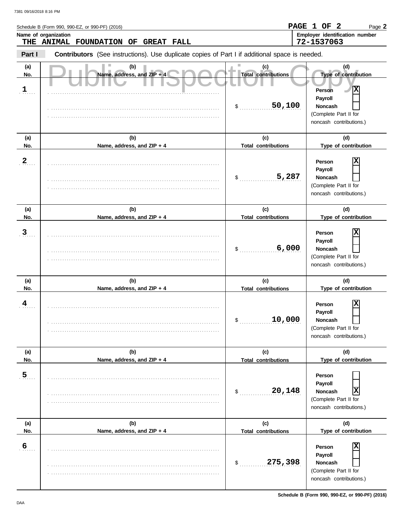|                             | Schedule B (Form 990, 990-EZ, or 990-PF) (2016)                                                |                                                   | PAGE 1 OF 2<br>Page 2                                                                                                               |
|-----------------------------|------------------------------------------------------------------------------------------------|---------------------------------------------------|-------------------------------------------------------------------------------------------------------------------------------------|
|                             | Name of organization<br>THE ANIMAL FOUNDATION OF<br><b>GREAT FALL</b>                          |                                                   | Employer identification number<br>72-1537063                                                                                        |
| Part I                      | Contributors (See instructions). Use duplicate copies of Part I if additional space is needed. |                                                   |                                                                                                                                     |
| (a)<br>No.<br>$\frac{1}{2}$ | (b)<br>Name, address, and ZIP + 4                                                              | (c)<br><b>Total contributions</b><br>50,100<br>\$ | (d)<br>Type of contribution<br> x<br><b>Person</b><br>Payroll<br><b>Noncash</b><br>(Complete Part II for<br>noncash contributions.) |
| (a)<br>No.                  | (b)<br>Name, address, and ZIP + 4                                                              | (c)<br><b>Total contributions</b>                 | (d)<br>Type of contribution                                                                                                         |
| $\frac{2}{3}$               |                                                                                                | 5,287<br>\$                                       | X<br>Person<br>Payroll<br><b>Noncash</b><br>(Complete Part II for<br>noncash contributions.)                                        |
| (a)<br>No.                  | (b)<br>Name, address, and ZIP + 4                                                              | (c)<br><b>Total contributions</b>                 | (d)<br>Type of contribution                                                                                                         |
| $\overline{3}$              |                                                                                                | 6,000<br>\$                                       | X<br>Person<br>Payroll<br>Noncash<br>(Complete Part II for<br>noncash contributions.)                                               |
| (a)<br>No.                  | (b)<br>Name, address, and ZIP + 4                                                              | (c)<br><b>Total contributions</b>                 | (d)<br>Type of contribution                                                                                                         |
| $\frac{4}{3}$               |                                                                                                | 10,000<br>\$                                      | x<br>Person<br>Payroll<br>Noncash<br>(Complete Part II for<br>noncash contributions.)                                               |
| (a)<br>No.                  | (b)<br>Name, address, and ZIP + 4                                                              | (c)<br><b>Total contributions</b>                 | (d)<br>Type of contribution                                                                                                         |
| 5 <sub>1</sub>              |                                                                                                | 20,148<br>\$                                      | Person<br>Payroll<br>X<br>Noncash<br>(Complete Part II for<br>noncash contributions.)                                               |
| (a)<br>No.                  | (b)<br>Name, address, and ZIP + 4                                                              | (c)<br><b>Total contributions</b>                 | (d)<br>Type of contribution                                                                                                         |
| $6 \frac{6}{3}$             |                                                                                                | 275,398<br>\$                                     | Person<br>Payroll<br>Noncash<br>(Complete Part II for<br>noncash contributions.)                                                    |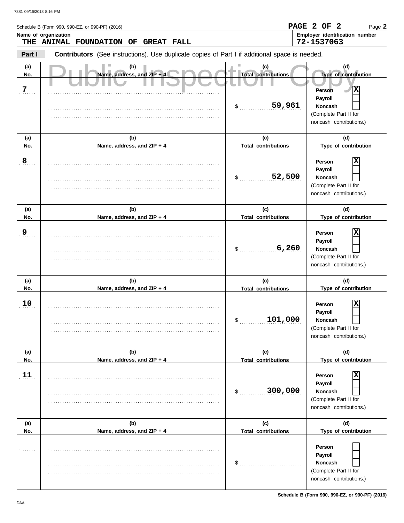|                 | Schedule B (Form 990, 990-EZ, or 990-PF) (2016)                                                       |                                                   | PAGE 2 OF 2<br>Page 2                                                                                                                           |
|-----------------|-------------------------------------------------------------------------------------------------------|---------------------------------------------------|-------------------------------------------------------------------------------------------------------------------------------------------------|
|                 | Name of organization<br>THE ANIMAL FOUNDATION OF<br><b>GREAT FALL</b>                                 |                                                   | Employer identification number<br>72-1537063                                                                                                    |
| Part I          | <b>Contributors</b> (See instructions). Use duplicate copies of Part I if additional space is needed. |                                                   |                                                                                                                                                 |
| (a)<br>No.<br>7 | (b)<br>Name, address, and ZIP + 4                                                                     | (c)<br><b>Total contributions</b><br>59,961<br>\$ | (d)<br>Type of contribution<br>$ \mathbf{x} $<br><b>Person</b><br>Payroll<br><b>Noncash</b><br>(Complete Part II for<br>noncash contributions.) |
| (a)<br>No.      | (b)<br>Name, address, and ZIP + 4                                                                     | (c)<br><b>Total contributions</b>                 | (d)<br>Type of contribution                                                                                                                     |
| 8               |                                                                                                       | 52,500<br>$\sim$                                  | X<br>Person<br>Payroll<br><b>Noncash</b><br>(Complete Part II for<br>noncash contributions.)                                                    |
| (a)<br>No.      | (b)<br>Name, address, and ZIP + 4                                                                     | (c)<br><b>Total contributions</b>                 | (d)<br>Type of contribution                                                                                                                     |
| <u>9</u>        |                                                                                                       | 6,260<br>\$                                       | x<br>Person<br>Payroll<br><b>Noncash</b><br>(Complete Part II for<br>noncash contributions.)                                                    |
| (a)<br>No.      | (b)<br>Name, address, and ZIP + 4                                                                     | (c)<br><b>Total contributions</b>                 | (d)<br>Type of contribution                                                                                                                     |
| 10              |                                                                                                       | 101,000<br>\$                                     | $\mathbf x$<br>Person<br><b>Payroll</b><br>Noncash<br>(Complete Part II for<br>noncash contributions.)                                          |
| (a)<br>No.      | (b)<br>Name, address, and ZIP + 4                                                                     | (c)<br><b>Total contributions</b>                 | (d)<br>Type of contribution                                                                                                                     |
| 11              |                                                                                                       | 300,000<br>$\mathsf{S}$                           | Person<br><b>Payroll</b><br>Noncash<br>(Complete Part II for<br>noncash contributions.)                                                         |
| (a)<br>No.      | (b)<br>Name, address, and ZIP + 4                                                                     | (c)                                               | (d)<br>Type of contribution                                                                                                                     |
|                 |                                                                                                       | <b>Total contributions</b><br>\$                  | Person<br>Payroll<br>Noncash<br>(Complete Part II for<br>noncash contributions.)                                                                |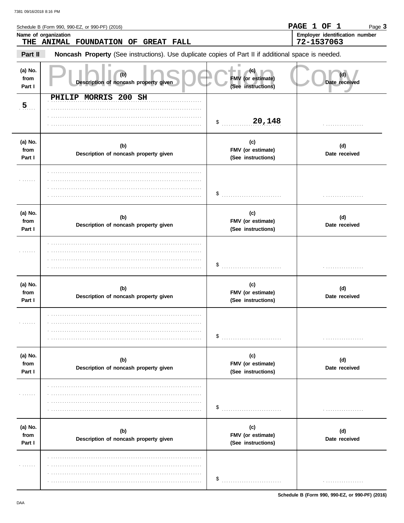|                           | Schedule B (Form 990, 990-EZ, or 990-PF) (2016)<br>Name of organization                             |                                                 | PAGE 1 OF 1<br>Page 3<br>Employer identification number |
|---------------------------|-----------------------------------------------------------------------------------------------------|-------------------------------------------------|---------------------------------------------------------|
|                           | THE ANIMAL FOUNDATION OF<br><b>GREAT FALL</b>                                                       |                                                 | 72-1537063                                              |
| Part II                   | Noncash Property (See instructions). Use duplicate copies of Part II if additional space is needed. |                                                 |                                                         |
| (a) No.<br>from<br>Part I | (b)<br>Description of noncash property given                                                        | (c).<br>FMV (or estimate)<br>(See instructions) | (d)<br>Date received                                    |
| $\overline{5}$            | PHILIP MORRIS 200 SH                                                                                |                                                 |                                                         |
|                           |                                                                                                     | 20,148<br>\$                                    | .                                                       |
| (a) No.<br>from<br>Part I | (b)<br>Description of noncash property given                                                        | (c)<br>FMV (or estimate)<br>(See instructions)  | (d)<br>Date received                                    |
|                           |                                                                                                     | \$                                              |                                                         |
| (a) No.<br>from<br>Part I | (b)<br>Description of noncash property given                                                        | (c)<br>FMV (or estimate)<br>(See instructions)  | (d)<br>Date received                                    |
|                           |                                                                                                     | \$                                              |                                                         |
| (a) No.<br>from<br>Part I | (b)<br>Description of noncash property given                                                        | (c)<br>FMV (or estimate)<br>(See instructions)  | (d)<br>Date received                                    |
| .                         |                                                                                                     | \$                                              | .                                                       |
| (a) No.<br>from<br>Part I | (b)<br>Description of noncash property given                                                        | (c)<br>FMV (or estimate)<br>(See instructions)  | (d)<br>Date received                                    |
| .                         |                                                                                                     | \$                                              | .                                                       |
| (a) No.<br>from<br>Part I | (b)<br>Description of noncash property given                                                        | (c)<br>FMV (or estimate)<br>(See instructions)  | (d)<br>Date received                                    |
| .                         |                                                                                                     | \$                                              | .                                                       |

Schedule B (Form 990, 990-EZ, or 990-PF) (2016)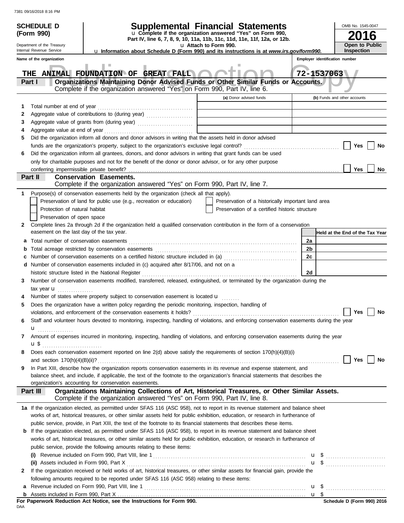|   | <b>SCHEDULE D</b>                         | <b>Supplemental Financial Statements</b>                                                                                                                                  |                       |                                                    |    |                                | OMB No. 1545-0047               |
|---|-------------------------------------------|---------------------------------------------------------------------------------------------------------------------------------------------------------------------------|-----------------------|----------------------------------------------------|----|--------------------------------|---------------------------------|
|   | (Form 990)                                | u Complete if the organization answered "Yes" on Form 990,<br>Part IV, line 6, 7, 8, 9, 10, 11a, 11b, 11c, 11d, 11e, 11f, 12a, or 12b.                                    |                       |                                                    |    |                                | 6                               |
|   | Department of the Treasury                |                                                                                                                                                                           | u Attach to Form 990. |                                                    |    |                                | <b>Open to Public</b>           |
|   | Internal Revenue Service                  | <b>u Information about Schedule D (Form 990) and its instructions is at www.irs.gov/form990.</b>                                                                          |                       |                                                    |    |                                | <b>Inspection</b>               |
|   | Name of the organization                  |                                                                                                                                                                           |                       |                                                    |    | Employer identification number |                                 |
|   |                                           | THE ANIMAL FOUNDATION OF GREAT FALL                                                                                                                                       |                       |                                                    |    | 72-1537063                     |                                 |
|   | Part I                                    | Organizations Maintaining Donor Advised Funds or Other Similar Funds or Accounts.                                                                                         |                       |                                                    |    |                                |                                 |
|   |                                           | Complete if the organization answered "Yes" on Form 990, Part IV, line 6.                                                                                                 |                       |                                                    |    |                                |                                 |
|   |                                           |                                                                                                                                                                           |                       | (a) Donor advised funds                            |    |                                | (b) Funds and other accounts    |
| 1 | Total number at end of year               |                                                                                                                                                                           |                       |                                                    |    |                                |                                 |
| 2 |                                           |                                                                                                                                                                           |                       |                                                    |    |                                |                                 |
| 3 |                                           |                                                                                                                                                                           |                       |                                                    |    |                                |                                 |
| 4 |                                           |                                                                                                                                                                           |                       |                                                    |    |                                |                                 |
| 5 |                                           | Did the organization inform all donors and donor advisors in writing that the assets held in donor advised                                                                |                       |                                                    |    |                                |                                 |
|   |                                           |                                                                                                                                                                           |                       |                                                    |    |                                | Yes<br>No                       |
| 6 |                                           | Did the organization inform all grantees, donors, and donor advisors in writing that grant funds can be used                                                              |                       |                                                    |    |                                |                                 |
|   |                                           | only for charitable purposes and not for the benefit of the donor or donor advisor, or for any other purpose                                                              |                       |                                                    |    |                                |                                 |
|   |                                           |                                                                                                                                                                           |                       |                                                    |    |                                | Yes<br>No                       |
|   | Part II                                   | <b>Conservation Easements.</b>                                                                                                                                            |                       |                                                    |    |                                |                                 |
|   |                                           | Complete if the organization answered "Yes" on Form 990, Part IV, line 7.                                                                                                 |                       |                                                    |    |                                |                                 |
| 1 |                                           | Purpose(s) of conservation easements held by the organization (check all that apply).                                                                                     |                       |                                                    |    |                                |                                 |
|   |                                           | Preservation of land for public use (e.g., recreation or education)                                                                                                       |                       | Preservation of a historically important land area |    |                                |                                 |
|   | Protection of natural habitat             |                                                                                                                                                                           |                       | Preservation of a certified historic structure     |    |                                |                                 |
|   | Preservation of open space                | Complete lines 2a through 2d if the organization held a qualified conservation contribution in the form of a conservation                                                 |                       |                                                    |    |                                |                                 |
| 2 | easement on the last day of the tax year. |                                                                                                                                                                           |                       |                                                    |    |                                | Held at the End of the Tax Year |
|   |                                           |                                                                                                                                                                           |                       |                                                    | 2a |                                |                                 |
| a |                                           |                                                                                                                                                                           |                       |                                                    | 2b |                                |                                 |
| b |                                           |                                                                                                                                                                           |                       |                                                    | 2c |                                |                                 |
|   |                                           | d Number of conservation easements included in (c) acquired after 8/17/06, and not on a                                                                                   |                       |                                                    |    |                                |                                 |
|   |                                           |                                                                                                                                                                           |                       |                                                    | 2d |                                |                                 |
| 3 |                                           | Number of conservation easements modified, transferred, released, extinguished, or terminated by the organization during the                                              |                       |                                                    |    |                                |                                 |
|   | tax year $\mathbf{u}$                     |                                                                                                                                                                           |                       |                                                    |    |                                |                                 |
|   |                                           | Number of states where property subject to conservation easement is located u                                                                                             |                       |                                                    |    |                                |                                 |
| 5 |                                           | Does the organization have a written policy regarding the periodic monitoring, inspection, handling of                                                                    |                       |                                                    |    |                                |                                 |
|   |                                           | violations, and enforcement of the conservation easements it holds?                                                                                                       |                       |                                                    |    |                                | Yes<br>No                       |
| 6 |                                           | Staff and volunteer hours devoted to monitoring, inspecting, handling of violations, and enforcing conservation easements during the year                                 |                       |                                                    |    |                                |                                 |
|   | ${\bf u}$                                 |                                                                                                                                                                           |                       |                                                    |    |                                |                                 |
| 7 |                                           | Amount of expenses incurred in monitoring, inspecting, handling of violations, and enforcing conservation easements during the year                                       |                       |                                                    |    |                                |                                 |
|   |                                           |                                                                                                                                                                           |                       |                                                    |    |                                |                                 |
| 8 |                                           | Does each conservation easement reported on line 2(d) above satisfy the requirements of section 170(h)(4)(B)(i)                                                           |                       |                                                    |    |                                |                                 |
|   |                                           |                                                                                                                                                                           |                       |                                                    |    |                                | Yes  <br>No                     |
| 9 |                                           | In Part XIII, describe how the organization reports conservation easements in its revenue and expense statement, and                                                      |                       |                                                    |    |                                |                                 |
|   |                                           | balance sheet, and include, if applicable, the text of the footnote to the organization's financial statements that describes the                                         |                       |                                                    |    |                                |                                 |
|   |                                           | organization's accounting for conservation easements.                                                                                                                     |                       |                                                    |    |                                |                                 |
|   | Part III                                  | Organizations Maintaining Collections of Art, Historical Treasures, or Other Similar Assets.<br>Complete if the organization answered "Yes" on Form 990, Part IV, line 8. |                       |                                                    |    |                                |                                 |
|   |                                           | 1a If the organization elected, as permitted under SFAS 116 (ASC 958), not to report in its revenue statement and balance sheet                                           |                       |                                                    |    |                                |                                 |
|   |                                           | works of art, historical treasures, or other similar assets held for public exhibition, education, or research in furtherance of                                          |                       |                                                    |    |                                |                                 |
|   |                                           | public service, provide, in Part XIII, the text of the footnote to its financial statements that describes these items.                                                   |                       |                                                    |    |                                |                                 |
|   |                                           | <b>b</b> If the organization elected, as permitted under SFAS 116 (ASC 958), to report in its revenue statement and balance sheet                                         |                       |                                                    |    |                                |                                 |
|   |                                           | works of art, historical treasures, or other similar assets held for public exhibition, education, or research in furtherance of                                          |                       |                                                    |    |                                |                                 |
|   |                                           | public service, provide the following amounts relating to these items:                                                                                                    |                       |                                                    |    |                                |                                 |
|   |                                           |                                                                                                                                                                           |                       |                                                    |    |                                | $\mathbf{u}$ \$                 |
|   |                                           |                                                                                                                                                                           |                       |                                                    |    |                                | <b>u</b> \$                     |
| 2 |                                           | If the organization received or held works of art, historical treasures, or other similar assets for financial gain, provide the                                          |                       |                                                    |    |                                |                                 |
|   |                                           | following amounts required to be reported under SFAS 116 (ASC 958) relating to these items:                                                                               |                       |                                                    |    |                                |                                 |
|   |                                           |                                                                                                                                                                           |                       |                                                    |    |                                | $\mathbf{u}$ \$                 |
|   |                                           | For Paperwork Reduction Act Notice, see the Instructions for Form 990.                                                                                                    |                       |                                                    |    |                                | Schedule D (Form 990) 2016      |
|   |                                           |                                                                                                                                                                           |                       |                                                    |    |                                |                                 |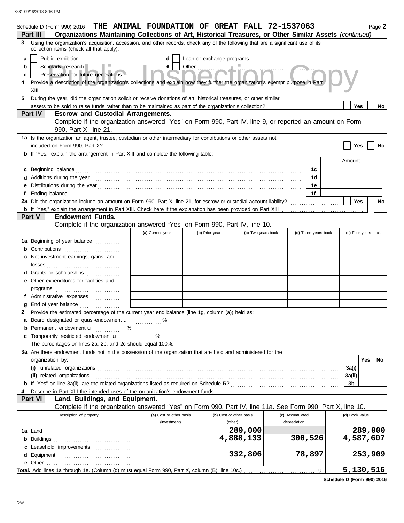|   | Schedule D (Form 990) 2016                                                                                                                                                                                                           | THE ANIMAL FOUNDATION OF GREAT FALL 72-1537063 |                            |                         |                 |                      |                | Page 2              |  |
|---|--------------------------------------------------------------------------------------------------------------------------------------------------------------------------------------------------------------------------------------|------------------------------------------------|----------------------------|-------------------------|-----------------|----------------------|----------------|---------------------|--|
|   | Organizations Maintaining Collections of Art, Historical Treasures, or Other Similar Assets (continued)<br>Part III                                                                                                                  |                                                |                            |                         |                 |                      |                |                     |  |
| 3 | Using the organization's acquisition, accession, and other records, check any of the following that are a significant use of its<br>collection items (check all that apply):                                                         |                                                |                            |                         |                 |                      |                |                     |  |
| a | Public exhibition                                                                                                                                                                                                                    |                                                | Loan or exchange programs  |                         |                 |                      |                |                     |  |
| b | Scholarly research                                                                                                                                                                                                                   | e                                              | Other <b>Communication</b> |                         |                 |                      |                |                     |  |
| c | Preservation for future generations                                                                                                                                                                                                  |                                                |                            |                         |                 |                      |                |                     |  |
| 4 | Provide a description of the organization's collections and explain how they further the organization's exempt purpose in Part<br>XIII.                                                                                              |                                                |                            |                         |                 |                      |                |                     |  |
| 5 | During the year, did the organization solicit or receive donations of art, historical treasures, or other similar                                                                                                                    |                                                |                            |                         |                 |                      |                |                     |  |
|   |                                                                                                                                                                                                                                      |                                                |                            |                         |                 |                      | Yes            | No                  |  |
|   | <b>Part IV</b><br><b>Escrow and Custodial Arrangements.</b>                                                                                                                                                                          |                                                |                            |                         |                 |                      |                |                     |  |
|   | Complete if the organization answered "Yes" on Form 990, Part IV, line 9, or reported an amount on Form<br>990, Part X, line 21.                                                                                                     |                                                |                            |                         |                 |                      |                |                     |  |
|   | 1a Is the organization an agent, trustee, custodian or other intermediary for contributions or other assets not                                                                                                                      |                                                |                            |                         |                 |                      |                |                     |  |
|   |                                                                                                                                                                                                                                      |                                                |                            |                         |                 |                      | Yes            |                     |  |
|   | <b>b</b> If "Yes," explain the arrangement in Part XIII and complete the following table:                                                                                                                                            |                                                |                            |                         |                 |                      |                |                     |  |
|   |                                                                                                                                                                                                                                      |                                                |                            |                         |                 |                      | Amount         |                     |  |
|   | c Beginning balance <b>contract to the contract of the contract of the contract of the contract of the contract of the contract of the contract of the contract of the contract of the contract of the contract of the contract </b> |                                                |                            |                         |                 | 1с                   |                |                     |  |
|   |                                                                                                                                                                                                                                      |                                                |                            |                         |                 | 1d                   |                |                     |  |
|   |                                                                                                                                                                                                                                      |                                                |                            |                         |                 | 1e                   |                |                     |  |
|   | f Ending balance <b>construction and the construction of the construction</b> of the construction of the construction of the construction of the construction of the construction of the construction of the construction of the co  |                                                |                            |                         |                 | 1f                   |                |                     |  |
|   | 2a Did the organization include an amount on Form 990, Part X, line 21, for escrow or custodial account liability?                                                                                                                   |                                                |                            |                         |                 |                      | Yes            | No                  |  |
|   |                                                                                                                                                                                                                                      |                                                |                            |                         |                 |                      |                |                     |  |
|   | Part V<br><b>Endowment Funds.</b>                                                                                                                                                                                                    |                                                |                            |                         |                 |                      |                |                     |  |
|   | Complete if the organization answered "Yes" on Form 990, Part IV, line 10.                                                                                                                                                           |                                                |                            |                         |                 |                      |                |                     |  |
|   |                                                                                                                                                                                                                                      | (a) Current year                               | (b) Prior year             | (c) Two years back      |                 | (d) Three years back |                | (e) Four years back |  |
|   | 1a Beginning of year balance                                                                                                                                                                                                         |                                                |                            |                         |                 |                      |                |                     |  |
|   | <b>b</b> Contributions <b>contributions</b>                                                                                                                                                                                          |                                                |                            |                         |                 |                      |                |                     |  |
|   | c Net investment earnings, gains, and                                                                                                                                                                                                |                                                |                            |                         |                 |                      |                |                     |  |
|   |                                                                                                                                                                                                                                      |                                                |                            |                         |                 |                      |                |                     |  |
|   | d Grants or scholarships                                                                                                                                                                                                             |                                                |                            |                         |                 |                      |                |                     |  |
|   | e Other expenditures for facilities and                                                                                                                                                                                              |                                                |                            |                         |                 |                      |                |                     |  |
|   |                                                                                                                                                                                                                                      |                                                |                            |                         |                 |                      |                |                     |  |
|   | f Administrative expenses                                                                                                                                                                                                            |                                                |                            |                         |                 |                      |                |                     |  |
|   | End of year balance                                                                                                                                                                                                                  |                                                |                            |                         |                 |                      |                |                     |  |
|   | Provide the estimated percentage of the current year end balance (line 1g, column (a)) held as:                                                                                                                                      |                                                |                            |                         |                 |                      |                |                     |  |
|   | a Board designated or quasi-endowment <b>u</b> %                                                                                                                                                                                     |                                                |                            |                         |                 |                      |                |                     |  |
|   | <b>b</b> Permanent endowment $\mathbf{u}$ %                                                                                                                                                                                          |                                                |                            |                         |                 |                      |                |                     |  |
|   | c Temporarily restricted endowment <b>u</b> %                                                                                                                                                                                        |                                                |                            |                         |                 |                      |                |                     |  |
|   | The percentages on lines 2a, 2b, and 2c should equal 100%.                                                                                                                                                                           |                                                |                            |                         |                 |                      |                |                     |  |
|   | 3a Are there endowment funds not in the possession of the organization that are held and administered for the                                                                                                                        |                                                |                            |                         |                 |                      |                | Yes  <br>No         |  |
|   | organization by:                                                                                                                                                                                                                     |                                                |                            |                         |                 |                      |                |                     |  |
|   |                                                                                                                                                                                                                                      |                                                |                            |                         |                 |                      | 3a(i)          |                     |  |
|   |                                                                                                                                                                                                                                      |                                                |                            |                         |                 |                      | 3a(ii)<br>3b   |                     |  |
|   |                                                                                                                                                                                                                                      |                                                |                            |                         |                 |                      |                |                     |  |
|   | Describe in Part XIII the intended uses of the organization's endowment funds.<br>Part VI<br>Land, Buildings, and Equipment.                                                                                                         |                                                |                            |                         |                 |                      |                |                     |  |
|   | Complete if the organization answered "Yes" on Form 990, Part IV, line 11a. See Form 990, Part X, line 10.                                                                                                                           |                                                |                            |                         |                 |                      |                |                     |  |
|   | Description of property                                                                                                                                                                                                              | (a) Cost or other basis                        |                            | (b) Cost or other basis | (c) Accumulated |                      | (d) Book value |                     |  |
|   |                                                                                                                                                                                                                                      | (investment)                                   |                            | (other)                 | depreciation    |                      |                |                     |  |
|   |                                                                                                                                                                                                                                      |                                                |                            | 289,000                 |                 |                      |                | 289,000             |  |
|   |                                                                                                                                                                                                                                      |                                                |                            | 4,888,133               |                 | 300,526              |                | 4,587,607           |  |
|   | c Leasehold improvements                                                                                                                                                                                                             |                                                |                            |                         |                 |                      |                |                     |  |
|   |                                                                                                                                                                                                                                      |                                                |                            | 332,806                 |                 | 78,897               |                | 253,909             |  |
|   |                                                                                                                                                                                                                                      |                                                |                            |                         |                 |                      |                |                     |  |
|   |                                                                                                                                                                                                                                      |                                                |                            |                         |                 | u                    |                | 5,130,516           |  |
|   |                                                                                                                                                                                                                                      |                                                |                            |                         |                 |                      |                |                     |  |

**Schedule D (Form 990) 2016**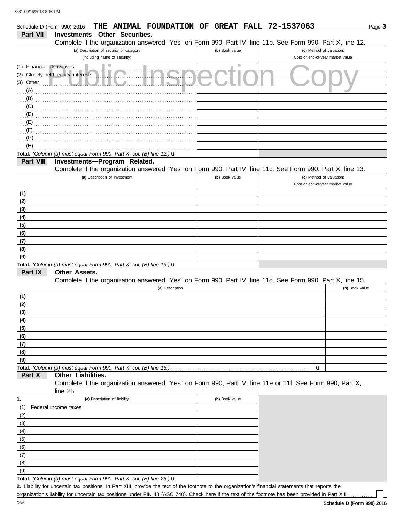| 7381 09/16/2018 8:16 PM<br>THE ANIMAL FOUNDATION OF GREAT FALL 72-1537063<br>Schedule D (Form 990) 2016                                                 |                             | Page 3                                                       |
|---------------------------------------------------------------------------------------------------------------------------------------------------------|-----------------------------|--------------------------------------------------------------|
| <b>Part VII</b><br><b>Investments-Other Securities.</b>                                                                                                 |                             |                                                              |
| Complete if the organization answered "Yes" on Form 990, Part IV, line 11b. See Form 990, Part X, line 12.                                              |                             |                                                              |
| (a) Description of security or category                                                                                                                 | (b) Book value              | (c) Method of valuation:                                     |
| (including name of security)                                                                                                                            |                             | Cost or end-of-year market value                             |
| ш<br>(1) Financial derivatives<br>(2) Closely-held equity interests<br>(A)<br>(B)<br>(C)<br>(D)<br>(E)<br>(F)<br>$\overline{G}$ (G)<br>(H)              | $\mathcal{L}_{\mathcal{A}}$ |                                                              |
| Total. (Column (b) must equal Form 990, Part X, col. (B) line 12.) $\mathbf u$                                                                          |                             |                                                              |
| Part VIII<br>Investments-Program Related.<br>Complete if the organization answered "Yes" on Form 990, Part IV, line 11c. See Form 990, Part X, line 13. |                             |                                                              |
| (a) Description of investment                                                                                                                           | (b) Book value              | (c) Method of valuation:<br>Cost or end-of-year market value |
| (1)                                                                                                                                                     |                             |                                                              |
| (2)                                                                                                                                                     |                             |                                                              |
| (3)                                                                                                                                                     |                             |                                                              |
| (4)                                                                                                                                                     |                             |                                                              |
| (5)                                                                                                                                                     |                             |                                                              |
| (6)                                                                                                                                                     |                             |                                                              |
| (7)                                                                                                                                                     |                             |                                                              |
| (8)                                                                                                                                                     |                             |                                                              |
| (9)                                                                                                                                                     |                             |                                                              |
| Total. (Column (b) must equal Form 990, Part X, col. (B) line 13.) u                                                                                    |                             |                                                              |

#### **Other Assets. Part IX**

Complete if the organization answered "Yes" on Form 990, Part IV, line 11d. See Form 990, Part X, line 15.

| (a) Description | (b) Book value |
|-----------------|----------------|
| (1)             |                |
| (2)             |                |
| (3)             |                |
| (4)             |                |
| (5)             |                |
| (6)             |                |
| (7)             |                |
| (8)             |                |
| (9)             |                |
|                 |                |

#### **Part X Other Liabilities.**

Complete if the organization answered "Yes" on Form 990, Part IV, line 11e or 11f. See Form 990, Part X, line 25.

|     | (a) Description of liability                                                      | (b) Book value |
|-----|-----------------------------------------------------------------------------------|----------------|
| (1) | Federal income taxes                                                              |                |
| (2) |                                                                                   |                |
| (3) |                                                                                   |                |
| (4) |                                                                                   |                |
| (5) |                                                                                   |                |
| (6) |                                                                                   |                |
| (7) |                                                                                   |                |
| (8) |                                                                                   |                |
| (9) |                                                                                   |                |
|     | Total. (Column (b) must equal Form 990, Part X, col. (B) line $25$ .) $\mathbf u$ |                |

Liability for uncertain tax positions. In Part XIII, provide the text of the footnote to the organization's financial statements that reports the **2.** organization's liability for uncertain tax positions under FIN 48 (ASC 740). Check here if the text of the footnote has been provided in Part XIII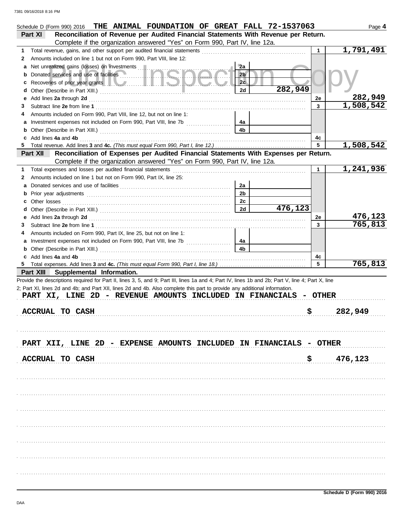|                                                                                                                                                                                                                                    |                | THE ANIMAL FOUNDATION OF GREAT FALL 72-1537063 |         | Page 4                 |
|------------------------------------------------------------------------------------------------------------------------------------------------------------------------------------------------------------------------------------|----------------|------------------------------------------------|---------|------------------------|
| Reconciliation of Revenue per Audited Financial Statements With Revenue per Return.<br>Part XI                                                                                                                                     |                |                                                |         |                        |
| Complete if the organization answered "Yes" on Form 990, Part IV, line 12a.                                                                                                                                                        |                |                                                |         |                        |
| Total revenue, gains, and other support per audited financial statements<br>1.                                                                                                                                                     |                |                                                |         | 1,791,491              |
| Amounts included on line 1 but not on Form 990, Part VIII, line 12:<br>2                                                                                                                                                           |                |                                                |         |                        |
| a Net unrealized gains (losses) on investments                                                                                                                                                                                     | 2a             |                                                |         |                        |
| Donated services and use of facilities<br>b                                                                                                                                                                                        | 2 <sub>b</sub> |                                                |         |                        |
| Recoveries of prior year grants <b>the contract of the contract of prior</b><br>c                                                                                                                                                  | 2c             |                                                |         |                        |
| d                                                                                                                                                                                                                                  | 2d             | 282,949                                        |         |                        |
| Add lines 2a through 2d [11, 2010] Additional Additional Additional Additional Additional Additional Additional Additional Additional Additional Additional Additional Additional Additional Additional Additional Additional<br>е |                |                                                | 2e      | 282,949                |
| 3                                                                                                                                                                                                                                  |                |                                                | 3       | 1,508,542              |
| Amounts included on Form 990, Part VIII, line 12, but not on line 1:<br>4                                                                                                                                                          |                |                                                |         |                        |
| a                                                                                                                                                                                                                                  | 4a             |                                                |         |                        |
|                                                                                                                                                                                                                                    | 4b             |                                                |         |                        |
| c Add lines 4a and 4b<br>5.                                                                                                                                                                                                        |                |                                                | 4c<br>5 | 1,508,542              |
| Reconciliation of Expenses per Audited Financial Statements With Expenses per Return.<br>Part XII L                                                                                                                                |                |                                                |         |                        |
| Complete if the organization answered "Yes" on Form 990, Part IV, line 12a.                                                                                                                                                        |                |                                                |         |                        |
| Total expenses and losses per audited financial statements<br>1.                                                                                                                                                                   |                |                                                | 1       | $\overline{1,241,936}$ |
| Amounts included on line 1 but not on Form 990, Part IX, line 25:<br>2                                                                                                                                                             |                |                                                |         |                        |
| a                                                                                                                                                                                                                                  | 2a             |                                                |         |                        |
| b                                                                                                                                                                                                                                  | 2 <sub>b</sub> |                                                |         |                        |
| Other losses<br>c                                                                                                                                                                                                                  | 2c             |                                                |         |                        |
| d                                                                                                                                                                                                                                  | 2d             | 476,123                                        |         |                        |
|                                                                                                                                                                                                                                    |                |                                                | 2е      | 476,123                |
| 3                                                                                                                                                                                                                                  |                |                                                | 3       | 765,813                |
| Amounts included on Form 990, Part IX, line 25, but not on line 1:<br>4                                                                                                                                                            |                |                                                |         |                        |
|                                                                                                                                                                                                                                    | 4a             |                                                |         |                        |
| <b>b</b> Other (Describe in Part XIII.) <b>CONSIDENT DESCRIPTION DESCRIPTION DESCRIPTION DESCRIPTION DESCRIPTION DESCRIPTION DESCRIPTION DESCRIPTION DESCRIPTION DESCRIPTION DESCRIPTION DESCRIPTION DESCRI</b>                    | 4b             |                                                |         |                        |
| c Add lines 4a and 4b                                                                                                                                                                                                              |                |                                                | 4с      |                        |
|                                                                                                                                                                                                                                    |                |                                                | 5       | 765,813                |
| Part XIII Supplemental Information.                                                                                                                                                                                                |                |                                                |         |                        |
| Provide the descriptions required for Part II, lines 3, 5, and 9; Part III, lines 1a and 4; Part IV, lines 1b and 2b; Part V, line 4; Part X, line                                                                                 |                |                                                |         |                        |
| 2; Part XI, lines 2d and 4b; and Part XII, lines 2d and 4b. Also complete this part to provide any additional information.                                                                                                         |                |                                                |         |                        |
| PART XI, LINE 2D - REVENUE AMOUNTS INCLUDED IN FINANCIALS                                                                                                                                                                          |                |                                                | - OTHER |                        |
|                                                                                                                                                                                                                                    |                |                                                |         |                        |
| <b>ACCRUAL TO CASH</b>                                                                                                                                                                                                             |                |                                                |         | 282,949                |
|                                                                                                                                                                                                                                    |                | \$                                             |         |                        |
|                                                                                                                                                                                                                                    |                |                                                |         |                        |
|                                                                                                                                                                                                                                    |                |                                                |         |                        |
|                                                                                                                                                                                                                                    |                |                                                |         |                        |
| PART XII, LINE 2D - EXPENSE AMOUNTS INCLUDED IN FINANCIALS - OTHER                                                                                                                                                                 |                |                                                |         |                        |
|                                                                                                                                                                                                                                    |                |                                                |         |                        |
| <b>ACCRUAL TO CASH</b>                                                                                                                                                                                                             |                | \$.                                            |         | 476,123                |
|                                                                                                                                                                                                                                    |                |                                                |         |                        |
|                                                                                                                                                                                                                                    |                |                                                |         |                        |
|                                                                                                                                                                                                                                    |                |                                                |         |                        |
|                                                                                                                                                                                                                                    |                |                                                |         |                        |
|                                                                                                                                                                                                                                    |                |                                                |         |                        |
|                                                                                                                                                                                                                                    |                |                                                |         |                        |
|                                                                                                                                                                                                                                    |                |                                                |         |                        |
|                                                                                                                                                                                                                                    |                |                                                |         |                        |
|                                                                                                                                                                                                                                    |                |                                                |         |                        |
|                                                                                                                                                                                                                                    |                |                                                |         |                        |
|                                                                                                                                                                                                                                    |                |                                                |         |                        |
|                                                                                                                                                                                                                                    |                |                                                |         |                        |
|                                                                                                                                                                                                                                    |                |                                                |         |                        |
|                                                                                                                                                                                                                                    |                |                                                |         |                        |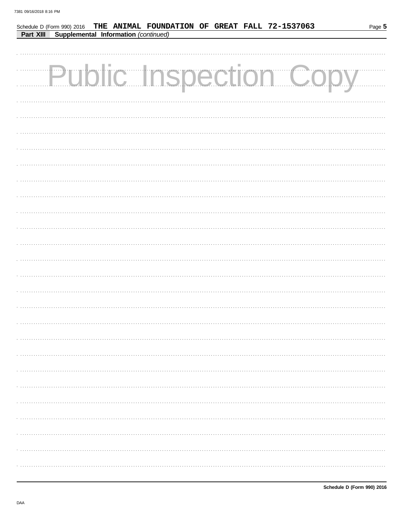| THE ANIMAL FOUNDATION OF GREAT FALL 72-1537063<br>Schedule D (Form 990) 2016<br>Part XIII Supplemental Information (continued) | Page 5 |
|--------------------------------------------------------------------------------------------------------------------------------|--------|
|                                                                                                                                |        |
| <b>Public Inspection Copy</b>                                                                                                  |        |
|                                                                                                                                |        |
|                                                                                                                                |        |
|                                                                                                                                |        |
|                                                                                                                                |        |
|                                                                                                                                |        |
|                                                                                                                                |        |
|                                                                                                                                |        |
|                                                                                                                                |        |
|                                                                                                                                |        |
|                                                                                                                                |        |
|                                                                                                                                |        |
|                                                                                                                                |        |
|                                                                                                                                |        |
|                                                                                                                                |        |
|                                                                                                                                |        |
|                                                                                                                                |        |
|                                                                                                                                |        |
|                                                                                                                                |        |
|                                                                                                                                |        |
|                                                                                                                                |        |
|                                                                                                                                |        |
|                                                                                                                                |        |
|                                                                                                                                |        |
|                                                                                                                                |        |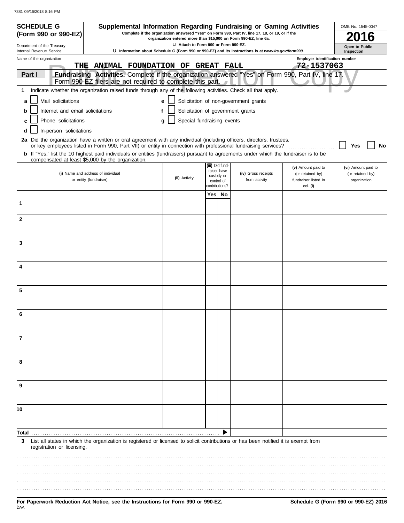| <b>SCHEDULE G</b>                                    |                                  |                                                              |   |                                                                  |                                                                                                                                                                               |                          | Supplemental Information Regarding Fundraising or Gaming Activities                                                                                                                                                                      |                                          | OMB No. 1545-0047                |  |  |
|------------------------------------------------------|----------------------------------|--------------------------------------------------------------|---|------------------------------------------------------------------|-------------------------------------------------------------------------------------------------------------------------------------------------------------------------------|--------------------------|------------------------------------------------------------------------------------------------------------------------------------------------------------------------------------------------------------------------------------------|------------------------------------------|----------------------------------|--|--|
|                                                      | (Form 990 or 990-EZ)             |                                                              |   | organization entered more than \$15,000 on Form 990-EZ, line 6a. |                                                                                                                                                                               |                          | Complete if the organization answered "Yes" on Form 990, Part IV, line 17, 18, or 19, or if the                                                                                                                                          |                                          |                                  |  |  |
| Department of the Treasury                           |                                  |                                                              |   | LI Attach to Form 990 or Form 990-EZ.                            |                                                                                                                                                                               |                          | Open to Public<br>Inspection                                                                                                                                                                                                             |                                          |                                  |  |  |
| Internal Revenue Service<br>Name of the organization |                                  |                                                              |   |                                                                  | La Information about Schedule G (Form 990 or 990-EZ) and its instructions is at www.irs.gov/form990.<br>Employer identification number<br>THE ANIMAL FOUNDATION OF GREAT FALL |                          |                                                                                                                                                                                                                                          |                                          |                                  |  |  |
| Part I                                               |                                  |                                                              |   |                                                                  |                                                                                                                                                                               |                          | Fundraising Activities. Complete if the organization answered "Yes" on Form 990, Part IV, line 17.                                                                                                                                       | 72-1537063                               |                                  |  |  |
|                                                      |                                  | Form 990-EZ filers are not required to complete this part.   |   |                                                                  |                                                                                                                                                                               |                          |                                                                                                                                                                                                                                          |                                          |                                  |  |  |
| $\mathbf 1$                                          |                                  |                                                              |   |                                                                  |                                                                                                                                                                               |                          | Indicate whether the organization raised funds through any of the following activities. Check all that apply.                                                                                                                            |                                          |                                  |  |  |
| a                                                    | Mail solicitations               |                                                              |   | e                                                                |                                                                                                                                                                               |                          | Solicitation of non-government grants                                                                                                                                                                                                    |                                          |                                  |  |  |
| b                                                    | Internet and email solicitations |                                                              | f |                                                                  |                                                                                                                                                                               |                          | Solicitation of government grants                                                                                                                                                                                                        |                                          |                                  |  |  |
| с                                                    | Phone solicitations              |                                                              |   | Special fundraising events<br>a                                  |                                                                                                                                                                               |                          |                                                                                                                                                                                                                                          |                                          |                                  |  |  |
| d                                                    | In-person solicitations          |                                                              |   |                                                                  |                                                                                                                                                                               |                          |                                                                                                                                                                                                                                          |                                          |                                  |  |  |
|                                                      |                                  |                                                              |   |                                                                  |                                                                                                                                                                               |                          | 2a Did the organization have a written or oral agreement with any individual (including officers, directors, trustees,<br>or key employees listed in Form 990, Part VII) or entity in connection with professional fundraising services? |                                          | Yes<br>No                        |  |  |
|                                                      |                                  | compensated at least \$5,000 by the organization.            |   |                                                                  |                                                                                                                                                                               |                          | b If "Yes," list the 10 highest paid individuals or entities (fundraisers) pursuant to agreements under which the fundraiser is to be                                                                                                    |                                          |                                  |  |  |
|                                                      |                                  |                                                              |   |                                                                  | (iii) Did fund-                                                                                                                                                               | raiser have              |                                                                                                                                                                                                                                          | (v) Amount paid to                       | (vi) Amount paid to              |  |  |
|                                                      |                                  | (i) Name and address of individual<br>or entity (fundraiser) |   | (ii) Activity                                                    |                                                                                                                                                                               | custody or<br>control of | (iv) Gross receipts<br>from activity                                                                                                                                                                                                     | (or retained by)<br>fundraiser listed in | (or retained by)<br>organization |  |  |
|                                                      |                                  |                                                              |   |                                                                  | contributions?                                                                                                                                                                |                          |                                                                                                                                                                                                                                          | col. (i)                                 |                                  |  |  |
|                                                      |                                  |                                                              |   |                                                                  | Yes I                                                                                                                                                                         | No                       |                                                                                                                                                                                                                                          |                                          |                                  |  |  |
| 1                                                    |                                  |                                                              |   |                                                                  |                                                                                                                                                                               |                          |                                                                                                                                                                                                                                          |                                          |                                  |  |  |
| $\mathbf{2}$                                         |                                  |                                                              |   |                                                                  |                                                                                                                                                                               |                          |                                                                                                                                                                                                                                          |                                          |                                  |  |  |
|                                                      |                                  |                                                              |   |                                                                  |                                                                                                                                                                               |                          |                                                                                                                                                                                                                                          |                                          |                                  |  |  |
| 3                                                    |                                  |                                                              |   |                                                                  |                                                                                                                                                                               |                          |                                                                                                                                                                                                                                          |                                          |                                  |  |  |
|                                                      |                                  |                                                              |   |                                                                  |                                                                                                                                                                               |                          |                                                                                                                                                                                                                                          |                                          |                                  |  |  |
| 4                                                    |                                  |                                                              |   |                                                                  |                                                                                                                                                                               |                          |                                                                                                                                                                                                                                          |                                          |                                  |  |  |
|                                                      |                                  |                                                              |   |                                                                  |                                                                                                                                                                               |                          |                                                                                                                                                                                                                                          |                                          |                                  |  |  |
| 5                                                    |                                  |                                                              |   |                                                                  |                                                                                                                                                                               |                          |                                                                                                                                                                                                                                          |                                          |                                  |  |  |
|                                                      |                                  |                                                              |   |                                                                  |                                                                                                                                                                               |                          |                                                                                                                                                                                                                                          |                                          |                                  |  |  |
|                                                      |                                  |                                                              |   |                                                                  |                                                                                                                                                                               |                          |                                                                                                                                                                                                                                          |                                          |                                  |  |  |
|                                                      |                                  |                                                              |   |                                                                  |                                                                                                                                                                               |                          |                                                                                                                                                                                                                                          |                                          |                                  |  |  |
| 7                                                    |                                  |                                                              |   |                                                                  |                                                                                                                                                                               |                          |                                                                                                                                                                                                                                          |                                          |                                  |  |  |
|                                                      |                                  |                                                              |   |                                                                  |                                                                                                                                                                               |                          |                                                                                                                                                                                                                                          |                                          |                                  |  |  |
| 8                                                    |                                  |                                                              |   |                                                                  |                                                                                                                                                                               |                          |                                                                                                                                                                                                                                          |                                          |                                  |  |  |
|                                                      |                                  |                                                              |   |                                                                  |                                                                                                                                                                               |                          |                                                                                                                                                                                                                                          |                                          |                                  |  |  |
| 9                                                    |                                  |                                                              |   |                                                                  |                                                                                                                                                                               |                          |                                                                                                                                                                                                                                          |                                          |                                  |  |  |
|                                                      |                                  |                                                              |   |                                                                  |                                                                                                                                                                               |                          |                                                                                                                                                                                                                                          |                                          |                                  |  |  |
| 10                                                   |                                  |                                                              |   |                                                                  |                                                                                                                                                                               |                          |                                                                                                                                                                                                                                          |                                          |                                  |  |  |
|                                                      |                                  |                                                              |   |                                                                  |                                                                                                                                                                               |                          |                                                                                                                                                                                                                                          |                                          |                                  |  |  |
| Total                                                |                                  |                                                              |   |                                                                  |                                                                                                                                                                               |                          |                                                                                                                                                                                                                                          |                                          |                                  |  |  |
| 3                                                    | registration or licensing.       |                                                              |   |                                                                  |                                                                                                                                                                               |                          | List all states in which the organization is registered or licensed to solicit contributions or has been notified it is exempt from                                                                                                      |                                          |                                  |  |  |
|                                                      |                                  |                                                              |   |                                                                  |                                                                                                                                                                               |                          |                                                                                                                                                                                                                                          |                                          |                                  |  |  |
|                                                      |                                  |                                                              |   |                                                                  |                                                                                                                                                                               |                          |                                                                                                                                                                                                                                          |                                          |                                  |  |  |
|                                                      |                                  |                                                              |   |                                                                  |                                                                                                                                                                               |                          |                                                                                                                                                                                                                                          |                                          |                                  |  |  |
|                                                      |                                  |                                                              |   |                                                                  |                                                                                                                                                                               |                          |                                                                                                                                                                                                                                          |                                          |                                  |  |  |
|                                                      |                                  |                                                              |   |                                                                  |                                                                                                                                                                               |                          |                                                                                                                                                                                                                                          |                                          |                                  |  |  |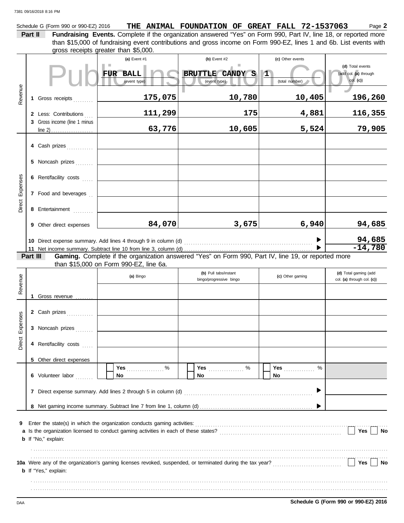Schedule G (Form 990 or 990-EZ) 2016

|  |  |  | THE ANIMAL FOUNDATION OF GREAT FALL 72-1537063                                            | Page 2 |
|--|--|--|-------------------------------------------------------------------------------------------|--------|
|  |  |  | mplete if the organization answered "Yes" on Form 990. Part IV, line 18, or reported more |        |

**Part II Fundraising Events.** Complete if the organization and Fundraising Events. Complete if the organization gross receipts greater than \$5,000. than \$15,000 of fundraising event contributions and gross income on Form 990-EZ, lines 1 and 6b. List events with

| Revenue                                                                                                                                                                                                                                      |  | 1 Gross receipts<br>2 Less: Contributions<br>3 Gross income (line 1 minus                                                        | (a) Event #1<br><b>BALL</b><br><b>FUR</b><br>(event type)<br>175,075<br>111,299<br>63,776                                                                                                                              | (b) Event $#2$<br>BRUTTLE CANDY S<br>(event type)<br>10,780<br>175<br>10,605 | (c) Other events<br>$\mathbf{1}$<br>(total number)<br>10,405<br>4,881<br>5,524 | (d) Total events<br>(add col. (a) through<br>$col.$ (c))<br>196,260<br>116,355<br>79,905 |  |  |  |  |
|----------------------------------------------------------------------------------------------------------------------------------------------------------------------------------------------------------------------------------------------|--|----------------------------------------------------------------------------------------------------------------------------------|------------------------------------------------------------------------------------------------------------------------------------------------------------------------------------------------------------------------|------------------------------------------------------------------------------|--------------------------------------------------------------------------------|------------------------------------------------------------------------------------------|--|--|--|--|
| Direct Expenses                                                                                                                                                                                                                              |  | 4 Cash prizes<br>5 Noncash prizes<br>6 Rent/facility costs<br>7 Food and beverages<br>8 Entertainment<br>9 Other direct expenses | 84,070                                                                                                                                                                                                                 | 3,675                                                                        | 6,940                                                                          | 94,685<br>$\frac{94,685}{-14,780}$                                                       |  |  |  |  |
| Gaming. Complete if the organization answered "Yes" on Form 990, Part IV, line 19, or reported more<br>Part III<br>than \$15,000 on Form 990-EZ, line 6a.<br>(b) Pull tabs/instant<br>(d) Total gaming (add<br>(a) Bingo<br>(c) Other gaming |  |                                                                                                                                  |                                                                                                                                                                                                                        |                                                                              |                                                                                |                                                                                          |  |  |  |  |
| Revenue<br>Direct Expenses                                                                                                                                                                                                                   |  | 1 Gross revenue<br>2 Cash prizes<br>3 Noncash prizes<br>4 Rent/facility costs<br>5 Other direct expenses<br>6 Volunteer labor    | Yes $%$<br>No                                                                                                                                                                                                          | bingo/progressive bingo<br>Yes  %<br>No.                                     | %<br><b>Yes</b><br>No.                                                         | col. (a) through col. (c))                                                               |  |  |  |  |
| 9                                                                                                                                                                                                                                            |  | <b>b</b> If "No," explain:<br><b>b</b> If "Yes," explain:                                                                        | 10a Were any of the organization's gaming licenses revoked, suspended, or terminated during the tax year?<br>10a Were any of the organization's gaming licenses revoked, suspended, or terminated during the tax year? |                                                                              |                                                                                | Yes<br>No<br>Yes<br>No                                                                   |  |  |  |  |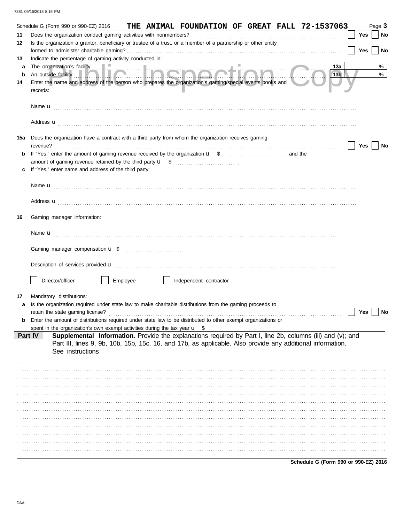|             |          | Schedule G (Form 990 or 990-EZ) 2016                                                  |  |          |  | THE ANIMAL FOUNDATION OF GREAT FALL 72-1537063                                                                                                                                                                           |  |           |  |                                      |                 |     | Page 3    |
|-------------|----------|---------------------------------------------------------------------------------------|--|----------|--|--------------------------------------------------------------------------------------------------------------------------------------------------------------------------------------------------------------------------|--|-----------|--|--------------------------------------|-----------------|-----|-----------|
| 11          |          |                                                                                       |  |          |  |                                                                                                                                                                                                                          |  |           |  |                                      |                 | Yes | <b>No</b> |
| 12          |          |                                                                                       |  |          |  | Is the organization a grantor, beneficiary or trustee of a trust, or a member of a partnership or other entity                                                                                                           |  |           |  |                                      |                 |     |           |
|             |          |                                                                                       |  |          |  |                                                                                                                                                                                                                          |  |           |  |                                      |                 | Yes | No        |
| 13          |          | Indicate the percentage of gaming activity conducted in:                              |  |          |  |                                                                                                                                                                                                                          |  |           |  |                                      |                 |     |           |
| a           |          |                                                                                       |  |          |  |                                                                                                                                                                                                                          |  |           |  |                                      | 13а             |     | %         |
| $\mathbf b$ |          | The organization's facility<br>An outside facility                                    |  |          |  |                                                                                                                                                                                                                          |  | mating Co |  |                                      | 13 <sub>b</sub> |     | $\%$      |
| 14          | records: |                                                                                       |  |          |  | Enter the name and address of the person who prepares the organization's gaming/special events books and                                                                                                                 |  |           |  |                                      |                 |     |           |
|             |          |                                                                                       |  |          |  |                                                                                                                                                                                                                          |  |           |  |                                      |                 |     |           |
|             |          |                                                                                       |  |          |  | Address <b>u</b>                                                                                                                                                                                                         |  |           |  |                                      |                 |     |           |
| 15a         | revenue? |                                                                                       |  |          |  | Does the organization have a contract with a third party from whom the organization receives gaming                                                                                                                      |  |           |  |                                      |                 | Yes | No        |
|             |          |                                                                                       |  |          |  |                                                                                                                                                                                                                          |  |           |  |                                      |                 |     |           |
|             |          |                                                                                       |  |          |  |                                                                                                                                                                                                                          |  |           |  |                                      |                 |     |           |
|             |          | If "Yes," enter name and address of the third party:                                  |  |          |  |                                                                                                                                                                                                                          |  |           |  |                                      |                 |     |           |
|             |          |                                                                                       |  |          |  |                                                                                                                                                                                                                          |  |           |  |                                      |                 |     |           |
|             |          |                                                                                       |  |          |  |                                                                                                                                                                                                                          |  |           |  |                                      |                 |     |           |
|             |          |                                                                                       |  |          |  | Address <b>u</b>                                                                                                                                                                                                         |  |           |  |                                      |                 |     |           |
| 16          |          | Gaming manager information:                                                           |  |          |  |                                                                                                                                                                                                                          |  |           |  |                                      |                 |     |           |
|             |          |                                                                                       |  |          |  |                                                                                                                                                                                                                          |  |           |  |                                      |                 |     |           |
|             |          |                                                                                       |  |          |  |                                                                                                                                                                                                                          |  |           |  |                                      |                 |     |           |
|             |          |                                                                                       |  |          |  | Description of services provided <b>u</b> electron contains a service of the service of the services and services provided <b>u</b>                                                                                      |  |           |  |                                      |                 |     |           |
|             |          |                                                                                       |  |          |  |                                                                                                                                                                                                                          |  |           |  |                                      |                 |     |           |
|             |          | Director/officer                                                                      |  | Employee |  | Independent contractor                                                                                                                                                                                                   |  |           |  |                                      |                 |     |           |
|             |          |                                                                                       |  |          |  |                                                                                                                                                                                                                          |  |           |  |                                      |                 |     |           |
| 17          |          | Mandatory distributions:                                                              |  |          |  |                                                                                                                                                                                                                          |  |           |  |                                      |                 |     |           |
| a           |          |                                                                                       |  |          |  | Is the organization required under state law to make charitable distributions from the gaming proceeds to                                                                                                                |  |           |  |                                      |                 |     |           |
|             |          |                                                                                       |  |          |  |                                                                                                                                                                                                                          |  |           |  |                                      |                 | Yes | No        |
|             |          |                                                                                       |  |          |  | Enter the amount of distributions required under state law to be distributed to other exempt organizations or                                                                                                            |  |           |  |                                      |                 |     |           |
|             |          | spent in the organization's own exempt activities during the tax year $\mathbf{u}$ \$ |  |          |  |                                                                                                                                                                                                                          |  |           |  |                                      |                 |     |           |
|             | Part IV  | See instructions                                                                      |  |          |  | Supplemental Information. Provide the explanations required by Part I, line 2b, columns (iii) and (v); and<br>Part III, lines 9, 9b, 10b, 15b, 15c, 16, and 17b, as applicable. Also provide any additional information. |  |           |  |                                      |                 |     |           |
|             |          |                                                                                       |  |          |  |                                                                                                                                                                                                                          |  |           |  |                                      |                 |     |           |
|             |          |                                                                                       |  |          |  |                                                                                                                                                                                                                          |  |           |  |                                      |                 |     |           |
|             |          |                                                                                       |  |          |  |                                                                                                                                                                                                                          |  |           |  |                                      |                 |     |           |
|             |          |                                                                                       |  |          |  |                                                                                                                                                                                                                          |  |           |  |                                      |                 |     |           |
|             |          |                                                                                       |  |          |  |                                                                                                                                                                                                                          |  |           |  |                                      |                 |     |           |
|             |          |                                                                                       |  |          |  |                                                                                                                                                                                                                          |  |           |  |                                      |                 |     |           |
|             |          |                                                                                       |  |          |  |                                                                                                                                                                                                                          |  |           |  |                                      |                 |     |           |
|             |          |                                                                                       |  |          |  |                                                                                                                                                                                                                          |  |           |  |                                      |                 |     |           |
|             |          |                                                                                       |  |          |  |                                                                                                                                                                                                                          |  |           |  |                                      |                 |     |           |
|             |          |                                                                                       |  |          |  |                                                                                                                                                                                                                          |  |           |  |                                      |                 |     |           |
|             |          |                                                                                       |  |          |  |                                                                                                                                                                                                                          |  |           |  |                                      |                 |     |           |
|             |          |                                                                                       |  |          |  |                                                                                                                                                                                                                          |  |           |  |                                      |                 |     |           |
|             |          |                                                                                       |  |          |  |                                                                                                                                                                                                                          |  |           |  | Schedule G (Form 990 or 990-EZ) 2016 |                 |     |           |

DAA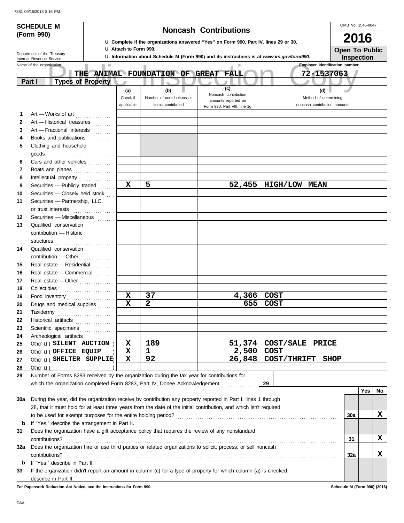|  |  | 7381 09/16/2018 8:16 PM |  |  |
|--|--|-------------------------|--|--|
|--|--|-------------------------|--|--|

|          | <b>SCHEDULE M</b>                                                                                                  |                                                                                                                       |                            |                   |  |  |                                                                                            |    |             |  |                                       | OMB No. 1545-0047     |                   |    |
|----------|--------------------------------------------------------------------------------------------------------------------|-----------------------------------------------------------------------------------------------------------------------|----------------------------|-------------------|--|--|--------------------------------------------------------------------------------------------|----|-------------|--|---------------------------------------|-----------------------|-------------------|----|
|          | (Form 990)                                                                                                         | <b>Noncash Contributions</b><br>La Complete if the organizations answered "Yes" on Form 990, Part IV, lines 29 or 30. |                            |                   |  |  |                                                                                            |    |             |  | 2016                                  |                       |                   |    |
|          | <b>u</b> Attach to Form 990.                                                                                       |                                                                                                                       |                            |                   |  |  |                                                                                            |    |             |  |                                       | <b>Open To Public</b> |                   |    |
|          | Department of the Treasury<br>Internal Revenue Service                                                             |                                                                                                                       |                            |                   |  |  | La Information about Schedule M (Form 990) and its instructions is at www.irs.gov/form990. |    |             |  |                                       |                       | <b>Inspection</b> |    |
|          | Name of the organization                                                                                           |                                                                                                                       |                            |                   |  |  |                                                                                            |    |             |  | <b>Employer identification number</b> |                       |                   |    |
|          | THE ANIMAL FOUNDATION OF GREAT FALL                                                                                |                                                                                                                       |                            |                   |  |  |                                                                                            |    |             |  | 72-1537063                            |                       |                   |    |
|          | <b>Types of Property</b><br>Part I                                                                                 |                                                                                                                       |                            |                   |  |  |                                                                                            |    |             |  |                                       |                       |                   |    |
|          |                                                                                                                    | (a)                                                                                                                   |                            | (b)               |  |  | (c)                                                                                        |    |             |  | (d)                                   |                       |                   |    |
|          |                                                                                                                    | Check if                                                                                                              | Number of contributions or |                   |  |  | Noncash contribution<br>amounts reported on                                                |    |             |  | Method of determining                 |                       |                   |    |
|          |                                                                                                                    | applicable                                                                                                            |                            | items contributed |  |  | Form 990, Part VIII, line 1g                                                               |    |             |  | noncash contribution amounts          |                       |                   |    |
| 1        | Art - Works of art                                                                                                 |                                                                                                                       |                            |                   |  |  |                                                                                            |    |             |  |                                       |                       |                   |    |
| 2        | Art - Historical treasures                                                                                         |                                                                                                                       |                            |                   |  |  |                                                                                            |    |             |  |                                       |                       |                   |    |
| 3        | Art - Fractional interests                                                                                         |                                                                                                                       |                            |                   |  |  |                                                                                            |    |             |  |                                       |                       |                   |    |
| 4        | Books and publications                                                                                             |                                                                                                                       |                            |                   |  |  |                                                                                            |    |             |  |                                       |                       |                   |    |
| 5        | Clothing and household                                                                                             |                                                                                                                       |                            |                   |  |  |                                                                                            |    |             |  |                                       |                       |                   |    |
|          | $\mathsf{goods}\xrightarrow{\hspace{0.5cm}}$                                                                       |                                                                                                                       |                            |                   |  |  |                                                                                            |    |             |  |                                       |                       |                   |    |
| 6        | Cars and other vehicles                                                                                            |                                                                                                                       |                            |                   |  |  |                                                                                            |    |             |  |                                       |                       |                   |    |
| 7        | Boats and planes                                                                                                   |                                                                                                                       |                            |                   |  |  |                                                                                            |    |             |  |                                       |                       |                   |    |
| 8        | Intellectual property                                                                                              |                                                                                                                       |                            |                   |  |  |                                                                                            |    |             |  |                                       |                       |                   |    |
| 9        | Securities - Publicly traded                                                                                       | $\mathbf x$                                                                                                           | 5                          |                   |  |  | 52,455                                                                                     |    |             |  | <b>HIGH/LOW MEAN</b>                  |                       |                   |    |
| 10       | Securities - Closely held stock                                                                                    |                                                                                                                       |                            |                   |  |  |                                                                                            |    |             |  |                                       |                       |                   |    |
| 11       | Securities - Partnership, LLC,                                                                                     |                                                                                                                       |                            |                   |  |  |                                                                                            |    |             |  |                                       |                       |                   |    |
|          | or trust interests                                                                                                 |                                                                                                                       |                            |                   |  |  |                                                                                            |    |             |  |                                       |                       |                   |    |
| 12       | Securities - Miscellaneous                                                                                         |                                                                                                                       |                            |                   |  |  |                                                                                            |    |             |  |                                       |                       |                   |    |
| 13       | Qualified conservation                                                                                             |                                                                                                                       |                            |                   |  |  |                                                                                            |    |             |  |                                       |                       |                   |    |
|          | contribution - Historic                                                                                            |                                                                                                                       |                            |                   |  |  |                                                                                            |    |             |  |                                       |                       |                   |    |
|          | structures                                                                                                         |                                                                                                                       |                            |                   |  |  |                                                                                            |    |             |  |                                       |                       |                   |    |
| 14       | Qualified conservation                                                                                             |                                                                                                                       |                            |                   |  |  |                                                                                            |    |             |  |                                       |                       |                   |    |
|          | contribution - Other                                                                                               |                                                                                                                       |                            |                   |  |  |                                                                                            |    |             |  |                                       |                       |                   |    |
| 15       | Real estate - Residential                                                                                          |                                                                                                                       |                            |                   |  |  |                                                                                            |    |             |  |                                       |                       |                   |    |
| 16       | Real estate - Commercial                                                                                           |                                                                                                                       |                            |                   |  |  |                                                                                            |    |             |  |                                       |                       |                   |    |
| 17       | Real estate - Other                                                                                                |                                                                                                                       |                            |                   |  |  |                                                                                            |    |             |  |                                       |                       |                   |    |
| 18       |                                                                                                                    | $\mathbf x$                                                                                                           | 37                         |                   |  |  | 4,366                                                                                      |    | <b>COST</b> |  |                                       |                       |                   |    |
| 19<br>20 | Food inventory                                                                                                     | $\mathbf x$                                                                                                           | 2                          |                   |  |  | 655                                                                                        |    | <b>COST</b> |  |                                       |                       |                   |    |
|          | Drugs and medical supplies                                                                                         |                                                                                                                       |                            |                   |  |  |                                                                                            |    |             |  |                                       |                       |                   |    |
| 21<br>22 | Taxidermy                                                                                                          |                                                                                                                       |                            |                   |  |  |                                                                                            |    |             |  |                                       |                       |                   |    |
| 23       | Historical artifacts<br>Scientific specimens                                                                       |                                                                                                                       |                            |                   |  |  |                                                                                            |    |             |  |                                       |                       |                   |    |
| 24       | Archeological artifacts                                                                                            |                                                                                                                       |                            |                   |  |  |                                                                                            |    |             |  |                                       |                       |                   |    |
| 25       | Other <b>u</b> (SILENT AUCTION)                                                                                    | $\mathbf x$                                                                                                           | 189                        |                   |  |  | 51,374                                                                                     |    |             |  | COST/SALE PRICE                       |                       |                   |    |
| 26       | Other <b>u</b> ( OFFICE EQUIP                                                                                      | $\mathbf x$                                                                                                           | 1                          |                   |  |  | 2,500                                                                                      |    | <b>COST</b> |  |                                       |                       |                   |    |
| 27       | Other <b>u</b> (SHELTER SUPPLIE)                                                                                   | X                                                                                                                     | 92                         |                   |  |  | 26,848                                                                                     |    |             |  | <b>COST/THRIFT</b>                    | <b>SHOP</b>           |                   |    |
| 28       | Other $\mathbf{u}$ (                                                                                               |                                                                                                                       |                            |                   |  |  |                                                                                            |    |             |  |                                       |                       |                   |    |
| 29       | Number of Forms 8283 received by the organization during the tax year for contributions for                        |                                                                                                                       |                            |                   |  |  |                                                                                            |    |             |  |                                       |                       |                   |    |
|          | which the organization completed Form 8283, Part IV, Donee Acknowledgement [                                       |                                                                                                                       |                            |                   |  |  |                                                                                            | 29 |             |  |                                       |                       |                   |    |
|          |                                                                                                                    |                                                                                                                       |                            |                   |  |  |                                                                                            |    |             |  |                                       |                       | Yes               | No |
| 30a      | During the year, did the organization receive by contribution any property reported in Part I, lines 1 through     |                                                                                                                       |                            |                   |  |  |                                                                                            |    |             |  |                                       |                       |                   |    |
|          | 28, that it must hold for at least three years from the date of the initial contribution, and which isn't required |                                                                                                                       |                            |                   |  |  |                                                                                            |    |             |  |                                       |                       |                   |    |
|          |                                                                                                                    |                                                                                                                       |                            |                   |  |  |                                                                                            |    |             |  |                                       | 30a                   |                   | X  |
| b        | If "Yes," describe the arrangement in Part II.                                                                     |                                                                                                                       |                            |                   |  |  |                                                                                            |    |             |  |                                       |                       |                   |    |
| 31       | Does the organization have a gift acceptance policy that requires the review of any nonstandard                    |                                                                                                                       |                            |                   |  |  |                                                                                            |    |             |  |                                       |                       |                   |    |
|          | contributions?                                                                                                     |                                                                                                                       |                            |                   |  |  |                                                                                            |    |             |  |                                       | 31                    |                   | X  |
| 32a      | Does the organization hire or use third parties or related organizations to solicit, process, or sell noncash      |                                                                                                                       |                            |                   |  |  |                                                                                            |    |             |  |                                       |                       |                   |    |
|          | contributions?                                                                                                     |                                                                                                                       |                            |                   |  |  |                                                                                            |    |             |  |                                       | 32a                   |                   | X  |
| b        | If "Yes," describe in Part II.                                                                                     |                                                                                                                       |                            |                   |  |  |                                                                                            |    |             |  |                                       |                       |                   |    |
| 33       | If the organization didn't report an amount in column (c) for a type of property for which column (a) is checked,  |                                                                                                                       |                            |                   |  |  |                                                                                            |    |             |  |                                       |                       |                   |    |
|          | describe in Part II.                                                                                               |                                                                                                                       |                            |                   |  |  |                                                                                            |    |             |  |                                       |                       |                   |    |

**For Paperwork Reduction Act Notice, see the Instructions for Form 990. Schedule M (Form 990) (2016)**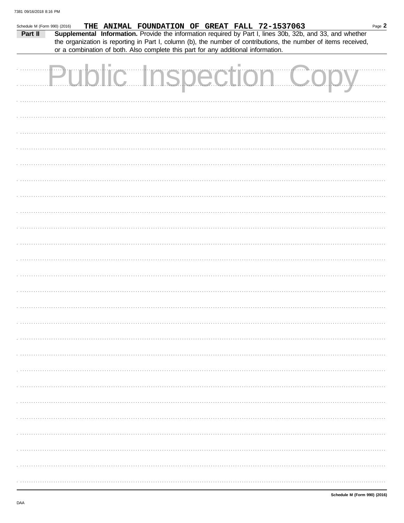| Schedule M (Form 990) (2016) |  |  | THE ANIMAL FOUNDATION OF GREAT FALL 72-1537063                                    |  |                               | Page 2                                                                                                                                                                                                                       |
|------------------------------|--|--|-----------------------------------------------------------------------------------|--|-------------------------------|------------------------------------------------------------------------------------------------------------------------------------------------------------------------------------------------------------------------------|
| Part II                      |  |  |                                                                                   |  |                               | Supplemental Information. Provide the information required by Part I, lines 30b, 32b, and 33, and whether<br>the organization is reporting in Part I, column (b), the number of contributions, the number of items received, |
|                              |  |  | or a combination of both. Also complete this part for any additional information. |  |                               |                                                                                                                                                                                                                              |
|                              |  |  |                                                                                   |  |                               |                                                                                                                                                                                                                              |
|                              |  |  |                                                                                   |  | <b>Public Inspection Copy</b> |                                                                                                                                                                                                                              |
|                              |  |  |                                                                                   |  |                               |                                                                                                                                                                                                                              |
|                              |  |  |                                                                                   |  |                               |                                                                                                                                                                                                                              |
|                              |  |  |                                                                                   |  |                               |                                                                                                                                                                                                                              |
|                              |  |  |                                                                                   |  |                               |                                                                                                                                                                                                                              |
|                              |  |  |                                                                                   |  |                               |                                                                                                                                                                                                                              |
|                              |  |  |                                                                                   |  |                               |                                                                                                                                                                                                                              |
|                              |  |  |                                                                                   |  |                               |                                                                                                                                                                                                                              |
|                              |  |  |                                                                                   |  |                               |                                                                                                                                                                                                                              |
|                              |  |  |                                                                                   |  |                               |                                                                                                                                                                                                                              |
|                              |  |  |                                                                                   |  |                               |                                                                                                                                                                                                                              |
|                              |  |  |                                                                                   |  |                               |                                                                                                                                                                                                                              |
|                              |  |  |                                                                                   |  |                               |                                                                                                                                                                                                                              |
|                              |  |  |                                                                                   |  |                               |                                                                                                                                                                                                                              |
|                              |  |  |                                                                                   |  |                               |                                                                                                                                                                                                                              |
|                              |  |  |                                                                                   |  |                               |                                                                                                                                                                                                                              |
|                              |  |  |                                                                                   |  |                               |                                                                                                                                                                                                                              |
|                              |  |  |                                                                                   |  |                               |                                                                                                                                                                                                                              |
|                              |  |  |                                                                                   |  |                               |                                                                                                                                                                                                                              |
|                              |  |  |                                                                                   |  |                               |                                                                                                                                                                                                                              |
|                              |  |  |                                                                                   |  |                               |                                                                                                                                                                                                                              |
|                              |  |  |                                                                                   |  |                               |                                                                                                                                                                                                                              |
|                              |  |  |                                                                                   |  |                               |                                                                                                                                                                                                                              |
|                              |  |  |                                                                                   |  |                               |                                                                                                                                                                                                                              |
|                              |  |  |                                                                                   |  |                               |                                                                                                                                                                                                                              |
|                              |  |  |                                                                                   |  |                               |                                                                                                                                                                                                                              |
|                              |  |  |                                                                                   |  |                               |                                                                                                                                                                                                                              |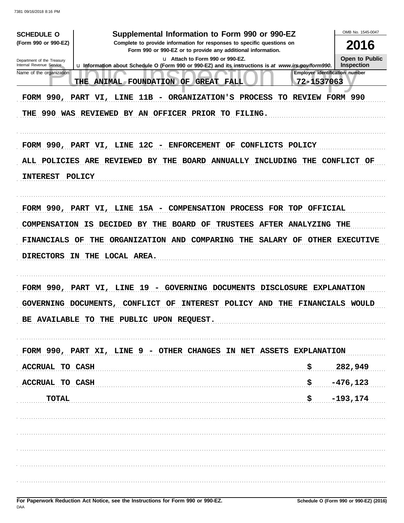| <b>SCHEDULE O</b>                                                                                                                                 | Supplemental Information to Form 990 or 990-EZ                                                                                         | OMB No. 1545-0047            |  |  |  |  |  |  |  |  |  |
|---------------------------------------------------------------------------------------------------------------------------------------------------|----------------------------------------------------------------------------------------------------------------------------------------|------------------------------|--|--|--|--|--|--|--|--|--|
| (Form 990 or 990-EZ)                                                                                                                              | Complete to provide information for responses to specific questions on<br>Form 990 or 990-EZ or to provide any additional information. |                              |  |  |  |  |  |  |  |  |  |
|                                                                                                                                                   | u Attach to Form 990 or 990-EZ.<br>Department of the Treasury                                                                          |                              |  |  |  |  |  |  |  |  |  |
| Internal Revenue Service                                                                                                                          | La Information about Schedule O (Form 990 or 990-EZ) and its instructions is at www.irs.gov/form990.                                   | Open to Public<br>Inspection |  |  |  |  |  |  |  |  |  |
| <b>Employer identification number</b><br>Name of the organization<br><b>THE</b><br><b>ANIMAL FOUNDATION OF</b><br><b>GREAT FALL</b><br>72-1537063 |                                                                                                                                        |                              |  |  |  |  |  |  |  |  |  |
| FORM 990, PART VI, LINE 11B - ORGANIZATION'S PROCESS<br>REVIEW FORM 990<br>TO.                                                                    |                                                                                                                                        |                              |  |  |  |  |  |  |  |  |  |
| THE 990 WAS REVIEWED BY AN OFFICER PRIOR TO FILING.                                                                                               |                                                                                                                                        |                              |  |  |  |  |  |  |  |  |  |
|                                                                                                                                                   |                                                                                                                                        |                              |  |  |  |  |  |  |  |  |  |
|                                                                                                                                                   | FORM 990, PART VI, LINE 12C - ENFORCEMENT<br>CONFLICTS POLICY<br>OF                                                                    |                              |  |  |  |  |  |  |  |  |  |
|                                                                                                                                                   | ALL POLICIES ARE REVIEWED<br>BY<br><b>BOARD</b><br><b>ANNUALLY</b><br>INCLUDING THE<br>THE                                             | CONFLICT OF                  |  |  |  |  |  |  |  |  |  |
| <b>INTEREST</b>                                                                                                                                   | <b>POLICY</b>                                                                                                                          |                              |  |  |  |  |  |  |  |  |  |
|                                                                                                                                                   |                                                                                                                                        |                              |  |  |  |  |  |  |  |  |  |
|                                                                                                                                                   | FORM 990, PART VI, LINE 15A - COMPENSATION PROCESS FOR TOP OFFICIAL                                                                    |                              |  |  |  |  |  |  |  |  |  |
| <b>COMPENSATION IS</b>                                                                                                                            | <b>DECIDED</b><br><b>BOARD</b><br><b>TRUSTEES</b><br><b>AFTER</b><br>BY<br>THE<br>OF<br><b>ANALYZING</b>                               | THE                          |  |  |  |  |  |  |  |  |  |
| <b>FINANCIALS OF</b>                                                                                                                              | COMPARING<br>ORGANIZATION AND<br>THE<br>SALARY OF<br>THE                                                                               | OTHER EXECUTIVE              |  |  |  |  |  |  |  |  |  |
| <b>DIRECTORS IN</b>                                                                                                                               | THE LOCAL AREA.                                                                                                                        |                              |  |  |  |  |  |  |  |  |  |
|                                                                                                                                                   |                                                                                                                                        |                              |  |  |  |  |  |  |  |  |  |
|                                                                                                                                                   | FORM 990, PART VI, LINE $19$ -<br>GOVERNING DOCUMENTS<br><b>DISCLOSURE</b>                                                             | <b>EXPLANATION</b>           |  |  |  |  |  |  |  |  |  |
| GOVERNING DOCUMENTS,                                                                                                                              | <b>INTEREST</b><br>CONFLICT<br>OF<br>POLICY AND<br>THE                                                                                 | <b>FINANCIALS WOULD</b>      |  |  |  |  |  |  |  |  |  |
| <b>BE AVAILABLE</b>                                                                                                                               | TO<br>THE PUBLIC UPON REQUEST.                                                                                                         |                              |  |  |  |  |  |  |  |  |  |
|                                                                                                                                                   |                                                                                                                                        |                              |  |  |  |  |  |  |  |  |  |
|                                                                                                                                                   | FORM 990, PART XI, LINE 9 - OTHER CHANGES IN NET ASSETS EXPLANATION                                                                    |                              |  |  |  |  |  |  |  |  |  |
| <b>ACCRUAL TO CASH</b>                                                                                                                            | \$                                                                                                                                     | 282,949                      |  |  |  |  |  |  |  |  |  |
| <b>ACCRUAL TO CASH</b>                                                                                                                            | \$                                                                                                                                     | $-476, 123$                  |  |  |  |  |  |  |  |  |  |
| <b>TOTAL</b>                                                                                                                                      | \$                                                                                                                                     | $-193, 174$                  |  |  |  |  |  |  |  |  |  |
|                                                                                                                                                   |                                                                                                                                        |                              |  |  |  |  |  |  |  |  |  |
|                                                                                                                                                   |                                                                                                                                        |                              |  |  |  |  |  |  |  |  |  |
|                                                                                                                                                   |                                                                                                                                        |                              |  |  |  |  |  |  |  |  |  |
|                                                                                                                                                   |                                                                                                                                        |                              |  |  |  |  |  |  |  |  |  |
|                                                                                                                                                   |                                                                                                                                        |                              |  |  |  |  |  |  |  |  |  |